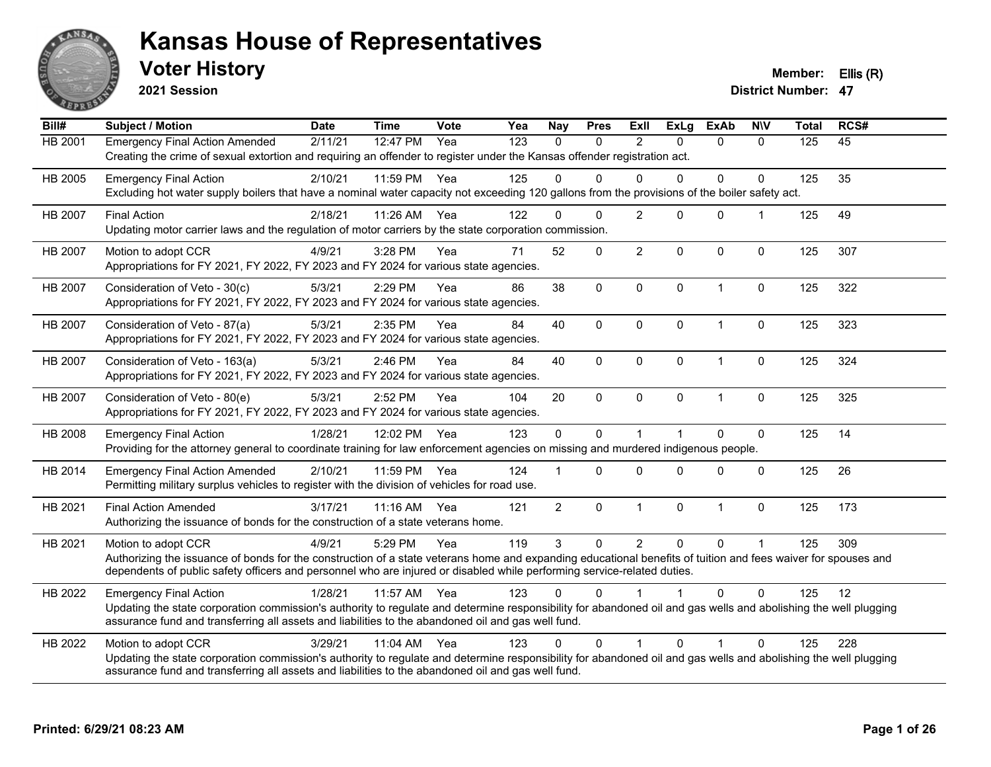

**2021 Session**

**Voter History Member: Ellis (R)** 

| Bill#          | <b>Subject / Motion</b>                                                                                                                                                                                                                                                                                         | <b>Date</b> | <b>Time</b> | <b>Vote</b> | Yea | <b>Nay</b>     | <b>Pres</b>  | ExII           | <b>ExLg</b>  | <b>ExAb</b>  | <b>NIV</b>     | <b>Total</b> | RCS# |
|----------------|-----------------------------------------------------------------------------------------------------------------------------------------------------------------------------------------------------------------------------------------------------------------------------------------------------------------|-------------|-------------|-------------|-----|----------------|--------------|----------------|--------------|--------------|----------------|--------------|------|
| <b>HB 2001</b> | <b>Emergency Final Action Amended</b><br>Creating the crime of sexual extortion and requiring an offender to register under the Kansas offender registration act.                                                                                                                                               | 2/11/21     | 12:47 PM    | Yea         | 123 | $\mathbf{0}$   | 0            | 2              | $\Omega$     | $\mathbf{0}$ | $\Omega$       | 125          | 45   |
| HB 2005        | <b>Emergency Final Action</b><br>Excluding hot water supply boilers that have a nominal water capacity not exceeding 120 gallons from the provisions of the boiler safety act.                                                                                                                                  | 2/10/21     | 11:59 PM    | Yea         | 125 | $\Omega$       | $\Omega$     | $\Omega$       | $\Omega$     | $\mathbf 0$  | $\Omega$       | 125          | 35   |
| HB 2007        | <b>Final Action</b><br>Updating motor carrier laws and the regulation of motor carriers by the state corporation commission.                                                                                                                                                                                    | 2/18/21     | 11:26 AM    | Yea         | 122 | $\Omega$       | $\Omega$     | $\overline{2}$ | $\Omega$     | $\mathbf{0}$ |                | 125          | 49   |
| HB 2007        | Motion to adopt CCR<br>Appropriations for FY 2021, FY 2022, FY 2023 and FY 2024 for various state agencies.                                                                                                                                                                                                     | 4/9/21      | 3:28 PM     | Yea         | 71  | 52             | $\Omega$     | $\overline{2}$ | $\Omega$     | $\mathbf 0$  | $\mathbf{0}$   | 125          | 307  |
| HB 2007        | Consideration of Veto - 30(c)<br>Appropriations for FY 2021, FY 2022, FY 2023 and FY 2024 for various state agencies.                                                                                                                                                                                           | 5/3/21      | 2:29 PM     | Yea         | 86  | 38             | 0            | $\mathbf 0$    | $\mathbf 0$  | $\mathbf{1}$ | $\mathbf 0$    | 125          | 322  |
| HB 2007        | Consideration of Veto - 87(a)<br>Appropriations for FY 2021, FY 2022, FY 2023 and FY 2024 for various state agencies.                                                                                                                                                                                           | 5/3/21      | 2:35 PM     | Yea         | 84  | 40             | 0            | $\mathbf 0$    | $\mathbf 0$  | $\mathbf{1}$ | $\mathbf 0$    | 125          | 323  |
| <b>HB 2007</b> | Consideration of Veto - 163(a)<br>Appropriations for FY 2021, FY 2022, FY 2023 and FY 2024 for various state agencies.                                                                                                                                                                                          | 5/3/21      | 2:46 PM     | Yea         | 84  | 40             | 0            | $\Omega$       | $\mathbf{0}$ | 1            | 0              | 125          | 324  |
| HB 2007        | Consideration of Veto - 80(e)<br>Appropriations for FY 2021, FY 2022, FY 2023 and FY 2024 for various state agencies.                                                                                                                                                                                           | 5/3/21      | 2:52 PM     | Yea         | 104 | 20             | $\mathsf{O}$ | $\mathbf{0}$   | $\mathbf{0}$ | $\mathbf{1}$ | 0              | 125          | 325  |
| HB 2008        | <b>Emergency Final Action</b><br>Providing for the attorney general to coordinate training for law enforcement agencies on missing and murdered indigenous people.                                                                                                                                              | 1/28/21     | 12:02 PM    | Yea         | 123 | $\mathbf 0$    | 0            | $\mathbf{1}$   |              | $\Omega$     | 0              | 125          | 14   |
| HB 2014        | <b>Emergency Final Action Amended</b><br>Permitting military surplus vehicles to register with the division of vehicles for road use.                                                                                                                                                                           | 2/10/21     | 11:59 PM    | Yea         | 124 |                | $\Omega$     | $\Omega$       | $\Omega$     | $\Omega$     | $\mathbf{0}$   | 125          | 26   |
| HB 2021        | <b>Final Action Amended</b><br>Authorizing the issuance of bonds for the construction of a state veterans home.                                                                                                                                                                                                 | 3/17/21     | $11:16$ AM  | Yea         | 121 | $\overline{2}$ | $\mathbf 0$  | $\mathbf{1}$   | $\mathbf 0$  | $\mathbf{1}$ | $\mathbf{0}$   | 125          | 173  |
| HB 2021        | Motion to adopt CCR<br>Authorizing the issuance of bonds for the construction of a state veterans home and expanding educational benefits of tuition and fees waiver for spouses and<br>dependents of public safety officers and personnel who are injured or disabled while performing service-related duties. | 4/9/21      | 5:29 PM     | Yea         | 119 | 3              | 0            | $\overline{2}$ | $\mathbf 0$  | $\Omega$     | $\overline{1}$ | 125          | 309  |
| HB 2022        | <b>Emergency Final Action</b><br>Updating the state corporation commission's authority to regulate and determine responsibility for abandoned oil and gas wells and abolishing the well plugging<br>assurance fund and transferring all assets and liabilities to the abandoned oil and gas well fund.          | 1/28/21     | 11:57 AM    | Yea         | 123 | 0              | $\Omega$     |                |              | 0            | $\Omega$       | 125          | 12   |
| HB 2022        | Motion to adopt CCR<br>Updating the state corporation commission's authority to regulate and determine responsibility for abandoned oil and gas wells and abolishing the well plugging<br>assurance fund and transferring all assets and liabilities to the abandoned oil and gas well fund.                    | 3/29/21     | $11:04$ AM  | Yea         | 123 | $\Omega$       | $\Omega$     | $\mathbf{1}$   | $\Omega$     | 1            | $\Omega$       | 125          | 228  |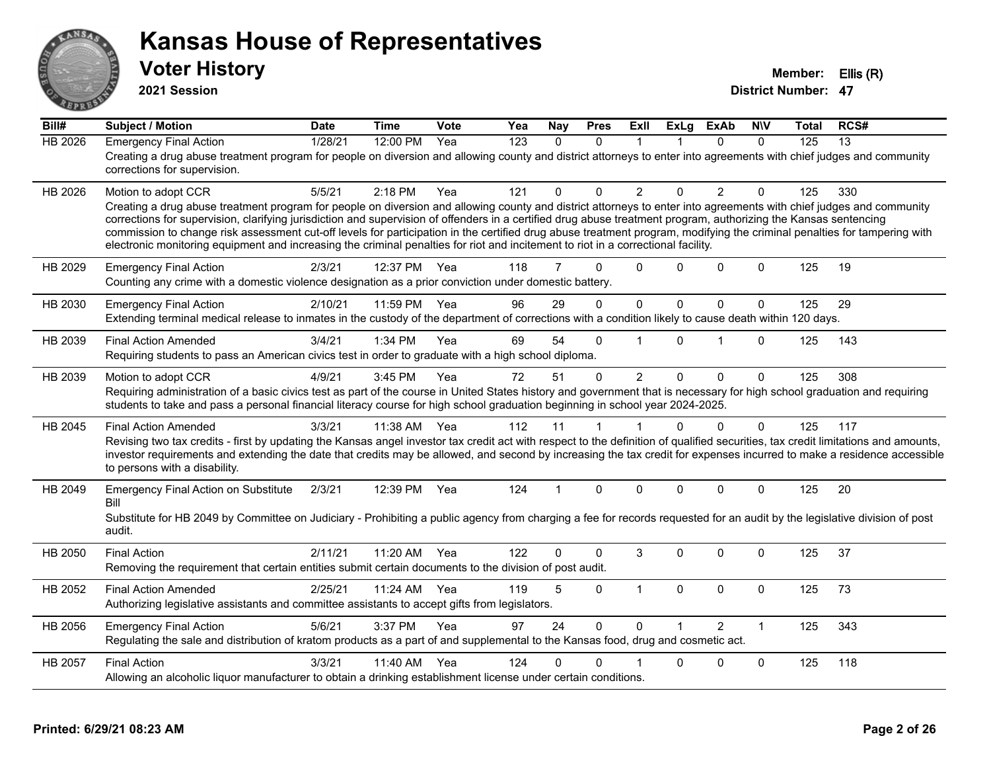

**2021 Session**

| Bill#          | <b>Subject / Motion</b>                                                                                                                                                                                                                                                                                                                                                                                                                                                                                                                                                                                                                                                         | <b>Date</b> | <b>Time</b> | Vote | Yea | <b>Nay</b>     | <b>Pres</b>  | ExII           | <b>ExLg</b>             | <b>ExAb</b>    | <b>NIV</b>   | Total | RCS# |
|----------------|---------------------------------------------------------------------------------------------------------------------------------------------------------------------------------------------------------------------------------------------------------------------------------------------------------------------------------------------------------------------------------------------------------------------------------------------------------------------------------------------------------------------------------------------------------------------------------------------------------------------------------------------------------------------------------|-------------|-------------|------|-----|----------------|--------------|----------------|-------------------------|----------------|--------------|-------|------|
| <b>HB 2026</b> | <b>Emergency Final Action</b><br>Creating a drug abuse treatment program for people on diversion and allowing county and district attorneys to enter into agreements with chief judges and community<br>corrections for supervision.                                                                                                                                                                                                                                                                                                                                                                                                                                            | 1/28/21     | 12:00 PM    | Yea  | 123 | $\mathbf{0}$   | $\mathbf{0}$ | $\mathbf 1$    |                         | 0              | $\Omega$     | 125   | 13   |
| HB 2026        | Motion to adopt CCR<br>Creating a drug abuse treatment program for people on diversion and allowing county and district attorneys to enter into agreements with chief judges and community<br>corrections for supervision, clarifying jurisdiction and supervision of offenders in a certified drug abuse treatment program, authorizing the Kansas sentencing<br>commission to change risk assessment cut-off levels for participation in the certified drug abuse treatment program, modifying the criminal penalties for tampering with<br>electronic monitoring equipment and increasing the criminal penalties for riot and incitement to riot in a correctional facility. | 5/5/21      | $2:18$ PM   | Yea  | 121 | $\Omega$       | $\Omega$     | 2              | $\Omega$                | $\overline{2}$ | $\Omega$     | 125   | 330  |
| HB 2029        | <b>Emergency Final Action</b><br>Counting any crime with a domestic violence designation as a prior conviction under domestic battery.                                                                                                                                                                                                                                                                                                                                                                                                                                                                                                                                          | 2/3/21      | 12:37 PM    | Yea  | 118 | $\overline{7}$ | $\Omega$     | $\Omega$       | 0                       | $\mathbf{0}$   | $\Omega$     | 125   | 19   |
| HB 2030        | <b>Emergency Final Action</b><br>Extending terminal medical release to inmates in the custody of the department of corrections with a condition likely to cause death within 120 days.                                                                                                                                                                                                                                                                                                                                                                                                                                                                                          | 2/10/21     | 11:59 PM    | Yea  | 96  | 29             | $\Omega$     | $\mathbf 0$    | $\mathbf{0}$            | $\mathbf{0}$   | $\mathbf{0}$ | 125   | 29   |
| HB 2039        | <b>Final Action Amended</b><br>Requiring students to pass an American civics test in order to graduate with a high school diploma.                                                                                                                                                                                                                                                                                                                                                                                                                                                                                                                                              | 3/4/21      | 1:34 PM     | Yea  | 69  | 54             | $\Omega$     |                | 0                       | 1              | $\Omega$     | 125   | 143  |
| HB 2039        | Motion to adopt CCR<br>Requiring administration of a basic civics test as part of the course in United States history and government that is necessary for high school graduation and requiring<br>students to take and pass a personal financial literacy course for high school graduation beginning in school year 2024-2025.                                                                                                                                                                                                                                                                                                                                                | 4/9/21      | 3:45 PM     | Yea  | 72  | 51             | $\mathbf 0$  | $\overline{2}$ | $\mathbf 0$             | 0              | $\Omega$     | 125   | 308  |
| HB 2045        | <b>Final Action Amended</b><br>Revising two tax credits - first by updating the Kansas angel investor tax credit act with respect to the definition of qualified securities, tax credit limitations and amounts,<br>investor requirements and extending the date that credits may be allowed, and second by increasing the tax credit for expenses incurred to make a residence accessible<br>to persons with a disability.                                                                                                                                                                                                                                                     | 3/3/21      | 11:38 AM    | Yea  | 112 | 11             | $\mathbf{1}$ | 1              | $\Omega$                | $\Omega$       | $\mathbf{0}$ | 125   | 117  |
| HB 2049        | <b>Emergency Final Action on Substitute</b><br>Bill<br>Substitute for HB 2049 by Committee on Judiciary - Prohibiting a public agency from charging a fee for records requested for an audit by the legislative division of post<br>audit.                                                                                                                                                                                                                                                                                                                                                                                                                                      | 2/3/21      | 12:39 PM    | Yea  | 124 | $\mathbf 1$    | $\Omega$     | $\Omega$       | $\Omega$                | $\Omega$       | $\Omega$     | 125   | 20   |
| HB 2050        | <b>Final Action</b><br>Removing the requirement that certain entities submit certain documents to the division of post audit.                                                                                                                                                                                                                                                                                                                                                                                                                                                                                                                                                   | 2/11/21     | 11:20 AM    | Yea  | 122 | $\Omega$       | $\Omega$     | 3              | $\Omega$                | $\Omega$       | $\mathbf{0}$ | 125   | 37   |
| HB 2052        | <b>Final Action Amended</b><br>Authorizing legislative assistants and committee assistants to accept gifts from legislators.                                                                                                                                                                                                                                                                                                                                                                                                                                                                                                                                                    | 2/25/21     | 11:24 AM    | Yea  | 119 | 5              | $\Omega$     | $\mathbf{1}$   | $\Omega$                | 0              | $\mathbf 0$  | 125   | 73   |
| HB 2056        | <b>Emergency Final Action</b><br>Regulating the sale and distribution of kratom products as a part of and supplemental to the Kansas food, drug and cosmetic act.                                                                                                                                                                                                                                                                                                                                                                                                                                                                                                               | 5/6/21      | 3:37 PM     | Yea  | 97  | 24             | $\Omega$     | $\Omega$       | $\overline{\mathbf{1}}$ | $\overline{2}$ | $\mathbf{1}$ | 125   | 343  |
| HB 2057        | <b>Final Action</b><br>Allowing an alcoholic liquor manufacturer to obtain a drinking establishment license under certain conditions.                                                                                                                                                                                                                                                                                                                                                                                                                                                                                                                                           | 3/3/21      | 11:40 AM    | Yea  | 124 | 0              | $\Omega$     |                | 0                       | 0              | $\mathbf 0$  | 125   | 118  |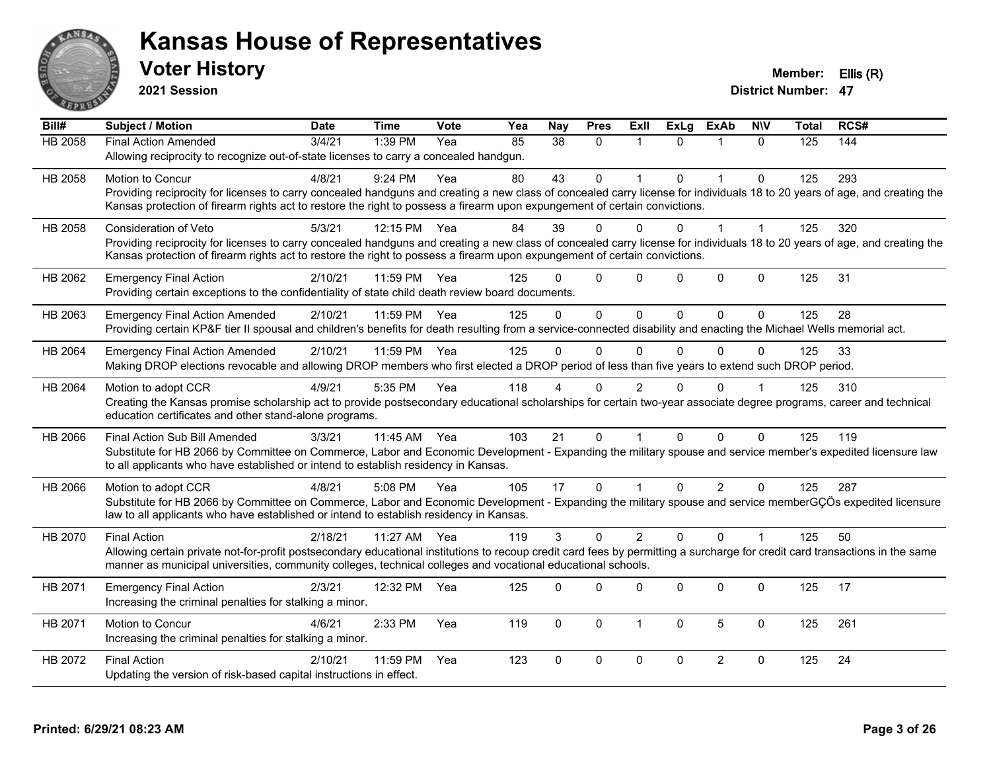

**2021 Session**

| Bill#          | <b>Subject / Motion</b>                                                                                                                                                      | <b>Date</b> | <b>Time</b>  | Vote | Yea | <b>Nay</b>      | <b>Pres</b> | Exll           | <b>ExLg</b> | <b>ExAb</b>    | <b>NIV</b>           | <b>Total</b> | RCS# |
|----------------|------------------------------------------------------------------------------------------------------------------------------------------------------------------------------|-------------|--------------|------|-----|-----------------|-------------|----------------|-------------|----------------|----------------------|--------------|------|
| <b>HB 2058</b> | <b>Final Action Amended</b>                                                                                                                                                  | 3/4/21      | 1:39 PM      | Yea  | 85  | $\overline{38}$ | $\Omega$    |                | $\Omega$    |                | $\Omega$             | 125          | 144  |
|                | Allowing reciprocity to recognize out-of-state licenses to carry a concealed handgun.                                                                                        |             |              |      |     |                 |             |                |             |                |                      |              |      |
| HB 2058        | Motion to Concur                                                                                                                                                             | 4/8/21      | 9:24 PM      | Yea  | 80  | 43              | $\Omega$    |                | $\Omega$    | $\overline{1}$ | $\Omega$             | 125          | 293  |
|                | Providing reciprocity for licenses to carry concealed handguns and creating a new class of concealed carry license for individuals 18 to 20 years of age, and creating the   |             |              |      |     |                 |             |                |             |                |                      |              |      |
|                | Kansas protection of firearm rights act to restore the right to possess a firearm upon expungement of certain convictions.                                                   |             |              |      |     |                 |             |                |             |                |                      |              |      |
| HB 2058        | Consideration of Veto                                                                                                                                                        | 5/3/21      | 12:15 PM Yea |      | 84  | 39              | $\Omega$    | 0              | U           |                |                      | 125          | 320  |
|                | Providing reciprocity for licenses to carry concealed handguns and creating a new class of concealed carry license for individuals 18 to 20 years of age, and creating the   |             |              |      |     |                 |             |                |             |                |                      |              |      |
|                | Kansas protection of firearm rights act to restore the right to possess a firearm upon expungement of certain convictions.                                                   |             |              |      |     |                 |             |                |             |                |                      |              |      |
| HB 2062        | <b>Emergency Final Action</b>                                                                                                                                                | 2/10/21     | 11:59 PM     | Yea  | 125 |                 | $\mathbf 0$ | $\Omega$       | $\Omega$    | $\mathbf 0$    | $\mathbf 0$          | 125          | 31   |
|                | Providing certain exceptions to the confidentiality of state child death review board documents.                                                                             |             |              |      |     |                 |             |                |             |                |                      |              |      |
| HB 2063        | <b>Emergency Final Action Amended</b>                                                                                                                                        | 2/10/21     | 11:59 PM Yea |      | 125 | $\Omega$        | $\mathbf 0$ | $\Omega$       | $\Omega$    | $\Omega$       | $\Omega$             | 125          | 28   |
|                | Providing certain KP&F tier II spousal and children's benefits for death resulting from a service-connected disability and enacting the Michael Wells memorial act.          |             |              |      |     |                 |             |                |             |                |                      |              |      |
| HB 2064        | <b>Emergency Final Action Amended</b>                                                                                                                                        | 2/10/21     | 11:59 PM     | Yea  | 125 | $\Omega$        | $\mathbf 0$ | $\mathbf{0}$   | $\Omega$    | $\Omega$       | $\Omega$             | 125          | 33   |
|                | Making DROP elections revocable and allowing DROP members who first elected a DROP period of less than five years to extend such DROP period.                                |             |              |      |     |                 |             |                |             |                |                      |              |      |
| HB 2064        | Motion to adopt CCR                                                                                                                                                          | 4/9/21      | 5:35 PM      | Yea  | 118 |                 | $\Omega$    | 2              | 0           | $\Omega$       |                      | 125          | 310  |
|                | Creating the Kansas promise scholarship act to provide postsecondary educational scholarships for certain two-year associate degree programs, career and technical           |             |              |      |     |                 |             |                |             |                |                      |              |      |
|                | education certificates and other stand-alone programs.                                                                                                                       |             |              |      |     |                 |             |                |             |                |                      |              |      |
| HB 2066        | Final Action Sub Bill Amended                                                                                                                                                | 3/3/21      | 11:45 AM Yea |      | 103 | 21              | $\Omega$    |                | $\Omega$    | $\Omega$       | $\Omega$             | 125          | 119  |
|                | Substitute for HB 2066 by Committee on Commerce, Labor and Economic Development - Expanding the military spouse and service member's expedited licensure law                 |             |              |      |     |                 |             |                |             |                |                      |              |      |
|                | to all applicants who have established or intend to establish residency in Kansas.                                                                                           |             |              |      |     |                 |             |                |             |                |                      |              |      |
| HB 2066        | Motion to adopt CCR                                                                                                                                                          | 4/8/21      | 5:08 PM      | Yea  | 105 | 17              | $\mathbf 0$ |                | $\Omega$    | $\overline{2}$ | $\Omega$             | 125          | 287  |
|                | Substitute for HB 2066 by Committee on Commerce, Labor and Economic Development - Expanding the military spouse and service memberGÇÖs expedited licensure                   |             |              |      |     |                 |             |                |             |                |                      |              |      |
|                | law to all applicants who have established or intend to establish residency in Kansas.                                                                                       |             |              |      |     |                 |             |                |             |                |                      |              |      |
| HB 2070        | <b>Final Action</b>                                                                                                                                                          | 2/18/21     | 11:27 AM Yea |      | 119 | $\mathcal{S}$   | $\Omega$    | $\overline{2}$ | $\Omega$    | $\Omega$       | $\blacktriangleleft$ | 125          | 50   |
|                | Allowing certain private not-for-profit postsecondary educational institutions to recoup credit card fees by permitting a surcharge for credit card transactions in the same |             |              |      |     |                 |             |                |             |                |                      |              |      |
|                | manner as municipal universities, community colleges, technical colleges and vocational educational schools.                                                                 |             |              |      |     |                 |             |                |             |                |                      |              |      |
| HB 2071        | <b>Emergency Final Action</b>                                                                                                                                                | 2/3/21      | 12:32 PM     | Yea  | 125 | 0               | $\Omega$    | $\Omega$       | $\Omega$    | $\mathbf 0$    | $\Omega$             | 125          | 17   |
|                | Increasing the criminal penalties for stalking a minor.                                                                                                                      |             |              |      |     |                 |             |                |             |                |                      |              |      |
| HB 2071        | Motion to Concur                                                                                                                                                             | 4/6/21      | 2:33 PM      | Yea  | 119 | 0               | $\mathbf 0$ | $\mathbf{1}$   | $\Omega$    | 5              | $\mathbf 0$          | 125          | 261  |
|                | Increasing the criminal penalties for stalking a minor.                                                                                                                      |             |              |      |     |                 |             |                |             |                |                      |              |      |
|                |                                                                                                                                                                              |             |              |      |     |                 |             |                |             |                |                      |              |      |
| HB 2072        | <b>Final Action</b>                                                                                                                                                          | 2/10/21     | 11:59 PM     | Yea  | 123 | $\Omega$        | $\mathbf 0$ | $\mathbf 0$    | 0           | $\overline{2}$ | $\Omega$             | 125          | 24   |
|                | Updating the version of risk-based capital instructions in effect.                                                                                                           |             |              |      |     |                 |             |                |             |                |                      |              |      |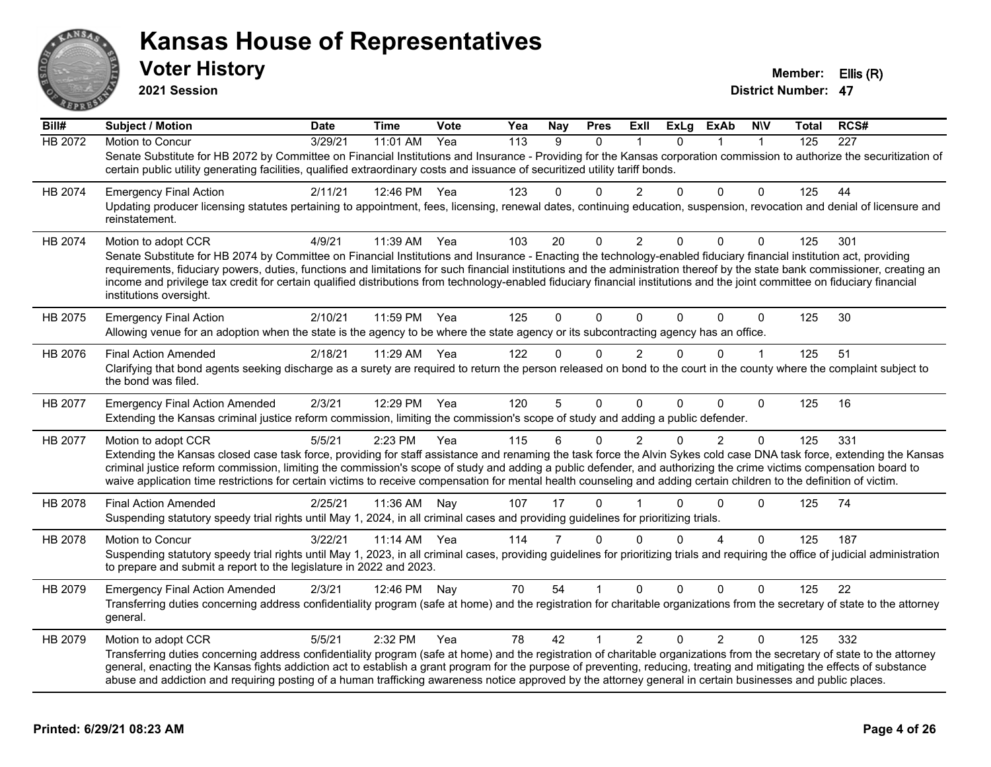

**2021 Session**

| Bill#          | <b>Subject / Motion</b>                                                                                                                                                                                                                                                                                                                                                                                                                                                                                                                                       | <b>Date</b> | Time       | Vote | Yea              | <b>Nay</b>     | <b>Pres</b>  | Exll           | <b>ExLg</b> | ExAb           | <b>NIV</b>   | Total            | RCS#             |
|----------------|---------------------------------------------------------------------------------------------------------------------------------------------------------------------------------------------------------------------------------------------------------------------------------------------------------------------------------------------------------------------------------------------------------------------------------------------------------------------------------------------------------------------------------------------------------------|-------------|------------|------|------------------|----------------|--------------|----------------|-------------|----------------|--------------|------------------|------------------|
| <b>HB 2072</b> | Motion to Concur                                                                                                                                                                                                                                                                                                                                                                                                                                                                                                                                              | 3/29/21     | 11:01 AM   | Yea  | $\overline{113}$ | 9              | $\mathbf{0}$ |                | $\Omega$    | 1              | $\mathbf 1$  | $\overline{125}$ | $\overline{227}$ |
|                | Senate Substitute for HB 2072 by Committee on Financial Institutions and Insurance - Providing for the Kansas corporation commission to authorize the securitization of<br>certain public utility generating facilities, qualified extraordinary costs and issuance of securitized utility tariff bonds.                                                                                                                                                                                                                                                      |             |            |      |                  |                |              |                |             |                |              |                  |                  |
| HB 2074        | <b>Emergency Final Action</b>                                                                                                                                                                                                                                                                                                                                                                                                                                                                                                                                 | 2/11/21     | 12:46 PM   | Yea  | 123              | $\Omega$       | $\Omega$     | 2              | $\Omega$    | $\Omega$       | $\Omega$     | 125              | 44               |
|                | Updating producer licensing statutes pertaining to appointment, fees, licensing, renewal dates, continuing education, suspension, revocation and denial of licensure and<br>reinstatement.                                                                                                                                                                                                                                                                                                                                                                    |             |            |      |                  |                |              |                |             |                |              |                  |                  |
| HB 2074        | Motion to adopt CCR                                                                                                                                                                                                                                                                                                                                                                                                                                                                                                                                           | 4/9/21      | 11:39 AM   | Yea  | 103              | 20             | $\mathbf 0$  | 2              | $\Omega$    | $\Omega$       | 0            | 125              | 301              |
|                | Senate Substitute for HB 2074 by Committee on Financial Institutions and Insurance - Enacting the technology-enabled fiduciary financial institution act, providing<br>requirements, fiduciary powers, duties, functions and limitations for such financial institutions and the administration thereof by the state bank commissioner, creating an<br>income and privilege tax credit for certain qualified distributions from technology-enabled fiduciary financial institutions and the joint committee on fiduciary financial<br>institutions oversight. |             |            |      |                  |                |              |                |             |                |              |                  |                  |
| HB 2075        | <b>Emergency Final Action</b><br>Allowing venue for an adoption when the state is the agency to be where the state agency or its subcontracting agency has an office.                                                                                                                                                                                                                                                                                                                                                                                         | 2/10/21     | 11:59 PM   | Yea  | 125              | $\Omega$       | $\Omega$     | $\Omega$       | $\Omega$    | $\Omega$       | $\mathbf 0$  | 125              | 30               |
| HB 2076        | <b>Final Action Amended</b>                                                                                                                                                                                                                                                                                                                                                                                                                                                                                                                                   | 2/18/21     | 11:29 AM   | Yea  | 122              | $\Omega$       | 0            | $\overline{2}$ | $\Omega$    | $\Omega$       | $\mathbf{1}$ | 125              | 51               |
|                | Clarifying that bond agents seeking discharge as a surety are required to return the person released on bond to the court in the county where the complaint subject to<br>the bond was filed.                                                                                                                                                                                                                                                                                                                                                                 |             |            |      |                  |                |              |                |             |                |              |                  |                  |
| HB 2077        | <b>Emergency Final Action Amended</b><br>Extending the Kansas criminal justice reform commission, limiting the commission's scope of study and adding a public defender.                                                                                                                                                                                                                                                                                                                                                                                      | 2/3/21      | 12:29 PM   | Yea  | 120              | 5              | $\Omega$     | $\Omega$       | 0           | $\Omega$       | $\Omega$     | 125              | 16               |
| HB 2077        | Motion to adopt CCR                                                                                                                                                                                                                                                                                                                                                                                                                                                                                                                                           | 5/5/21      | 2:23 PM    | Yea  | 115              | 6              | $\mathbf{0}$ | $\overline{2}$ | 0           | $\overline{2}$ | $\Omega$     | 125              | 331              |
|                | Extending the Kansas closed case task force, providing for staff assistance and renaming the task force the Alvin Sykes cold case DNA task force, extending the Kansas<br>criminal justice reform commission, limiting the commission's scope of study and adding a public defender, and authorizing the crime victims compensation board to<br>waive application time restrictions for certain victims to receive compensation for mental health counseling and adding certain children to the definition of victim.                                         |             |            |      |                  |                |              |                |             |                |              |                  |                  |
| HB 2078        | <b>Final Action Amended</b>                                                                                                                                                                                                                                                                                                                                                                                                                                                                                                                                   | 2/25/21     | 11:36 AM   | Nay  | 107              | 17             | $\Omega$     |                | 0           | $\Omega$       | $\Omega$     | 125              | 74               |
|                | Suspending statutory speedy trial rights until May 1, 2024, in all criminal cases and providing guidelines for prioritizing trials.                                                                                                                                                                                                                                                                                                                                                                                                                           |             |            |      |                  |                |              |                |             |                |              |                  |                  |
| HB 2078        | Motion to Concur                                                                                                                                                                                                                                                                                                                                                                                                                                                                                                                                              | 3/22/21     | $11:14$ AM | Yea  | 114              | $\overline{7}$ | $\Omega$     | $\Omega$       | 0           | 4              | $\Omega$     | 125              | 187              |
|                | Suspending statutory speedy trial rights until May 1, 2023, in all criminal cases, providing guidelines for prioritizing trials and requiring the office of judicial administration<br>to prepare and submit a report to the legislature in 2022 and 2023.                                                                                                                                                                                                                                                                                                    |             |            |      |                  |                |              |                |             |                |              |                  |                  |
| HB 2079        | <b>Emergency Final Action Amended</b>                                                                                                                                                                                                                                                                                                                                                                                                                                                                                                                         | 2/3/21      | 12:46 PM   | Nav  | 70               | 54             |              | $\Omega$       | $\Omega$    | $\Omega$       | $\Omega$     | 125              | 22               |
|                | Transferring duties concerning address confidentiality program (safe at home) and the registration for charitable organizations from the secretary of state to the attorney<br>general.                                                                                                                                                                                                                                                                                                                                                                       |             |            |      |                  |                |              |                |             |                |              |                  |                  |
| HB 2079        | Motion to adopt CCR                                                                                                                                                                                                                                                                                                                                                                                                                                                                                                                                           | 5/5/21      | 2:32 PM    | Yea  | 78               | 42             | 1            | $\overline{2}$ | 0           | $\overline{2}$ | $\Omega$     | 125              | 332              |
|                | Transferring duties concerning address confidentiality program (safe at home) and the registration of charitable organizations from the secretary of state to the attorney<br>general, enacting the Kansas fights addiction act to establish a grant program for the purpose of preventing, reducing, treating and mitigating the effects of substance<br>abuse and addiction and requiring posting of a human trafficking awareness notice approved by the attorney general in certain businesses and public places.                                         |             |            |      |                  |                |              |                |             |                |              |                  |                  |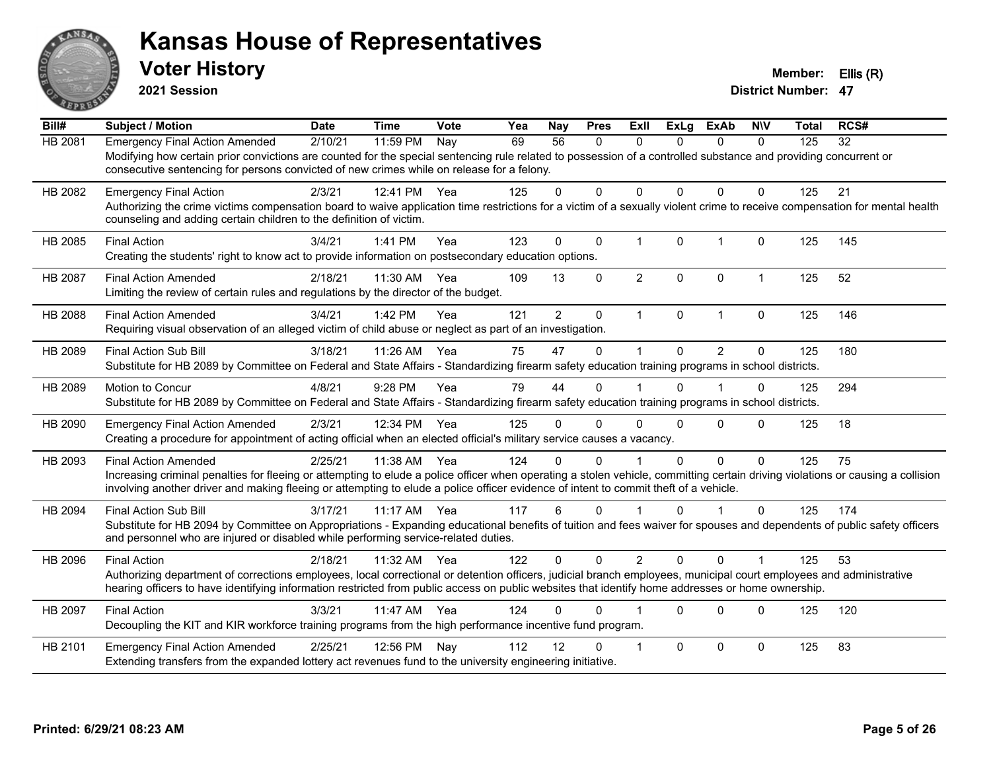

**2021 Session**

| Bill#          | <b>Subject / Motion</b>                                                                                                                                                                                                                                                                                                                                | <b>Date</b> | <b>Time</b> | Vote | Yea | Nay            | <b>Pres</b> | ExII           | <b>ExLg</b> | <b>ExAb</b>    | <b>NIV</b>           | <b>Total</b> | RCS# |
|----------------|--------------------------------------------------------------------------------------------------------------------------------------------------------------------------------------------------------------------------------------------------------------------------------------------------------------------------------------------------------|-------------|-------------|------|-----|----------------|-------------|----------------|-------------|----------------|----------------------|--------------|------|
| HB 2081        | <b>Emergency Final Action Amended</b><br>Modifying how certain prior convictions are counted for the special sentencing rule related to possession of a controlled substance and providing concurrent or<br>consecutive sentencing for persons convicted of new crimes while on release for a felony.                                                  | 2/10/21     | 11:59 PM    | Nay  | 69  | 56             | 0           | $\Omega$       | $\Omega$    | $\Omega$       | $\mathbf{0}$         | 125          | 32   |
| HB 2082        | <b>Emergency Final Action</b><br>Authorizing the crime victims compensation board to waive application time restrictions for a victim of a sexually violent crime to receive compensation for mental health<br>counseling and adding certain children to the definition of victim.                                                                     | 2/3/21      | 12:41 PM    | Yea  | 125 | $\Omega$       | $\Omega$    | $\Omega$       | $\Omega$    | $\Omega$       | $\Omega$             | 125          | 21   |
| HB 2085        | <b>Final Action</b><br>Creating the students' right to know act to provide information on postsecondary education options.                                                                                                                                                                                                                             | 3/4/21      | 1:41 PM     | Yea  | 123 | $\mathbf 0$    | $\mathbf 0$ | $\mathbf{1}$   | $\Omega$    | $\overline{1}$ | $\Omega$             | 125          | 145  |
| <b>HB 2087</b> | <b>Final Action Amended</b><br>Limiting the review of certain rules and regulations by the director of the budget.                                                                                                                                                                                                                                     | 2/18/21     | 11:30 AM    | Yea  | 109 | 13             | $\Omega$    | $\overline{2}$ | $\Omega$    | $\Omega$       | $\mathbf{1}$         | 125          | 52   |
| HB 2088        | <b>Final Action Amended</b><br>Requiring visual observation of an alleged victim of child abuse or neglect as part of an investigation.                                                                                                                                                                                                                | 3/4/21      | 1:42 PM     | Yea  | 121 | $\overline{2}$ | $\pmb{0}$   | $\mathbf{1}$   | $\Omega$    | $\mathbf{1}$   | $\mathbf 0$          | 125          | 146  |
| HB 2089        | Final Action Sub Bill<br>Substitute for HB 2089 by Committee on Federal and State Affairs - Standardizing firearm safety education training programs in school districts.                                                                                                                                                                              | 3/18/21     | 11:26 AM    | Yea  | 75  | 47             | $\Omega$    | $\mathbf{1}$   | $\Omega$    | $\overline{2}$ | $\Omega$             | 125          | 180  |
| HB 2089        | Motion to Concur<br>Substitute for HB 2089 by Committee on Federal and State Affairs - Standardizing firearm safety education training programs in school districts.                                                                                                                                                                                   | 4/8/21      | 9:28 PM     | Yea  | 79  | 44             | $\Omega$    |                | $\Omega$    | 1              | $\mathbf{0}$         | 125          | 294  |
| HB 2090        | <b>Emergency Final Action Amended</b><br>Creating a procedure for appointment of acting official when an elected official's military service causes a vacancy.                                                                                                                                                                                         | 2/3/21      | 12:34 PM    | Yea  | 125 | 0              | 0           | $\Omega$       | $\Omega$    | $\Omega$       | $\Omega$             | 125          | 18   |
| HB 2093        | <b>Final Action Amended</b><br>Increasing criminal penalties for fleeing or attempting to elude a police officer when operating a stolen vehicle, committing certain driving violations or causing a collision<br>involving another driver and making fleeing or attempting to elude a police officer evidence of intent to commit theft of a vehicle. | 2/25/21     | 11:38 AM    | Yea  | 124 | 0              | 0           |                | $\Omega$    | $\Omega$       | $\mathbf{0}$         | 125          | 75   |
| HB 2094        | <b>Final Action Sub Bill</b><br>Substitute for HB 2094 by Committee on Appropriations - Expanding educational benefits of tuition and fees waiver for spouses and dependents of public safety officers<br>and personnel who are injured or disabled while performing service-related duties.                                                           | 3/17/21     | 11:17 AM    | Yea  | 117 | 6              | $\Omega$    |                | $\Omega$    |                | $\Omega$             | 125          | 174  |
| HB 2096        | <b>Final Action</b><br>Authorizing department of corrections employees, local correctional or detention officers, judicial branch employees, municipal court employees and administrative<br>hearing officers to have identifying information restricted from public access on public websites that identify home addresses or home ownership.         | 2/18/21     | 11:32 AM    | Yea  | 122 | $\Omega$       | $\Omega$    | 2              | $\Omega$    | $\Omega$       | $\blacktriangleleft$ | 125          | 53   |
| HB 2097        | <b>Final Action</b><br>Decoupling the KIT and KIR workforce training programs from the high performance incentive fund program.                                                                                                                                                                                                                        | 3/3/21      | 11:47 AM    | Yea  | 124 | 0              | 0           |                | $\Omega$    | $\Omega$       | $\mathbf{0}$         | 125          | 120  |
| HB 2101        | <b>Emergency Final Action Amended</b><br>Extending transfers from the expanded lottery act revenues fund to the university engineering initiative.                                                                                                                                                                                                     | 2/25/21     | 12:56 PM    | Nay  | 112 | 12             | 0           | -1             | $\Omega$    | $\Omega$       | $\mathbf{0}$         | 125          | 83   |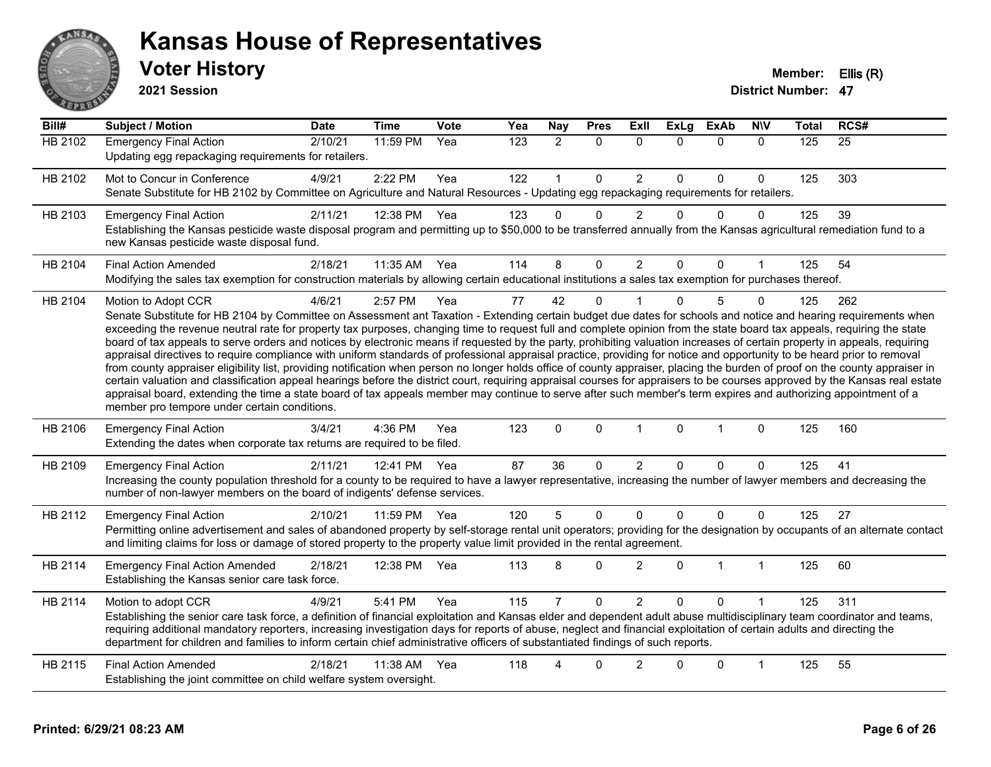

#### **Voter History Member: Ellis (R) Kansas House of Representatives**

**2021 Session**

| Bill#          | <b>Subject / Motion</b>                                                                                                                                                                                                                                                                                                                                                                                                                                                                                                                                                                                                                                                                                                                                                                                                                                                                                                                                                                                                                                                                                                                                                                                                                                                                                     | <b>Date</b> | <b>Time</b>  | <b>Vote</b> | Yea | <b>Nay</b>     | <b>Pres</b>  | Exll           | <b>ExLg</b> | <b>ExAb</b>  | <b>NIV</b>   | <b>Total</b>   | RCS# |
|----------------|-------------------------------------------------------------------------------------------------------------------------------------------------------------------------------------------------------------------------------------------------------------------------------------------------------------------------------------------------------------------------------------------------------------------------------------------------------------------------------------------------------------------------------------------------------------------------------------------------------------------------------------------------------------------------------------------------------------------------------------------------------------------------------------------------------------------------------------------------------------------------------------------------------------------------------------------------------------------------------------------------------------------------------------------------------------------------------------------------------------------------------------------------------------------------------------------------------------------------------------------------------------------------------------------------------------|-------------|--------------|-------------|-----|----------------|--------------|----------------|-------------|--------------|--------------|----------------|------|
| <b>HB 2102</b> | <b>Emergency Final Action</b><br>Updating egg repackaging requirements for retailers.                                                                                                                                                                                                                                                                                                                                                                                                                                                                                                                                                                                                                                                                                                                                                                                                                                                                                                                                                                                                                                                                                                                                                                                                                       | 2/10/21     | 11:59 PM     | Yea         | 123 | $\overline{2}$ | $\Omega$     | $\Omega$       | $\Omega$    | $\Omega$     | $\mathbf{0}$ | $\frac{1}{25}$ | 25   |
| HB 2102        | Mot to Concur in Conference<br>Senate Substitute for HB 2102 by Committee on Agriculture and Natural Resources - Updating egg repackaging requirements for retailers.                                                                                                                                                                                                                                                                                                                                                                                                                                                                                                                                                                                                                                                                                                                                                                                                                                                                                                                                                                                                                                                                                                                                       | 4/9/21      | 2:22 PM      | Yea         | 122 |                | $\mathbf 0$  | $\overline{2}$ | $\Omega$    | $\mathbf 0$  | $\Omega$     | 125            | 303  |
| HB 2103        | <b>Emergency Final Action</b><br>Establishing the Kansas pesticide waste disposal program and permitting up to \$50,000 to be transferred annually from the Kansas agricultural remediation fund to a<br>new Kansas pesticide waste disposal fund.                                                                                                                                                                                                                                                                                                                                                                                                                                                                                                                                                                                                                                                                                                                                                                                                                                                                                                                                                                                                                                                          | 2/11/21     | 12:38 PM     | Yea         | 123 | $\Omega$       | $\Omega$     | $\overline{2}$ | $\Omega$    | $\Omega$     | $\Omega$     | 125            | 39   |
| HB 2104        | <b>Final Action Amended</b><br>Modifying the sales tax exemption for construction materials by allowing certain educational institutions a sales tax exemption for purchases thereof.                                                                                                                                                                                                                                                                                                                                                                                                                                                                                                                                                                                                                                                                                                                                                                                                                                                                                                                                                                                                                                                                                                                       | 2/18/21     | 11:35 AM Yea |             | 114 | 8              | 0            | $\overline{2}$ | $\Omega$    | $\mathbf{0}$ | 1            | 125            | 54   |
| HB 2104        | Motion to Adopt CCR<br>Senate Substitute for HB 2104 by Committee on Assessment ant Taxation - Extending certain budget due dates for schools and notice and hearing requirements when<br>exceeding the revenue neutral rate for property tax purposes, changing time to request full and complete opinion from the state board tax appeals, requiring the state<br>board of tax appeals to serve orders and notices by electronic means if requested by the party, prohibiting valuation increases of certain property in appeals, requiring<br>appraisal directives to require compliance with uniform standards of professional appraisal practice, providing for notice and opportunity to be heard prior to removal<br>from county appraiser eligibility list, providing notification when person no longer holds office of county appraiser, placing the burden of proof on the county appraiser in<br>certain valuation and classification appeal hearings before the district court, requiring appraisal courses for appraisers to be courses approved by the Kansas real estate<br>appraisal board, extending the time a state board of tax appeals member may continue to serve after such member's term expires and authorizing appointment of a<br>member pro tempore under certain conditions. | 4/6/21      | 2:57 PM      | Yea         | 77  | 42             | $\mathbf 0$  |                | $\Omega$    | 5            | $\mathbf{0}$ | 125            | 262  |
| HB 2106        | <b>Emergency Final Action</b><br>Extending the dates when corporate tax returns are required to be filed.                                                                                                                                                                                                                                                                                                                                                                                                                                                                                                                                                                                                                                                                                                                                                                                                                                                                                                                                                                                                                                                                                                                                                                                                   | 3/4/21      | 4:36 PM      | Yea         | 123 | $\Omega$       | $\mathbf 0$  | $\mathbf{1}$   | $\Omega$    | $\mathbf{1}$ | $\mathbf{0}$ | 125            | 160  |
| HB 2109        | <b>Emergency Final Action</b><br>Increasing the county population threshold for a county to be required to have a lawyer representative, increasing the number of lawyer members and decreasing the<br>number of non-lawyer members on the board of indigents' defense services.                                                                                                                                                                                                                                                                                                                                                                                                                                                                                                                                                                                                                                                                                                                                                                                                                                                                                                                                                                                                                            | 2/11/21     | 12:41 PM Yea |             | 87  | 36             | 0            | $\overline{2}$ | $\Omega$    | 0            | $\Omega$     | 125            | 41   |
| HB 2112        | <b>Emergency Final Action</b><br>Permitting online advertisement and sales of abandoned property by self-storage rental unit operators; providing for the designation by occupants of an alternate contact<br>and limiting claims for loss or damage of stored property to the property value limit provided in the rental agreement.                                                                                                                                                                                                                                                                                                                                                                                                                                                                                                                                                                                                                                                                                                                                                                                                                                                                                                                                                                       | 2/10/21     | 11:59 PM     | Yea         | 120 | 5              | $\mathbf{0}$ | $\mathbf{0}$   | $\Omega$    | $\mathbf{0}$ | $\Omega$     | 125            | 27   |
| HB 2114        | <b>Emergency Final Action Amended</b><br>Establishing the Kansas senior care task force.                                                                                                                                                                                                                                                                                                                                                                                                                                                                                                                                                                                                                                                                                                                                                                                                                                                                                                                                                                                                                                                                                                                                                                                                                    | 2/18/21     | 12:38 PM     | Yea         | 113 | 8              | $\Omega$     | $\overline{2}$ | $\Omega$    | $\mathbf{1}$ | $\mathbf{1}$ | 125            | 60   |
| HB 2114        | Motion to adopt CCR<br>Establishing the senior care task force, a definition of financial exploitation and Kansas elder and dependent adult abuse multidisciplinary team coordinator and teams,<br>requiring additional mandatory reporters, increasing investigation days for reports of abuse, neglect and financial exploitation of certain adults and directing the<br>department for children and families to inform certain chief administrative officers of substantiated findings of such reports.                                                                                                                                                                                                                                                                                                                                                                                                                                                                                                                                                                                                                                                                                                                                                                                                  | 4/9/21      | 5:41 PM      | Yea         | 115 |                | $\mathbf 0$  | $\overline{2}$ | $\Omega$    | $\Omega$     |              | 125            | 311  |
| HB 2115        | <b>Final Action Amended</b><br>Establishing the joint committee on child welfare system oversight.                                                                                                                                                                                                                                                                                                                                                                                                                                                                                                                                                                                                                                                                                                                                                                                                                                                                                                                                                                                                                                                                                                                                                                                                          | 2/18/21     | 11:38 AM     | Yea         | 118 | 4              | $\Omega$     | $\overline{2}$ | ∩           | $\mathbf 0$  | 1            | 125            | 55   |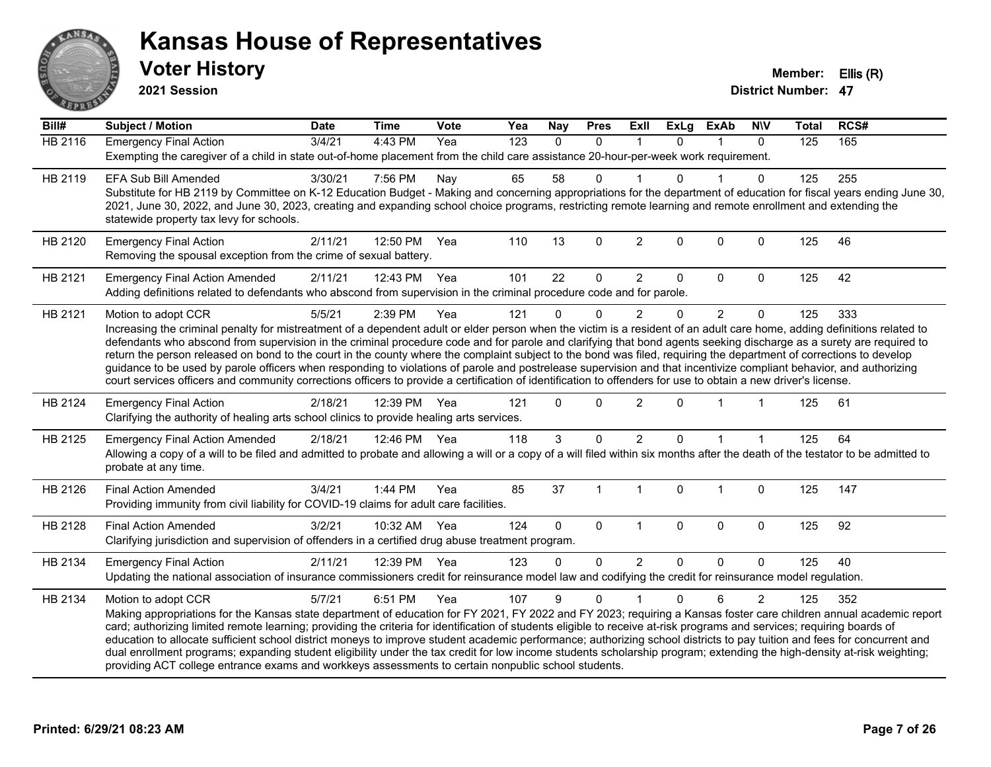

**2021 Session**

| Bill#          | Subject / Motion                                                                                                                                                                                                                                                                                                                           | <b>Date</b> | <b>Time</b>  | <b>Vote</b> | Yea              | <b>Nay</b>   | <b>Pres</b>    | Exll           | <b>ExLg</b>  | <b>ExAb</b>    | <b>NIV</b>     | <b>Total</b> | RCS# |  |
|----------------|--------------------------------------------------------------------------------------------------------------------------------------------------------------------------------------------------------------------------------------------------------------------------------------------------------------------------------------------|-------------|--------------|-------------|------------------|--------------|----------------|----------------|--------------|----------------|----------------|--------------|------|--|
| <b>HB 2116</b> | <b>Emergency Final Action</b>                                                                                                                                                                                                                                                                                                              | 3/4/21      | 4:43 PM      | Yea         | $\overline{123}$ | $\mathbf{0}$ | $\mathbf{0}$   | $\mathbf 1$    | $\Omega$     | 1              | $\mathbf{0}$   | 125          | 165  |  |
|                | Exempting the caregiver of a child in state out-of-home placement from the child care assistance 20-hour-per-week work requirement.                                                                                                                                                                                                        |             |              |             |                  |              |                |                |              |                |                |              |      |  |
| HB 2119        | <b>EFA Sub Bill Amended</b>                                                                                                                                                                                                                                                                                                                | 3/30/21     | 7:56 PM      | Nay         | 65               | 58           | $\mathbf 0$    |                | $\Omega$     |                | $\Omega$       | 125          | 255  |  |
|                | Substitute for HB 2119 by Committee on K-12 Education Budget - Making and concerning appropriations for the department of education for fiscal years ending June 30,                                                                                                                                                                       |             |              |             |                  |              |                |                |              |                |                |              |      |  |
|                | 2021, June 30, 2022, and June 30, 2023, creating and expanding school choice programs, restricting remote learning and remote enrollment and extending the                                                                                                                                                                                 |             |              |             |                  |              |                |                |              |                |                |              |      |  |
|                | statewide property tax levy for schools.                                                                                                                                                                                                                                                                                                   |             |              |             |                  |              |                |                |              |                |                |              |      |  |
| HB 2120        | <b>Emergency Final Action</b>                                                                                                                                                                                                                                                                                                              | 2/11/21     | 12:50 PM     | Yea         | 110              | 13           | $\mathbf 0$    | $\overline{c}$ | $\mathbf{0}$ | 0              | $\mathbf 0$    | 125          | 46   |  |
|                | Removing the spousal exception from the crime of sexual battery.                                                                                                                                                                                                                                                                           |             |              |             |                  |              |                |                |              |                |                |              |      |  |
| HB 2121        | <b>Emergency Final Action Amended</b>                                                                                                                                                                                                                                                                                                      | 2/11/21     | 12:43 PM     | Yea         | 101              | 22           | $\mathbf 0$    | $\overline{2}$ | 0            | $\Omega$       | $\mathbf 0$    | 125          | 42   |  |
|                | Adding definitions related to defendants who abscond from supervision in the criminal procedure code and for parole.                                                                                                                                                                                                                       |             |              |             |                  |              |                |                |              |                |                |              |      |  |
| HB 2121        | Motion to adopt CCR                                                                                                                                                                                                                                                                                                                        | 5/5/21      | 2:39 PM      | Yea         | 121              | $\Omega$     | $\Omega$       | $\overline{2}$ | $\Omega$     | $\overline{2}$ | $\Omega$       | 125          | 333  |  |
|                | Increasing the criminal penalty for mistreatment of a dependent adult or elder person when the victim is a resident of an adult care home, adding definitions related to                                                                                                                                                                   |             |              |             |                  |              |                |                |              |                |                |              |      |  |
|                | defendants who abscond from supervision in the criminal procedure code and for parole and clarifying that bond agents seeking discharge as a surety are required to                                                                                                                                                                        |             |              |             |                  |              |                |                |              |                |                |              |      |  |
|                | return the person released on bond to the court in the county where the complaint subject to the bond was filed, requiring the department of corrections to develop<br>guidance to be used by parole officers when responding to violations of parole and postrelease supervision and that incentivize compliant behavior, and authorizing |             |              |             |                  |              |                |                |              |                |                |              |      |  |
|                | court services officers and community corrections officers to provide a certification of identification to offenders for use to obtain a new driver's license.                                                                                                                                                                             |             |              |             |                  |              |                |                |              |                |                |              |      |  |
|                |                                                                                                                                                                                                                                                                                                                                            |             |              |             |                  |              |                |                |              | 1              |                |              |      |  |
| HB 2124        | <b>Emergency Final Action</b><br>Clarifying the authority of healing arts school clinics to provide healing arts services.                                                                                                                                                                                                                 | 2/18/21     | 12:39 PM     | Yea         | 121              | $\Omega$     | $\Omega$       | $\overline{2}$ | $\Omega$     |                |                | 125          | 61   |  |
|                |                                                                                                                                                                                                                                                                                                                                            |             |              |             |                  |              |                |                |              |                |                |              |      |  |
| HB 2125        | <b>Emergency Final Action Amended</b>                                                                                                                                                                                                                                                                                                      | 2/18/21     | 12:46 PM Yea |             | 118              | 3            | $\mathbf{0}$   | $\overline{2}$ | $\Omega$     | 1              |                | 125          | 64   |  |
|                | Allowing a copy of a will to be filed and admitted to probate and allowing a will or a copy of a will filed within six months after the death of the testator to be admitted to<br>probate at any time.                                                                                                                                    |             |              |             |                  |              |                |                |              |                |                |              |      |  |
|                |                                                                                                                                                                                                                                                                                                                                            |             |              |             |                  |              |                |                |              |                |                |              |      |  |
| HB 2126        | <b>Final Action Amended</b>                                                                                                                                                                                                                                                                                                                | 3/4/21      | 1:44 PM      | Yea         | 85               | 37           | $\overline{1}$ | $\mathbf{1}$   | $\Omega$     | $\mathbf 1$    | $\mathbf 0$    | 125          | 147  |  |
|                | Providing immunity from civil liability for COVID-19 claims for adult care facilities.                                                                                                                                                                                                                                                     |             |              |             |                  |              |                |                |              |                |                |              |      |  |
| HB 2128        | <b>Final Action Amended</b>                                                                                                                                                                                                                                                                                                                | 3/2/21      | 10:32 AM     | Yea         | 124              | $\Omega$     | $\mathbf{0}$   | $\mathbf{1}$   | $\mathbf{0}$ | $\mathbf 0$    | $\mathbf 0$    | 125          | 92   |  |
|                | Clarifying jurisdiction and supervision of offenders in a certified drug abuse treatment program.                                                                                                                                                                                                                                          |             |              |             |                  |              |                |                |              |                |                |              |      |  |
| HB 2134        | <b>Emergency Final Action</b>                                                                                                                                                                                                                                                                                                              | 2/11/21     | 12:39 PM Yea |             | 123              | $\Omega$     | $\Omega$       | $\overline{2}$ | $\Omega$     | $\Omega$       | $\mathbf 0$    | 125          | 40   |  |
|                | Updating the national association of insurance commissioners credit for reinsurance model law and codifying the credit for reinsurance model regulation.                                                                                                                                                                                   |             |              |             |                  |              |                |                |              |                |                |              |      |  |
| HB 2134        | Motion to adopt CCR                                                                                                                                                                                                                                                                                                                        | 5/7/21      | 6:51 PM      | Yea         | 107              | 9            | $\Omega$       |                | $\Omega$     | 6              | $\overline{2}$ | 125          | 352  |  |
|                | Making appropriations for the Kansas state department of education for FY 2021, FY 2022 and FY 2023; requiring a Kansas foster care children annual academic report                                                                                                                                                                        |             |              |             |                  |              |                |                |              |                |                |              |      |  |
|                | card; authorizing limited remote learning; providing the criteria for identification of students eligible to receive at-risk programs and services; requiring boards of                                                                                                                                                                    |             |              |             |                  |              |                |                |              |                |                |              |      |  |
|                | education to allocate sufficient school district moneys to improve student academic performance; authorizing school districts to pay tuition and fees for concurrent and                                                                                                                                                                   |             |              |             |                  |              |                |                |              |                |                |              |      |  |
|                | dual enrollment programs; expanding student eligibility under the tax credit for low income students scholarship program; extending the high-density at-risk weighting;<br>providing ACT college entrance exams and workkeys assessments to certain nonpublic school students.                                                             |             |              |             |                  |              |                |                |              |                |                |              |      |  |
|                |                                                                                                                                                                                                                                                                                                                                            |             |              |             |                  |              |                |                |              |                |                |              |      |  |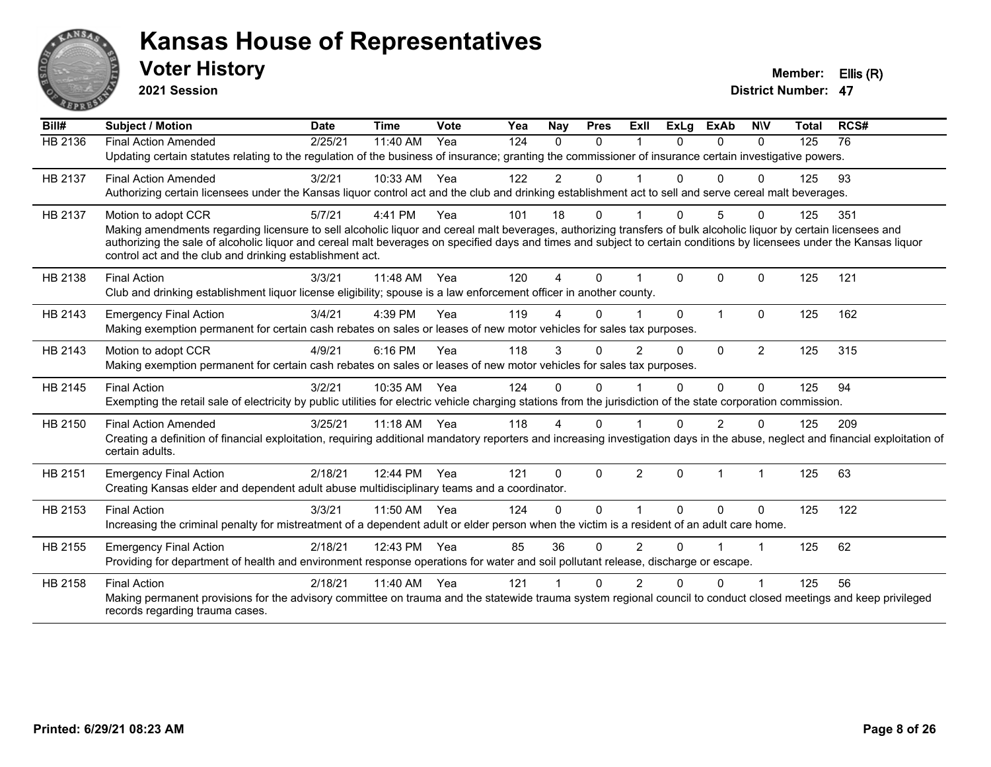

**2021 Session**

| Bill#   | <b>Subject / Motion</b>                                                                                                                                                                                                           | <b>Date</b> | <b>Time</b> | Vote | Yea | Nay            | <b>Pres</b> | <b>ExII</b>    | <b>ExLg</b> | <b>ExAb</b>  | <b>NIV</b>           | <b>Total</b> | RCS# |
|---------|-----------------------------------------------------------------------------------------------------------------------------------------------------------------------------------------------------------------------------------|-------------|-------------|------|-----|----------------|-------------|----------------|-------------|--------------|----------------------|--------------|------|
| HB 2136 | <b>Final Action Amended</b>                                                                                                                                                                                                       | 2/25/21     | 11:40 AM    | Yea  | 124 | $\Omega$       | $\Omega$    |                | $\Omega$    | $\Omega$     | $\Omega$             | 125          | 76   |
|         | Updating certain statutes relating to the regulation of the business of insurance; granting the commissioner of insurance certain investigative powers.                                                                           |             |             |      |     |                |             |                |             |              |                      |              |      |
| HB 2137 | <b>Final Action Amended</b>                                                                                                                                                                                                       | 3/2/21      | 10:33 AM    | Yea  | 122 | $\overline{2}$ | 0           |                | 0           | $\Omega$     | $\Omega$             | 125          | 93   |
|         | Authorizing certain licensees under the Kansas liquor control act and the club and drinking establishment act to sell and serve cereal malt beverages.                                                                            |             |             |      |     |                |             |                |             |              |                      |              |      |
| HB 2137 | Motion to adopt CCR                                                                                                                                                                                                               | 5/7/21      | 4:41 PM     | Yea  | 101 | 18             | 0           |                | 0           | 5            | $\Omega$             | 125          | 351  |
|         | Making amendments regarding licensure to sell alcoholic liquor and cereal malt beverages, authorizing transfers of bulk alcoholic liquor by certain licensees and                                                                 |             |             |      |     |                |             |                |             |              |                      |              |      |
|         | authorizing the sale of alcoholic liquor and cereal malt beverages on specified days and times and subject to certain conditions by licensees under the Kansas liquor<br>control act and the club and drinking establishment act. |             |             |      |     |                |             |                |             |              |                      |              |      |
|         |                                                                                                                                                                                                                                   |             |             |      |     |                |             |                |             |              |                      |              |      |
| HB 2138 | <b>Final Action</b>                                                                                                                                                                                                               | 3/3/21      | 11:48 AM    | Yea  | 120 | 4              | $\Omega$    |                | $\Omega$    | $\Omega$     | $\mathbf{0}$         | 125          | 121  |
|         | Club and drinking establishment liquor license eligibility; spouse is a law enforcement officer in another county.                                                                                                                |             |             |      |     |                |             |                |             |              |                      |              |      |
| HB 2143 | <b>Emergency Final Action</b>                                                                                                                                                                                                     | 3/4/21      | 4:39 PM     | Yea  | 119 |                | $\Omega$    |                | $\Omega$    | $\mathbf{1}$ | $\Omega$             | 125          | 162  |
|         | Making exemption permanent for certain cash rebates on sales or leases of new motor vehicles for sales tax purposes.                                                                                                              |             |             |      |     |                |             |                |             |              |                      |              |      |
| HB 2143 | Motion to adopt CCR                                                                                                                                                                                                               | 4/9/21      | 6:16 PM     | Yea  | 118 | 3              | $\Omega$    | $\overline{2}$ | $\Omega$    | $\mathbf{0}$ | $\overline{2}$       | 125          | 315  |
|         | Making exemption permanent for certain cash rebates on sales or leases of new motor vehicles for sales tax purposes.                                                                                                              |             |             |      |     |                |             |                |             |              |                      |              |      |
| HB 2145 | <b>Final Action</b>                                                                                                                                                                                                               | 3/2/21      | 10:35 AM    | Yea  | 124 | $\Omega$       | $\Omega$    |                | $\Omega$    | 0            | $\Omega$             | 125          | 94   |
|         | Exempting the retail sale of electricity by public utilities for electric vehicle charging stations from the jurisdiction of the state corporation commission.                                                                    |             |             |      |     |                |             |                |             |              |                      |              |      |
| HB 2150 | <b>Final Action Amended</b>                                                                                                                                                                                                       | 3/25/21     | $11:18$ AM  | Yea  | 118 | 4              | 0           |                | U           | 2            | n                    | 125          | 209  |
|         | Creating a definition of financial exploitation, requiring additional mandatory reporters and increasing investigation days in the abuse, neglect and financial exploitation of                                                   |             |             |      |     |                |             |                |             |              |                      |              |      |
|         | certain adults.                                                                                                                                                                                                                   |             |             |      |     |                |             |                |             |              |                      |              |      |
| HB 2151 | <b>Emergency Final Action</b>                                                                                                                                                                                                     | 2/18/21     | 12:44 PM    | Yea  | 121 | $\Omega$       | $\Omega$    | $\overline{2}$ | $\Omega$    | 1            | $\blacktriangleleft$ | 125          | 63   |
|         | Creating Kansas elder and dependent adult abuse multidisciplinary teams and a coordinator.                                                                                                                                        |             |             |      |     |                |             |                |             |              |                      |              |      |
| HB 2153 | <b>Final Action</b>                                                                                                                                                                                                               | 3/3/21      | 11:50 AM    | Yea  | 124 | 0              | $\Omega$    |                | $\Omega$    | $\Omega$     | $\mathbf{0}$         | 125          | 122  |
|         | Increasing the criminal penalty for mistreatment of a dependent adult or elder person when the victim is a resident of an adult care home.                                                                                        |             |             |      |     |                |             |                |             |              |                      |              |      |
| HB 2155 | <b>Emergency Final Action</b>                                                                                                                                                                                                     | 2/18/21     | 12:43 PM    | Yea  | 85  | 36             | $\Omega$    | $\overline{2}$ | $\Omega$    |              | -1                   | 125          | 62   |
|         | Providing for department of health and environment response operations for water and soil pollutant release, discharge or escape.                                                                                                 |             |             |      |     |                |             |                |             |              |                      |              |      |
| HB 2158 | <b>Final Action</b>                                                                                                                                                                                                               | 2/18/21     | 11:40 AM    | Yea  | 121 |                | $\Omega$    | 2              | U           | $\Omega$     |                      | 125          | 56   |
|         | Making permanent provisions for the advisory committee on trauma and the statewide trauma system regional council to conduct closed meetings and keep privileged                                                                  |             |             |      |     |                |             |                |             |              |                      |              |      |
|         | records regarding trauma cases.                                                                                                                                                                                                   |             |             |      |     |                |             |                |             |              |                      |              |      |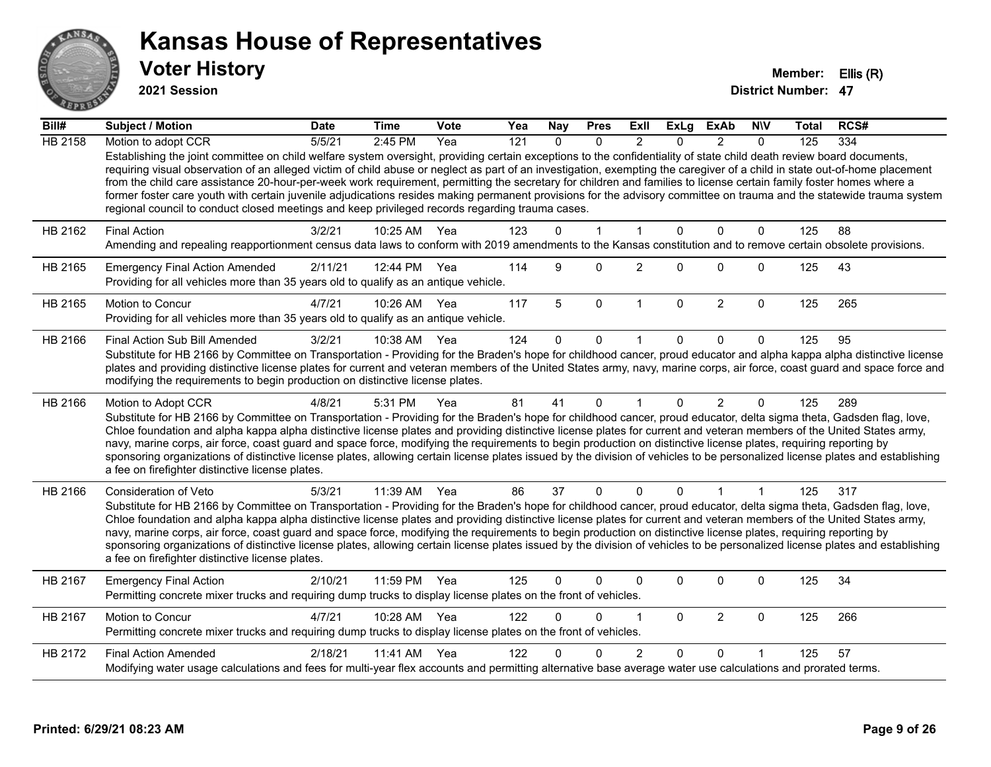

**2021 Session**

| Bill#          | Subject / Motion                                                                                                                                                                                                                                                                                                                                                                                                                                                                                                                                                                                                                                                                                                                                                                                      | <b>Date</b> | <b>Time</b>  | Vote | Yea              | <b>Nay</b>   | <b>Pres</b>  | Exll                 | <b>ExLg</b>  | <b>ExAb</b>    | <b>NIV</b>   | <b>Total</b> | RCS# |
|----------------|-------------------------------------------------------------------------------------------------------------------------------------------------------------------------------------------------------------------------------------------------------------------------------------------------------------------------------------------------------------------------------------------------------------------------------------------------------------------------------------------------------------------------------------------------------------------------------------------------------------------------------------------------------------------------------------------------------------------------------------------------------------------------------------------------------|-------------|--------------|------|------------------|--------------|--------------|----------------------|--------------|----------------|--------------|--------------|------|
| <b>HB 2158</b> | Motion to adopt CCR                                                                                                                                                                                                                                                                                                                                                                                                                                                                                                                                                                                                                                                                                                                                                                                   | 5/5/21      | 2:45 PM      | Yea  | $\overline{121}$ | $\Omega$     | $\Omega$     | $\mathcal{P}$        | $\Omega$     | $\mathcal{P}$  | $\Omega$     | 125          | 334  |
|                | Establishing the joint committee on child welfare system oversight, providing certain exceptions to the confidentiality of state child death review board documents,<br>requiring visual observation of an alleged victim of child abuse or neglect as part of an investigation, exempting the caregiver of a child in state out-of-home placement<br>from the child care assistance 20-hour-per-week work requirement, permitting the secretary for children and families to license certain family foster homes where a<br>former foster care youth with certain juvenile adjudications resides making permanent provisions for the advisory committee on trauma and the statewide trauma system<br>regional council to conduct closed meetings and keep privileged records regarding trauma cases. |             |              |      |                  |              |              |                      |              |                |              |              |      |
| HB 2162        | <b>Final Action</b>                                                                                                                                                                                                                                                                                                                                                                                                                                                                                                                                                                                                                                                                                                                                                                                   | 3/2/21      | 10:25 AM     | Yea  | 123              | $\Omega$     | $\mathbf{1}$ | 1                    | $\mathbf{0}$ | $\mathbf 0$    | $\mathbf{0}$ | 125          | 88   |
|                | Amending and repealing reapportionment census data laws to conform with 2019 amendments to the Kansas constitution and to remove certain obsolete provisions.                                                                                                                                                                                                                                                                                                                                                                                                                                                                                                                                                                                                                                         |             |              |      |                  |              |              |                      |              |                |              |              |      |
| HB 2165        | <b>Emergency Final Action Amended</b><br>Providing for all vehicles more than 35 years old to qualify as an antique vehicle.                                                                                                                                                                                                                                                                                                                                                                                                                                                                                                                                                                                                                                                                          | 2/11/21     | 12:44 PM Yea |      | 114              | 9            | $\Omega$     | $\overline{2}$       | $\Omega$     | $\Omega$       | $\mathbf{0}$ | 125          | 43   |
| HB 2165        | Motion to Concur<br>Providing for all vehicles more than 35 years old to qualify as an antique vehicle.                                                                                                                                                                                                                                                                                                                                                                                                                                                                                                                                                                                                                                                                                               | 4/7/21      | 10:26 AM     | Yea  | 117              | 5            | $\mathbf 0$  | $\mathbf{1}$         | $\mathbf{0}$ | $\overline{2}$ | $\mathbf{0}$ | 125          | 265  |
| HB 2166        | Final Action Sub Bill Amended                                                                                                                                                                                                                                                                                                                                                                                                                                                                                                                                                                                                                                                                                                                                                                         | 3/2/21      | 10:38 AM     | Yea  | 124              | $\mathbf{0}$ | 0            |                      | $\Omega$     | $\Omega$       | $\Omega$     | 125          | 95   |
|                | Substitute for HB 2166 by Committee on Transportation - Providing for the Braden's hope for childhood cancer, proud educator and alpha kappa alpha distinctive license<br>plates and providing distinctive license plates for current and veteran members of the United States army, navy, marine corps, air force, coast guard and space force and<br>modifying the requirements to begin production on distinctive license plates.                                                                                                                                                                                                                                                                                                                                                                  |             |              |      |                  |              |              |                      |              |                |              |              |      |
| HB 2166        | Motion to Adopt CCR                                                                                                                                                                                                                                                                                                                                                                                                                                                                                                                                                                                                                                                                                                                                                                                   | 4/8/21      | 5:31 PM      | Yea  | 81               | 41           | $\mathbf{0}$ | $\blacktriangleleft$ | $\Omega$     | $\overline{2}$ | $\mathbf{0}$ | 125          | 289  |
|                | Substitute for HB 2166 by Committee on Transportation - Providing for the Braden's hope for childhood cancer, proud educator, delta sigma theta, Gadsden flag, love,<br>Chloe foundation and alpha kappa alpha distinctive license plates and providing distinctive license plates for current and veteran members of the United States army,<br>navy, marine corps, air force, coast guard and space force, modifying the requirements to begin production on distinctive license plates, requiring reporting by<br>sponsoring organizations of distinctive license plates, allowing certain license plates issued by the division of vehicles to be personalized license plates and establishing<br>a fee on firefighter distinctive license plates.                                                |             |              |      |                  |              |              |                      |              |                |              |              |      |
| HB 2166        | Consideration of Veto                                                                                                                                                                                                                                                                                                                                                                                                                                                                                                                                                                                                                                                                                                                                                                                 | 5/3/21      | 11:39 AM     | Yea  | 86               | 37           | $\mathbf{0}$ | $\Omega$             | $\mathbf{0}$ | 1              | $\mathbf{1}$ | 125          | 317  |
|                | Substitute for HB 2166 by Committee on Transportation - Providing for the Braden's hope for childhood cancer, proud educator, delta sigma theta, Gadsden flag, love,<br>Chloe foundation and alpha kappa alpha distinctive license plates and providing distinctive license plates for current and veteran members of the United States army,<br>navy, marine corps, air force, coast guard and space force, modifying the requirements to begin production on distinctive license plates, requiring reporting by<br>sponsoring organizations of distinctive license plates, allowing certain license plates issued by the division of vehicles to be personalized license plates and establishing<br>a fee on firefighter distinctive license plates.                                                |             |              |      |                  |              |              |                      |              |                |              |              |      |
| HB 2167        | <b>Emergency Final Action</b><br>Permitting concrete mixer trucks and requiring dump trucks to display license plates on the front of vehicles.                                                                                                                                                                                                                                                                                                                                                                                                                                                                                                                                                                                                                                                       | 2/10/21     | 11:59 PM     | Yea  | 125              | $\Omega$     | 0            | $\mathbf{0}$         | $\Omega$     | $\Omega$       | 0            | 125          | 34   |
| HB 2167        | Motion to Concur<br>Permitting concrete mixer trucks and requiring dump trucks to display license plates on the front of vehicles.                                                                                                                                                                                                                                                                                                                                                                                                                                                                                                                                                                                                                                                                    | 4/7/21      | 10:28 AM     | Yea  | 122              | $\Omega$     | $\Omega$     | 1                    | $\mathbf{0}$ | $\overline{2}$ | $\mathbf 0$  | 125          | 266  |
| HB 2172        | <b>Final Action Amended</b>                                                                                                                                                                                                                                                                                                                                                                                                                                                                                                                                                                                                                                                                                                                                                                           | 2/18/21     | 11:41 AM     | Yea  | 122              | U            | $\Omega$     | $\overline{2}$       | $\Omega$     | $\Omega$       |              | 125          | 57   |
|                | Modifying water usage calculations and fees for multi-year flex accounts and permitting alternative base average water use calculations and prorated terms.                                                                                                                                                                                                                                                                                                                                                                                                                                                                                                                                                                                                                                           |             |              |      |                  |              |              |                      |              |                |              |              |      |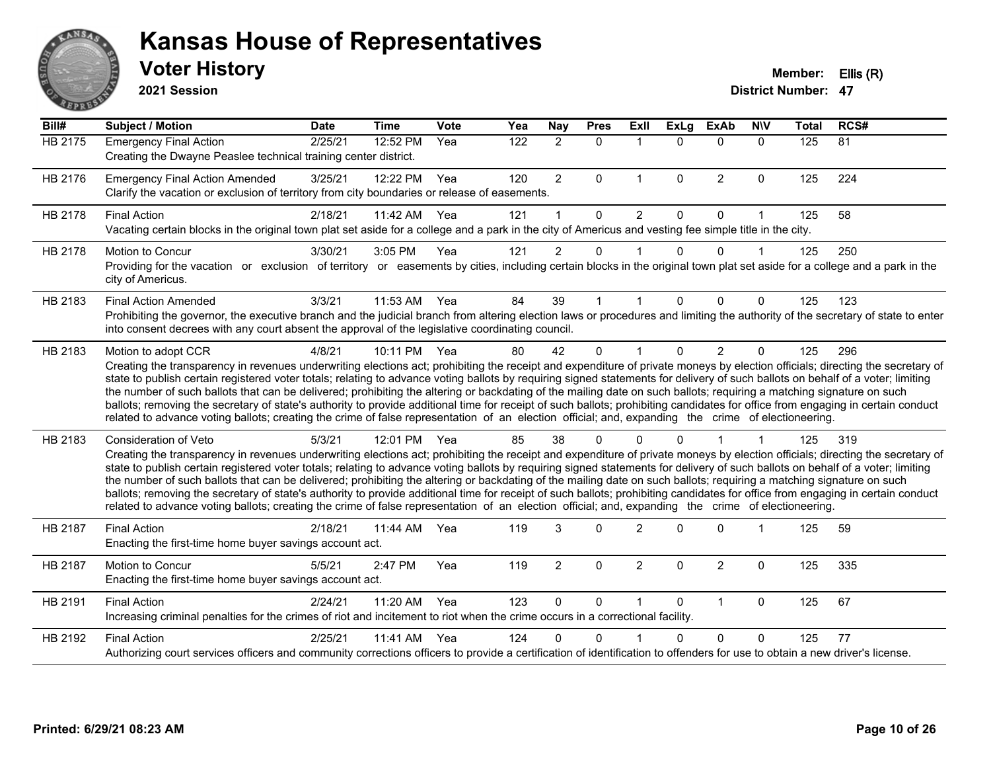

#### **Voter History Member: Ellis (R) Kansas House of Representatives**

**2021 Session**

| Bill#   | <b>Subject / Motion</b>                                                                                                                                                                                                                                                                                                                                                                                                                                                                                                                                                                                                                                                                                                                                                                                                                                                                                    | <b>Date</b> | <b>Time</b> | Vote | Yea | Nay            | <b>Pres</b> | ExIl           | <b>ExLg</b>  | <b>ExAb</b>    | <b>NIV</b>   | <b>Total</b> | RCS# |
|---------|------------------------------------------------------------------------------------------------------------------------------------------------------------------------------------------------------------------------------------------------------------------------------------------------------------------------------------------------------------------------------------------------------------------------------------------------------------------------------------------------------------------------------------------------------------------------------------------------------------------------------------------------------------------------------------------------------------------------------------------------------------------------------------------------------------------------------------------------------------------------------------------------------------|-------------|-------------|------|-----|----------------|-------------|----------------|--------------|----------------|--------------|--------------|------|
| HB 2175 | <b>Emergency Final Action</b><br>Creating the Dwayne Peaslee technical training center district.                                                                                                                                                                                                                                                                                                                                                                                                                                                                                                                                                                                                                                                                                                                                                                                                           | 2/25/21     | 12:52 PM    | Yea  | 122 | $\overline{2}$ | $\mathbf 0$ | $\mathbf 1$    | $\Omega$     | $\Omega$       | $\mathbf{0}$ | 125          | 81   |
| HB 2176 | <b>Emergency Final Action Amended</b><br>Clarify the vacation or exclusion of territory from city boundaries or release of easements.                                                                                                                                                                                                                                                                                                                                                                                                                                                                                                                                                                                                                                                                                                                                                                      | 3/25/21     | 12:22 PM    | Yea  | 120 | $\overline{2}$ | $\Omega$    | $\mathbf 1$    | $\mathbf{0}$ | $\overline{2}$ | $\Omega$     | 125          | 224  |
| HB 2178 | <b>Final Action</b><br>Vacating certain blocks in the original town plat set aside for a college and a park in the city of Americus and vesting fee simple title in the city.                                                                                                                                                                                                                                                                                                                                                                                                                                                                                                                                                                                                                                                                                                                              | 2/18/21     | 11:42 AM    | Yea  | 121 |                | $\Omega$    | $\overline{2}$ | $\Omega$     | $\Omega$       | 1            | 125          | 58   |
| HB 2178 | Motion to Concur<br>Providing for the vacation or exclusion of territory or easements by cities, including certain blocks in the original town plat set aside for a college and a park in the<br>city of Americus.                                                                                                                                                                                                                                                                                                                                                                                                                                                                                                                                                                                                                                                                                         | 3/30/21     | 3:05 PM     | Yea  | 121 | $\overline{2}$ | 0           |                | $\Omega$     | 0              | $\mathbf 1$  | 125          | 250  |
| HB 2183 | <b>Final Action Amended</b><br>Prohibiting the governor, the executive branch and the judicial branch from altering election laws or procedures and limiting the authority of the secretary of state to enter<br>into consent decrees with any court absent the approval of the legislative coordinating council.                                                                                                                                                                                                                                                                                                                                                                                                                                                                                                                                                                                          | 3/3/21      | 11:53 AM    | Yea  | 84  | 39             |             |                | $\Omega$     | 0              | $\Omega$     | 125          | 123  |
| HB 2183 | Motion to adopt CCR<br>Creating the transparency in revenues underwriting elections act; prohibiting the receipt and expenditure of private moneys by election officials; directing the secretary of<br>state to publish certain registered voter totals; relating to advance voting ballots by requiring signed statements for delivery of such ballots on behalf of a voter; limiting<br>the number of such ballots that can be delivered; prohibiting the altering or backdating of the mailing date on such ballots; requiring a matching signature on such<br>ballots; removing the secretary of state's authority to provide additional time for receipt of such ballots; prohibiting candidates for office from engaging in certain conduct<br>related to advance voting ballots; creating the crime of false representation of an election official; and, expanding the crime of electioneering.   | 4/8/21      | 10:11 PM    | Yea  | 80  | 42             | $\Omega$    |                | $\Omega$     | $\overline{2}$ | $\Omega$     | 125          | 296  |
| HB 2183 | Consideration of Veto<br>Creating the transparency in revenues underwriting elections act; prohibiting the receipt and expenditure of private moneys by election officials; directing the secretary of<br>state to publish certain registered voter totals; relating to advance voting ballots by requiring signed statements for delivery of such ballots on behalf of a voter; limiting<br>the number of such ballots that can be delivered; prohibiting the altering or backdating of the mailing date on such ballots; requiring a matching signature on such<br>ballots; removing the secretary of state's authority to provide additional time for receipt of such ballots; prohibiting candidates for office from engaging in certain conduct<br>related to advance voting ballots; creating the crime of false representation of an election official; and, expanding the crime of electioneering. | 5/3/21      | 12:01 PM    | Yea  | 85  | 38             | ŋ           |                |              |                |              | 125          | 319  |
| HB 2187 | <b>Final Action</b><br>Enacting the first-time home buyer savings account act.                                                                                                                                                                                                                                                                                                                                                                                                                                                                                                                                                                                                                                                                                                                                                                                                                             | 2/18/21     | 11:44 AM    | Yea  | 119 | 3              | $\Omega$    | $\overline{2}$ | $\Omega$     | $\Omega$       |              | 125          | 59   |
| HB 2187 | Motion to Concur<br>Enacting the first-time home buyer savings account act.                                                                                                                                                                                                                                                                                                                                                                                                                                                                                                                                                                                                                                                                                                                                                                                                                                | 5/5/21      | 2:47 PM     | Yea  | 119 | $\overline{2}$ | $\Omega$    | $\overline{2}$ | $\Omega$     | $\overline{2}$ | $\Omega$     | 125          | 335  |
| HB 2191 | <b>Final Action</b><br>Increasing criminal penalties for the crimes of riot and incitement to riot when the crime occurs in a correctional facility.                                                                                                                                                                                                                                                                                                                                                                                                                                                                                                                                                                                                                                                                                                                                                       | 2/24/21     | 11:20 AM    | Yea  | 123 | $\Omega$       | $\Omega$    |                | $\Omega$     | $\mathbf{1}$   | $\Omega$     | 125          | 67   |
| HB 2192 | <b>Final Action</b><br>Authorizing court services officers and community corrections officers to provide a certification of identification to offenders for use to obtain a new driver's license.                                                                                                                                                                                                                                                                                                                                                                                                                                                                                                                                                                                                                                                                                                          | 2/25/21     | 11:41 AM    | Yea  | 124 | n              | ∩           |                | 0            | $\Omega$       | 0            | 125          | 77   |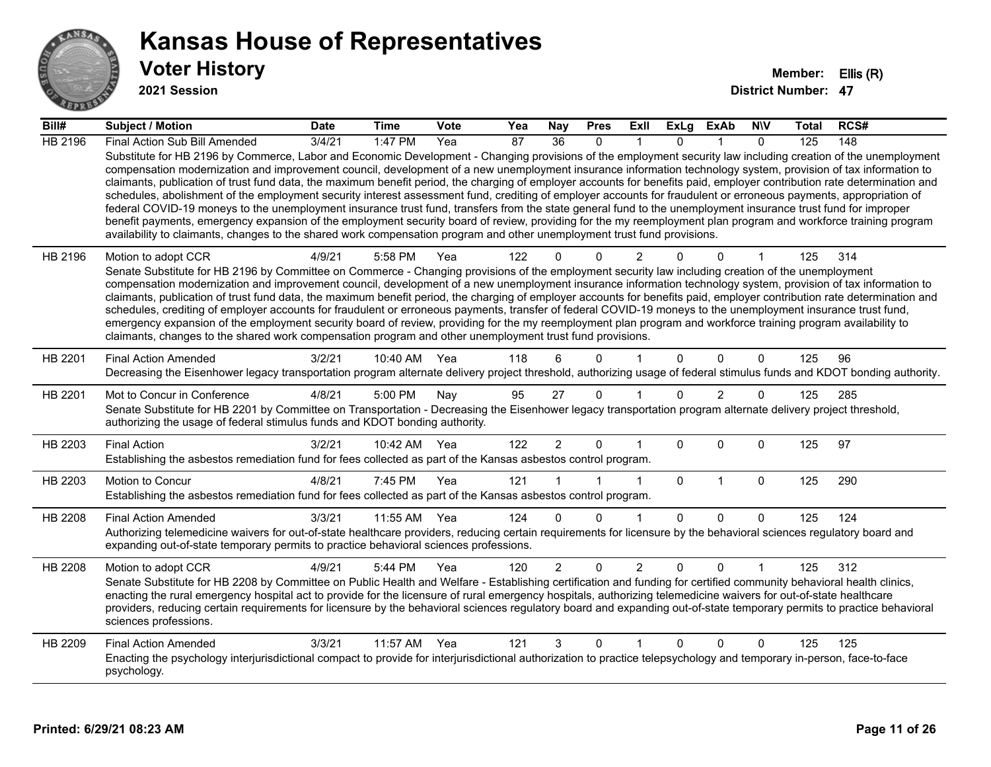

#### **Voter History Member: Ellis (R) Kansas House of Representatives**

**2021 Session**

| Bill#   | Subject / Motion                                                                                                                                                                                                                                                                                                                                                                                                                                                                                                                                                                                                                                                                                                                                                                                                                                                                                                                                                                                                                                                                                                                                  | <b>Date</b> | <b>Time</b>  | Vote | Yea | <b>Nay</b>      | <b>Pres</b>  | ExII           | ExLg         | ExAb           | <b>NIV</b>   | Total | RCS# |
|---------|---------------------------------------------------------------------------------------------------------------------------------------------------------------------------------------------------------------------------------------------------------------------------------------------------------------------------------------------------------------------------------------------------------------------------------------------------------------------------------------------------------------------------------------------------------------------------------------------------------------------------------------------------------------------------------------------------------------------------------------------------------------------------------------------------------------------------------------------------------------------------------------------------------------------------------------------------------------------------------------------------------------------------------------------------------------------------------------------------------------------------------------------------|-------------|--------------|------|-----|-----------------|--------------|----------------|--------------|----------------|--------------|-------|------|
| HB 2196 | Final Action Sub Bill Amended                                                                                                                                                                                                                                                                                                                                                                                                                                                                                                                                                                                                                                                                                                                                                                                                                                                                                                                                                                                                                                                                                                                     | 3/4/21      | 1:47 PM      | Yea  | 87  | $\overline{36}$ | $\mathbf{0}$ |                | $\Omega$     |                | $\mathbf{0}$ | 125   | 148  |
|         | Substitute for HB 2196 by Commerce, Labor and Economic Development - Changing provisions of the employment security law including creation of the unemployment<br>compensation modernization and improvement council, development of a new unemployment insurance information technology system, provision of tax information to<br>claimants, publication of trust fund data, the maximum benefit period, the charging of employer accounts for benefits paid, employer contribution rate determination and<br>schedules, abolishment of the employment security interest assessment fund, crediting of employer accounts for fraudulent or erroneous payments, appropriation of<br>federal COVID-19 moneys to the unemployment insurance trust fund, transfers from the state general fund to the unemployment insurance trust fund for improper<br>benefit payments, emergency expansion of the employment security board of review, providing for the my reemployment plan program and workforce training program<br>availability to claimants, changes to the shared work compensation program and other unemployment trust fund provisions. |             |              |      |     |                 |              |                |              |                |              |       |      |
| HB 2196 | Motion to adopt CCR                                                                                                                                                                                                                                                                                                                                                                                                                                                                                                                                                                                                                                                                                                                                                                                                                                                                                                                                                                                                                                                                                                                               | 4/9/21      | 5:58 PM      | Yea  | 122 |                 | $\Omega$     | $\overline{2}$ |              | U              |              | 125   | 314  |
|         | Senate Substitute for HB 2196 by Committee on Commerce - Changing provisions of the employment security law including creation of the unemployment                                                                                                                                                                                                                                                                                                                                                                                                                                                                                                                                                                                                                                                                                                                                                                                                                                                                                                                                                                                                |             |              |      |     |                 |              |                |              |                |              |       |      |
|         | compensation modernization and improvement council, development of a new unemployment insurance information technology system, provision of tax information to<br>claimants, publication of trust fund data, the maximum benefit period, the charging of employer accounts for benefits paid, employer contribution rate determination and                                                                                                                                                                                                                                                                                                                                                                                                                                                                                                                                                                                                                                                                                                                                                                                                        |             |              |      |     |                 |              |                |              |                |              |       |      |
|         | schedules, crediting of employer accounts for fraudulent or erroneous payments, transfer of federal COVID-19 moneys to the unemployment insurance trust fund,                                                                                                                                                                                                                                                                                                                                                                                                                                                                                                                                                                                                                                                                                                                                                                                                                                                                                                                                                                                     |             |              |      |     |                 |              |                |              |                |              |       |      |
|         | emergency expansion of the employment security board of review, providing for the my reemployment plan program and workforce training program availability to                                                                                                                                                                                                                                                                                                                                                                                                                                                                                                                                                                                                                                                                                                                                                                                                                                                                                                                                                                                     |             |              |      |     |                 |              |                |              |                |              |       |      |
|         | claimants, changes to the shared work compensation program and other unemployment trust fund provisions.                                                                                                                                                                                                                                                                                                                                                                                                                                                                                                                                                                                                                                                                                                                                                                                                                                                                                                                                                                                                                                          |             |              |      |     |                 |              |                |              |                |              |       |      |
| HB 2201 | <b>Final Action Amended</b>                                                                                                                                                                                                                                                                                                                                                                                                                                                                                                                                                                                                                                                                                                                                                                                                                                                                                                                                                                                                                                                                                                                       | 3/2/21      | 10:40 AM     | Yea  | 118 | 6               | $\Omega$     |                | $\Omega$     | $\Omega$       | $\mathbf{0}$ | 125   | 96   |
|         | Decreasing the Eisenhower legacy transportation program alternate delivery project threshold, authorizing usage of federal stimulus funds and KDOT bonding authority.                                                                                                                                                                                                                                                                                                                                                                                                                                                                                                                                                                                                                                                                                                                                                                                                                                                                                                                                                                             |             |              |      |     |                 |              |                |              |                |              |       |      |
| HB 2201 | Mot to Concur in Conference                                                                                                                                                                                                                                                                                                                                                                                                                                                                                                                                                                                                                                                                                                                                                                                                                                                                                                                                                                                                                                                                                                                       | 4/8/21      | 5:00 PM      | Nay  | 95  | 27              | $\mathbf{0}$ |                | $\Omega$     | $\overline{2}$ | 0            | 125   | 285  |
|         | Senate Substitute for HB 2201 by Committee on Transportation - Decreasing the Eisenhower legacy transportation program alternate delivery project threshold,<br>authorizing the usage of federal stimulus funds and KDOT bonding authority.                                                                                                                                                                                                                                                                                                                                                                                                                                                                                                                                                                                                                                                                                                                                                                                                                                                                                                       |             |              |      |     |                 |              |                |              |                |              |       |      |
| HB 2203 | <b>Final Action</b>                                                                                                                                                                                                                                                                                                                                                                                                                                                                                                                                                                                                                                                                                                                                                                                                                                                                                                                                                                                                                                                                                                                               | 3/2/21      | 10:42 AM Yea |      | 122 | $\overline{2}$  | $\mathbf{0}$ |                | $\Omega$     | $\Omega$       | $\mathbf{0}$ | 125   | 97   |
|         | Establishing the asbestos remediation fund for fees collected as part of the Kansas asbestos control program.                                                                                                                                                                                                                                                                                                                                                                                                                                                                                                                                                                                                                                                                                                                                                                                                                                                                                                                                                                                                                                     |             |              |      |     |                 |              |                |              |                |              |       |      |
| HB 2203 | Motion to Concur                                                                                                                                                                                                                                                                                                                                                                                                                                                                                                                                                                                                                                                                                                                                                                                                                                                                                                                                                                                                                                                                                                                                  | 4/8/21      | 7:45 PM      | Yea  | 121 |                 |              | $\mathbf{1}$   | $\mathbf 0$  | $\mathbf{1}$   | $\mathbf 0$  | 125   | 290  |
|         | Establishing the asbestos remediation fund for fees collected as part of the Kansas asbestos control program.                                                                                                                                                                                                                                                                                                                                                                                                                                                                                                                                                                                                                                                                                                                                                                                                                                                                                                                                                                                                                                     |             |              |      |     |                 |              |                |              |                |              |       |      |
| HB 2208 | <b>Final Action Amended</b>                                                                                                                                                                                                                                                                                                                                                                                                                                                                                                                                                                                                                                                                                                                                                                                                                                                                                                                                                                                                                                                                                                                       | 3/3/21      | 11:55 AM     | Yea  | 124 | $\Omega$        | $\Omega$     | 1              | $\Omega$     | $\Omega$       | $\Omega$     | 125   | 124  |
|         | Authorizing telemedicine waivers for out-of-state healthcare providers, reducing certain requirements for licensure by the behavioral sciences regulatory board and                                                                                                                                                                                                                                                                                                                                                                                                                                                                                                                                                                                                                                                                                                                                                                                                                                                                                                                                                                               |             |              |      |     |                 |              |                |              |                |              |       |      |
|         | expanding out-of-state temporary permits to practice behavioral sciences professions.                                                                                                                                                                                                                                                                                                                                                                                                                                                                                                                                                                                                                                                                                                                                                                                                                                                                                                                                                                                                                                                             |             |              |      |     |                 |              |                |              |                |              |       |      |
| HB 2208 | Motion to adopt CCR                                                                                                                                                                                                                                                                                                                                                                                                                                                                                                                                                                                                                                                                                                                                                                                                                                                                                                                                                                                                                                                                                                                               | 4/9/21      | 5:44 PM      | Yea  | 120 | $\overline{2}$  | $\mathbf 0$  | $\overline{2}$ | $\mathbf{0}$ | $\Omega$       |              | 125   | 312  |
|         | Senate Substitute for HB 2208 by Committee on Public Health and Welfare - Establishing certification and funding for certified community behavioral health clinics,<br>enacting the rural emergency hospital act to provide for the licensure of rural emergency hospitals, authorizing telemedicine waivers for out-of-state healthcare                                                                                                                                                                                                                                                                                                                                                                                                                                                                                                                                                                                                                                                                                                                                                                                                          |             |              |      |     |                 |              |                |              |                |              |       |      |
|         | providers, reducing certain requirements for licensure by the behavioral sciences regulatory board and expanding out-of-state temporary permits to practice behavioral                                                                                                                                                                                                                                                                                                                                                                                                                                                                                                                                                                                                                                                                                                                                                                                                                                                                                                                                                                            |             |              |      |     |                 |              |                |              |                |              |       |      |
|         | sciences professions.                                                                                                                                                                                                                                                                                                                                                                                                                                                                                                                                                                                                                                                                                                                                                                                                                                                                                                                                                                                                                                                                                                                             |             |              |      |     |                 |              |                |              |                |              |       |      |
| HB 2209 | <b>Final Action Amended</b>                                                                                                                                                                                                                                                                                                                                                                                                                                                                                                                                                                                                                                                                                                                                                                                                                                                                                                                                                                                                                                                                                                                       | 3/3/21      | 11:57 AM     | Yea  | 121 | 3               | $\Omega$     |                | $\Omega$     | $\Omega$       | $\Omega$     | 125   | 125  |
|         | Enacting the psychology interjurisdictional compact to provide for interjurisdictional authorization to practice telepsychology and temporary in-person, face-to-face<br>psychology.                                                                                                                                                                                                                                                                                                                                                                                                                                                                                                                                                                                                                                                                                                                                                                                                                                                                                                                                                              |             |              |      |     |                 |              |                |              |                |              |       |      |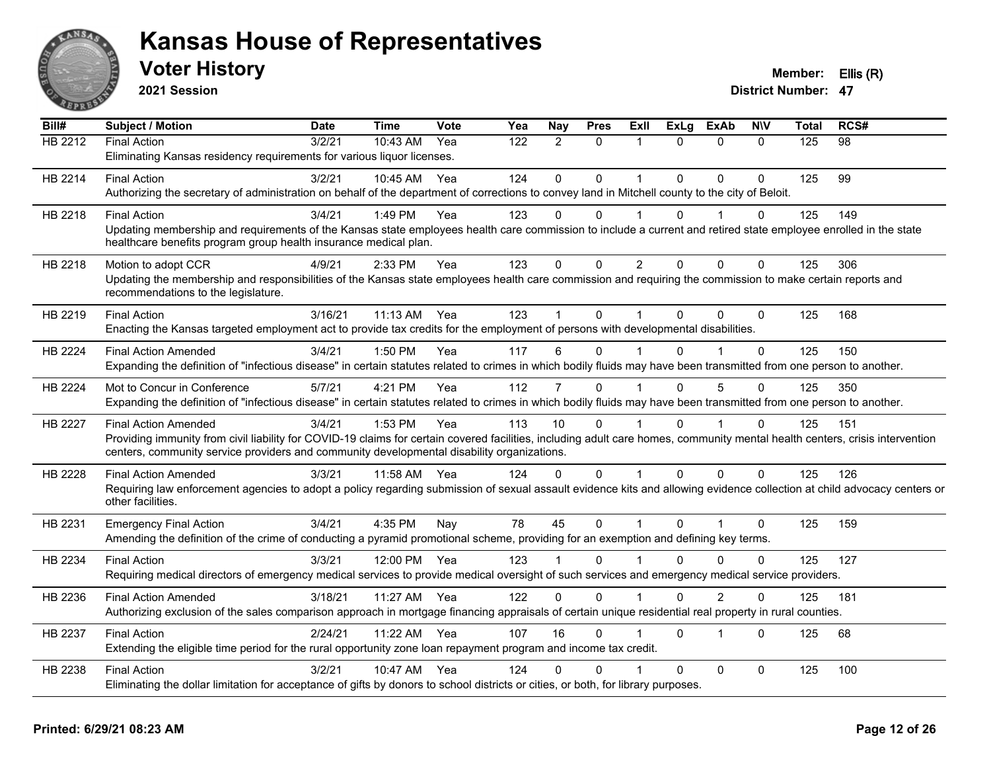

**2021 Session**

| Bill#   | <b>Subject / Motion</b>                                                                                                                                                      | <b>Date</b> | <b>Time</b> | Vote | Yea | Nay            | <b>Pres</b>  | ExII                 | <b>ExLg</b>  | <b>ExAb</b>    | <b>NIV</b>   | <b>Total</b> | RCS# |
|---------|------------------------------------------------------------------------------------------------------------------------------------------------------------------------------|-------------|-------------|------|-----|----------------|--------------|----------------------|--------------|----------------|--------------|--------------|------|
| HB 2212 | <b>Final Action</b>                                                                                                                                                          | 3/2/21      | 10:43 AM    | Yea  | 122 | $\overline{2}$ | $\mathbf{0}$ | 1                    | $\Omega$     | $\Omega$       | $\Omega$     | 125          | 98   |
|         | Eliminating Kansas residency requirements for various liquor licenses.                                                                                                       |             |             |      |     |                |              |                      |              |                |              |              |      |
| HB 2214 | <b>Final Action</b>                                                                                                                                                          | 3/2/21      | 10:45 AM    | Yea  | 124 | $\Omega$       | $\mathbf{0}$ | $\mathbf 1$          | $\Omega$     | $\Omega$       | $\Omega$     | 125          | 99   |
|         | Authorizing the secretary of administration on behalf of the department of corrections to convey land in Mitchell county to the city of Beloit.                              |             |             |      |     |                |              |                      |              |                |              |              |      |
| HB 2218 | <b>Final Action</b>                                                                                                                                                          | 3/4/21      | 1:49 PM     | Yea  | 123 | 0              | $\Omega$     |                      | $\Omega$     |                | 0            | 125          | 149  |
|         | Updating membership and requirements of the Kansas state employees health care commission to include a current and retired state employee enrolled in the state              |             |             |      |     |                |              |                      |              |                |              |              |      |
|         | healthcare benefits program group health insurance medical plan.                                                                                                             |             |             |      |     |                |              |                      |              |                |              |              |      |
| HB 2218 | Motion to adopt CCR                                                                                                                                                          | 4/9/21      | 2:33 PM     | Yea  | 123 | $\Omega$       | $\mathbf 0$  | $\overline{2}$       | $\mathbf{0}$ | $\mathbf 0$    | 0            | 125          | 306  |
|         | Updating the membership and responsibilities of the Kansas state employees health care commission and requiring the commission to make certain reports and                   |             |             |      |     |                |              |                      |              |                |              |              |      |
|         | recommendations to the legislature.                                                                                                                                          |             |             |      |     |                |              |                      |              |                |              |              |      |
| HB 2219 | <b>Final Action</b>                                                                                                                                                          | 3/16/21     | 11:13 AM    | Yea  | 123 |                | $\Omega$     |                      | $\Omega$     | 0              | $\Omega$     | 125          | 168  |
|         | Enacting the Kansas targeted employment act to provide tax credits for the employment of persons with developmental disabilities.                                            |             |             |      |     |                |              |                      |              |                |              |              |      |
| HB 2224 | <b>Final Action Amended</b>                                                                                                                                                  | 3/4/21      | 1:50 PM     | Yea  | 117 | 6              | $\mathbf 0$  |                      | $\Omega$     | 1              | $\mathbf 0$  | 125          | 150  |
|         | Expanding the definition of "infectious disease" in certain statutes related to crimes in which bodily fluids may have been transmitted from one person to another.          |             |             |      |     |                |              |                      |              |                |              |              |      |
|         |                                                                                                                                                                              |             |             |      |     |                |              |                      |              |                |              |              |      |
| HB 2224 | Mot to Concur in Conference                                                                                                                                                  | 5/7/21      | 4:21 PM     | Yea  | 112 | 7              | $\Omega$     |                      | $\Omega$     | 5              | $\Omega$     | 125          | 350  |
|         | Expanding the definition of "infectious disease" in certain statutes related to crimes in which bodily fluids may have been transmitted from one person to another.          |             |             |      |     |                |              |                      |              |                |              |              |      |
| HB 2227 | <b>Final Action Amended</b>                                                                                                                                                  | 3/4/21      | 1:53 PM     | Yea  | 113 | 10             | $\Omega$     |                      | $\Omega$     |                | 0            | 125          | 151  |
|         | Providing immunity from civil liability for COVID-19 claims for certain covered facilities, including adult care homes, community mental health centers, crisis intervention |             |             |      |     |                |              |                      |              |                |              |              |      |
|         | centers, community service providers and community developmental disability organizations.                                                                                   |             |             |      |     |                |              |                      |              |                |              |              |      |
| HB 2228 | <b>Final Action Amended</b>                                                                                                                                                  | 3/3/21      | 11:58 AM    | Yea  | 124 | 0              | $\Omega$     | $\blacktriangleleft$ | $\Omega$     | $\Omega$       | $\mathbf{0}$ | 125          | 126  |
|         | Requiring law enforcement agencies to adopt a policy regarding submission of sexual assault evidence kits and allowing evidence collection at child advocacy centers or      |             |             |      |     |                |              |                      |              |                |              |              |      |
|         | other facilities.                                                                                                                                                            |             |             |      |     |                |              |                      |              |                |              |              |      |
| HB 2231 | <b>Emergency Final Action</b>                                                                                                                                                | 3/4/21      | 4:35 PM     | Nay  | 78  | 45             | $\mathbf 0$  | $\mathbf 1$          | $\Omega$     | 1              | $\mathbf 0$  | 125          | 159  |
|         | Amending the definition of the crime of conducting a pyramid promotional scheme, providing for an exemption and defining key terms.                                          |             |             |      |     |                |              |                      |              |                |              |              |      |
| HB 2234 | <b>Final Action</b>                                                                                                                                                          | 3/3/21      | 12:00 PM    | Yea  | 123 |                | $\Omega$     |                      | 0            | 0              | 0            | 125          | 127  |
|         | Requiring medical directors of emergency medical services to provide medical oversight of such services and emergency medical service providers.                             |             |             |      |     |                |              |                      |              |                |              |              |      |
| HB 2236 | <b>Final Action Amended</b>                                                                                                                                                  | 3/18/21     | 11:27 AM    | Yea  | 122 | 0              | $\mathbf{0}$ |                      | $\Omega$     | $\overline{2}$ | $\Omega$     | 125          | 181  |
|         | Authorizing exclusion of the sales comparison approach in mortgage financing appraisals of certain unique residential real property in rural counties.                       |             |             |      |     |                |              |                      |              |                |              |              |      |
|         | <b>Final Action</b>                                                                                                                                                          | 2/24/21     | 11:22 AM    | Yea  | 107 | 16             | $\Omega$     |                      | $\Omega$     | 1              | $\Omega$     | 125          | 68   |
| HB 2237 | Extending the eligible time period for the rural opportunity zone loan repayment program and income tax credit.                                                              |             |             |      |     |                |              |                      |              |                |              |              |      |
|         |                                                                                                                                                                              |             |             |      |     |                |              |                      |              |                |              |              |      |
| HB 2238 | <b>Final Action</b>                                                                                                                                                          | 3/2/21      | 10:47 AM    | Yea  | 124 | 0              | $\Omega$     |                      | $\Omega$     | $\Omega$       | $\mathbf 0$  | 125          | 100  |
|         | Eliminating the dollar limitation for acceptance of gifts by donors to school districts or cities, or both, for library purposes.                                            |             |             |      |     |                |              |                      |              |                |              |              |      |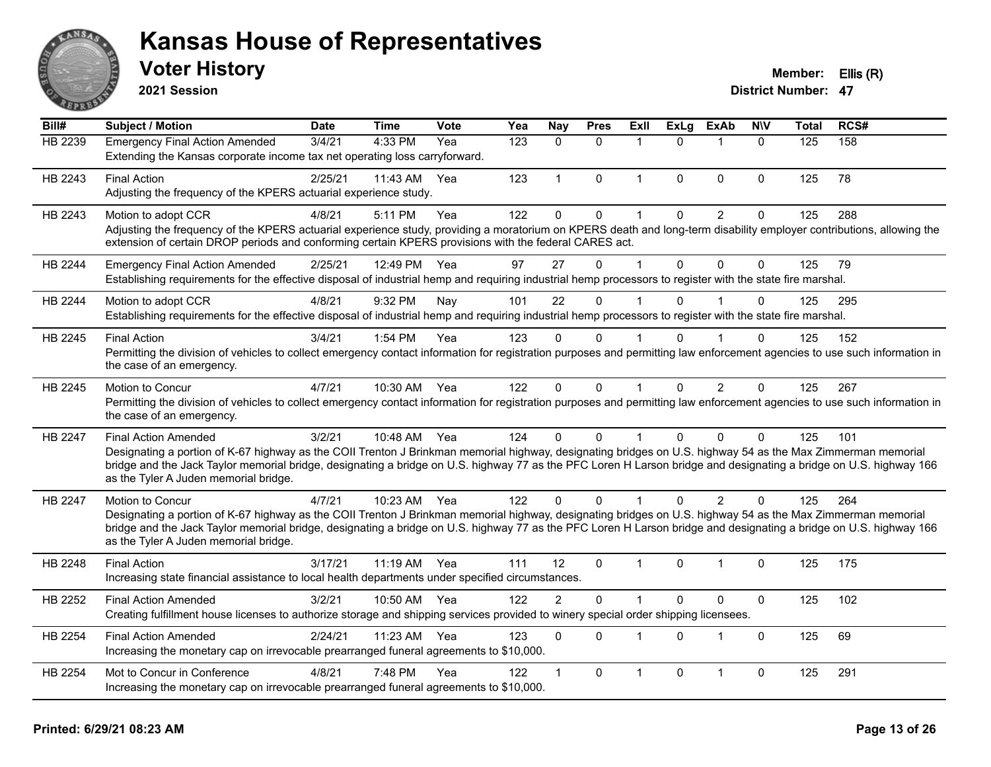

**2021 Session**

#### **Voter History Member: Ellis (R)**

| Bill#          | <b>Subject / Motion</b>                                                                                                                                                                                                                                                                                                                                                                                  | <b>Date</b> | <b>Time</b>  | Vote | Yea | Nay            | <b>Pres</b>  | <b>Exll</b>  | <b>ExLg</b>  | <b>ExAb</b>             | <b>NIV</b>   | <b>Total</b> | RCS# |
|----------------|----------------------------------------------------------------------------------------------------------------------------------------------------------------------------------------------------------------------------------------------------------------------------------------------------------------------------------------------------------------------------------------------------------|-------------|--------------|------|-----|----------------|--------------|--------------|--------------|-------------------------|--------------|--------------|------|
| HB 2239        | <b>Emergency Final Action Amended</b><br>Extending the Kansas corporate income tax net operating loss carryforward.                                                                                                                                                                                                                                                                                      | 3/4/21      | 4:33 PM      | Yea  | 123 | $\mathbf{0}$   | $\mathbf{0}$ | 1            | $\Omega$     | $\mathbf{1}$            | $\mathbf{0}$ | 125          | 158  |
| HB 2243        | <b>Final Action</b><br>Adjusting the frequency of the KPERS actuarial experience study.                                                                                                                                                                                                                                                                                                                  | 2/25/21     | 11:43 AM     | Yea  | 123 | 1              | $\Omega$     | 1            | $\mathbf{0}$ | $\mathbf{0}$            | $\Omega$     | 125          | 78   |
| HB 2243        | Motion to adopt CCR<br>Adjusting the frequency of the KPERS actuarial experience study, providing a moratorium on KPERS death and long-term disability employer contributions, allowing the<br>extension of certain DROP periods and conforming certain KPERS provisions with the federal CARES act.                                                                                                     | 4/8/21      | 5:11 PM      | Yea  | 122 | $\mathbf 0$    | 0            | $\mathbf{1}$ | 0            | $\overline{2}$          | 0            | 125          | 288  |
| HB 2244        | <b>Emergency Final Action Amended</b><br>Establishing requirements for the effective disposal of industrial hemp and requiring industrial hemp processors to register with the state fire marshal.                                                                                                                                                                                                       | 2/25/21     | 12:49 PM     | Yea  | 97  | 27             | $\Omega$     | $\mathbf 1$  | $\Omega$     | $\Omega$                | $\Omega$     | 125          | 79   |
| HB 2244        | Motion to adopt CCR<br>Establishing requirements for the effective disposal of industrial hemp and requiring industrial hemp processors to register with the state fire marshal.                                                                                                                                                                                                                         | 4/8/21      | 9:32 PM      | Nay  | 101 | 22             | $\Omega$     | 1            | $\Omega$     |                         | $\Omega$     | 125          | 295  |
| HB 2245        | <b>Final Action</b><br>Permitting the division of vehicles to collect emergency contact information for registration purposes and permitting law enforcement agencies to use such information in<br>the case of an emergency.                                                                                                                                                                            | 3/4/21      | 1:54 PM      | Yea  | 123 | 0              | 0            |              | $\Omega$     |                         | 0            | 125          | 152  |
| HB 2245        | Motion to Concur<br>Permitting the division of vehicles to collect emergency contact information for registration purposes and permitting law enforcement agencies to use such information in<br>the case of an emergency.                                                                                                                                                                               | 4/7/21      | 10:30 AM     | Yea  | 122 | $\mathbf{0}$   | $\Omega$     | $\mathbf{1}$ | $\mathbf{0}$ | 2                       | $\Omega$     | 125          | 267  |
| <b>HB 2247</b> | <b>Final Action Amended</b><br>Designating a portion of K-67 highway as the COII Trenton J Brinkman memorial highway, designating bridges on U.S. highway 54 as the Max Zimmerman memorial<br>bridge and the Jack Taylor memorial bridge, designating a bridge on U.S. highway 77 as the PFC Loren H Larson bridge and designating a bridge on U.S. highway 166<br>as the Tyler A Juden memorial bridge. | 3/2/21      | 10:48 AM Yea |      | 124 | $\Omega$       | $\Omega$     | 1            | $\Omega$     | $\mathbf{0}$            | $\Omega$     | 125          | 101  |
| <b>HB 2247</b> | <b>Motion to Concur</b><br>Designating a portion of K-67 highway as the COII Trenton J Brinkman memorial highway, designating bridges on U.S. highway 54 as the Max Zimmerman memorial<br>bridge and the Jack Taylor memorial bridge, designating a bridge on U.S. highway 77 as the PFC Loren H Larson bridge and designating a bridge on U.S. highway 166<br>as the Tyler A Juden memorial bridge.     | 4/7/21      | 10:23 AM Yea |      | 122 | $\Omega$       | $\Omega$     |              | $\Omega$     | $\mathcal{P}$           | $\Omega$     | 125          | 264  |
| HB 2248        | <b>Final Action</b><br>Increasing state financial assistance to local health departments under specified circumstances.                                                                                                                                                                                                                                                                                  | 3/17/21     | 11:19 AM     | Yea  | 111 | 12             | $\Omega$     | 1            | $\Omega$     | $\overline{1}$          | 0            | 125          | 175  |
| HB 2252        | <b>Final Action Amended</b><br>Creating fulfillment house licenses to authorize storage and shipping services provided to winery special order shipping licensees.                                                                                                                                                                                                                                       | 3/2/21      | 10:50 AM     | Yea  | 122 | $\overline{2}$ | 0            | 1            | $\mathbf{0}$ | $\mathbf 0$             | $\pmb{0}$    | 125          | 102  |
| HB 2254        | <b>Final Action Amended</b><br>Increasing the monetary cap on irrevocable prearranged funeral agreements to \$10,000.                                                                                                                                                                                                                                                                                    | 2/24/21     | 11:23 AM     | Yea  | 123 | $\Omega$       | $\Omega$     | 1            | $\Omega$     | $\overline{1}$          | $\Omega$     | 125          | 69   |
| HB 2254        | Mot to Concur in Conference<br>Increasing the monetary cap on irrevocable prearranged funeral agreements to \$10,000.                                                                                                                                                                                                                                                                                    | 4/8/21      | 7:48 PM      | Yea  | 122 |                | 0            | 1            | $\Omega$     | $\overline{\mathbf{1}}$ | 0            | 125          | 291  |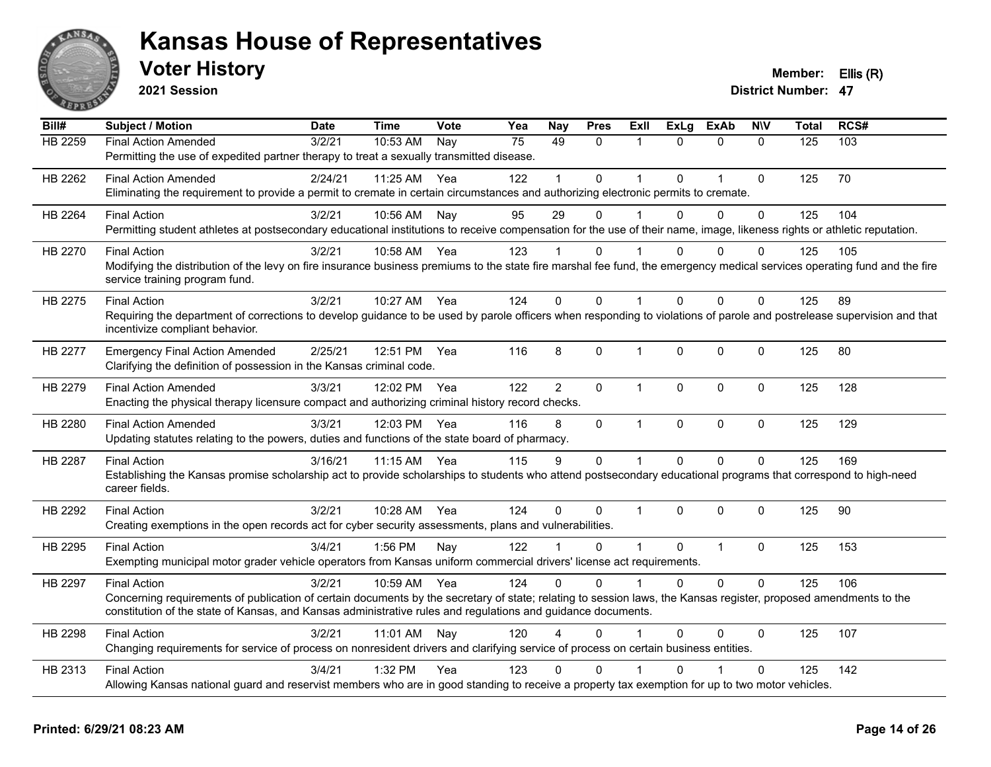

**2021 Session**

| Bill#   | <b>Subject / Motion</b>                                                                                                                                                                                                                                                                                 | <b>Date</b> | <b>Time</b> | Vote | Yea | Nay            | <b>Pres</b> | <b>ExII</b>    | <b>ExLg</b>  | <b>ExAb</b>    | <b>NIV</b>   | <b>Total</b> | RCS# |
|---------|---------------------------------------------------------------------------------------------------------------------------------------------------------------------------------------------------------------------------------------------------------------------------------------------------------|-------------|-------------|------|-----|----------------|-------------|----------------|--------------|----------------|--------------|--------------|------|
| HB 2259 | <b>Final Action Amended</b><br>Permitting the use of expedited partner therapy to treat a sexually transmitted disease.                                                                                                                                                                                 | 3/2/21      | 10:53 AM    | Nay  | 75  | 49             | 0           | 1              | $\Omega$     | $\mathbf{0}$   | $\Omega$     | 125          | 103  |
| HB 2262 | <b>Final Action Amended</b><br>Eliminating the requirement to provide a permit to cremate in certain circumstances and authorizing electronic permits to cremate.                                                                                                                                       | 2/24/21     | 11:25 AM    | Yea  | 122 |                | 0           | -1             | $\Omega$     | $\overline{1}$ | $\mathbf 0$  | 125          | 70   |
| HB 2264 | <b>Final Action</b><br>Permitting student athletes at postsecondary educational institutions to receive compensation for the use of their name, image, likeness rights or athletic reputation.                                                                                                          | 3/2/21      | 10:56 AM    | Nay  | 95  | 29             | 0           |                | $\Omega$     | $\Omega$       | $\mathbf 0$  | 125          | 104  |
| HB 2270 | <b>Final Action</b><br>Modifying the distribution of the levy on fire insurance business premiums to the state fire marshal fee fund, the emergency medical services operating fund and the fire<br>service training program fund.                                                                      | 3/2/21      | 10:58 AM    | Yea  | 123 |                | $\Omega$    |                | 0            | $\Omega$       | $\mathbf{0}$ | 125          | 105  |
| HB 2275 | <b>Final Action</b><br>Requiring the department of corrections to develop guidance to be used by parole officers when responding to violations of parole and postrelease supervision and that<br>incentivize compliant behavior.                                                                        | 3/2/21      | 10:27 AM    | Yea  | 124 | $\Omega$       | $\Omega$    | $\mathbf{1}$   | $\Omega$     | $\Omega$       | $\mathbf{0}$ | 125          | 89   |
| HB 2277 | <b>Emergency Final Action Amended</b><br>Clarifying the definition of possession in the Kansas criminal code.                                                                                                                                                                                           | 2/25/21     | 12:51 PM    | Yea  | 116 | 8              | 0           | $\mathbf 1$    | $\mathbf 0$  | $\mathbf 0$    | $\mathbf 0$  | 125          | 80   |
| HB 2279 | <b>Final Action Amended</b><br>Enacting the physical therapy licensure compact and authorizing criminal history record checks.                                                                                                                                                                          | 3/3/21      | 12:02 PM    | Yea  | 122 | $\overline{2}$ | 0           | $\mathbf{1}$   | $\mathbf{0}$ | $\mathbf 0$    | $\mathbf 0$  | 125          | 128  |
| HB 2280 | <b>Final Action Amended</b><br>Updating statutes relating to the powers, duties and functions of the state board of pharmacy.                                                                                                                                                                           | 3/3/21      | 12:03 PM    | Yea  | 116 | 8              | 0           | $\mathbf{1}$   | $\pmb{0}$    | $\mathbf 0$    | $\pmb{0}$    | 125          | 129  |
| HB 2287 | <b>Final Action</b><br>Establishing the Kansas promise scholarship act to provide scholarships to students who attend postsecondary educational programs that correspond to high-need<br>career fields.                                                                                                 | 3/16/21     | 11:15 AM    | Yea  | 115 | 9              | 0           | $\mathbf{1}$   | $\mathbf 0$  | $\mathbf 0$    | $\mathbf 0$  | 125          | 169  |
| HB 2292 | <b>Final Action</b><br>Creating exemptions in the open records act for cyber security assessments, plans and vulnerabilities.                                                                                                                                                                           | 3/2/21      | 10:28 AM    | Yea  | 124 | $\Omega$       | $\Omega$    | $\mathbf{1}$   | $\Omega$     | $\Omega$       | $\mathbf{0}$ | 125          | 90   |
| HB 2295 | <b>Final Action</b><br>Exempting municipal motor grader vehicle operators from Kansas uniform commercial drivers' license act requirements.                                                                                                                                                             | 3/4/21      | 1:56 PM     | Nay  | 122 |                | $\Omega$    | $\overline{1}$ | $\Omega$     | $\mathbf{1}$   | $\mathbf 0$  | 125          | 153  |
| HB 2297 | <b>Final Action</b><br>Concerning requirements of publication of certain documents by the secretary of state; relating to session laws, the Kansas register, proposed amendments to the<br>constitution of the state of Kansas, and Kansas administrative rules and regulations and guidance documents. | 3/2/21      | 10:59 AM    | Yea  | 124 | $\Omega$       | $\Omega$    | $\overline{1}$ | $\Omega$     | $\Omega$       | $\Omega$     | 125          | 106  |
| HB 2298 | <b>Final Action</b><br>Changing requirements for service of process on nonresident drivers and clarifying service of process on certain business entities.                                                                                                                                              | 3/2/21      | 11:01 AM    | Nay  | 120 | 4              | 0           |                | $\Omega$     | $\Omega$       | $\mathbf 0$  | 125          | 107  |
| HB 2313 | <b>Final Action</b><br>Allowing Kansas national guard and reservist members who are in good standing to receive a property tax exemption for up to two motor vehicles.                                                                                                                                  | 3/4/21      | 1:32 PM     | Yea  | 123 | 0              | 0           |                | U            |                | $\mathbf{0}$ | 125          | 142  |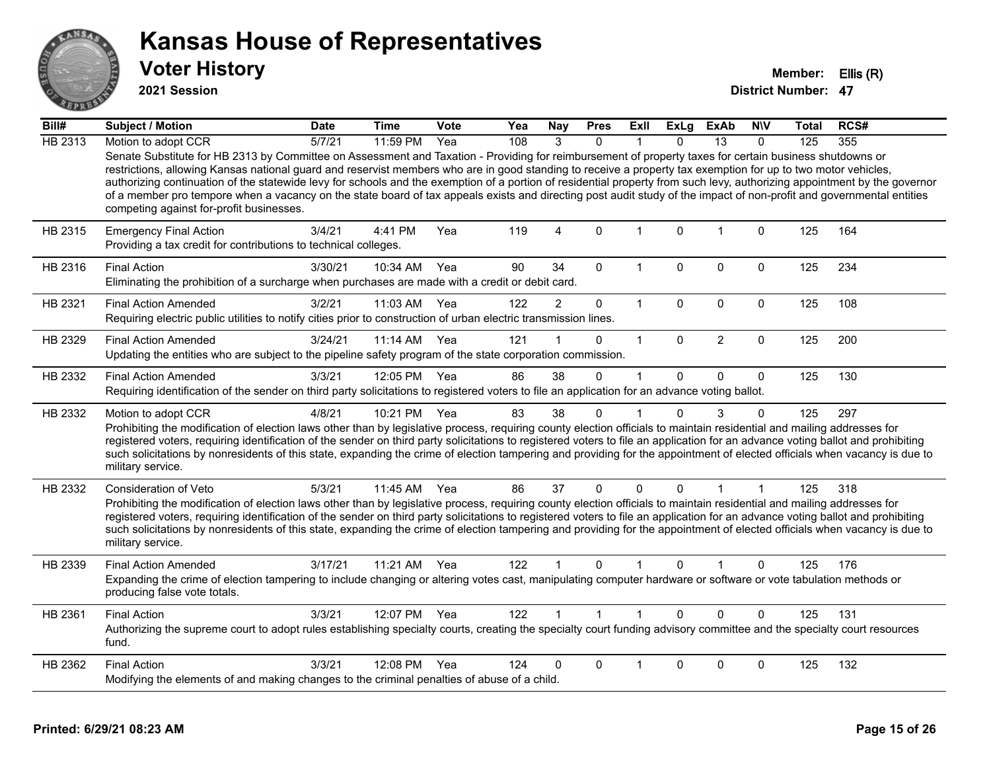

**2021 Session**

| Bill#   | Subject / Motion                                                                                                                                                                                                                                                                                                                                                                                                                                                                                                                                                                                                                                                                                                          | <b>Date</b> | <b>Time</b>  | Vote | Yea | <b>Nay</b>     | <b>Pres</b>  | Exll         | ExLg         | ExAb           | <b>NIV</b>   | Total | RCS# |
|---------|---------------------------------------------------------------------------------------------------------------------------------------------------------------------------------------------------------------------------------------------------------------------------------------------------------------------------------------------------------------------------------------------------------------------------------------------------------------------------------------------------------------------------------------------------------------------------------------------------------------------------------------------------------------------------------------------------------------------------|-------------|--------------|------|-----|----------------|--------------|--------------|--------------|----------------|--------------|-------|------|
| HB 2313 | Motion to adopt CCR                                                                                                                                                                                                                                                                                                                                                                                                                                                                                                                                                                                                                                                                                                       | 5/7/21      | 11:59 PM     | Yea  | 108 | 3              | $\Omega$     |              | $\Omega$     | 13             | $\Omega$     | 125   | 355  |
|         | Senate Substitute for HB 2313 by Committee on Assessment and Taxation - Providing for reimbursement of property taxes for certain business shutdowns or<br>restrictions, allowing Kansas national guard and reservist members who are in good standing to receive a property tax exemption for up to two motor vehicles,<br>authorizing continuation of the statewide levy for schools and the exemption of a portion of residential property from such levy, authorizing appointment by the governor<br>of a member pro tempore when a vacancy on the state board of tax appeals exists and directing post audit study of the impact of non-profit and governmental entities<br>competing against for-profit businesses. |             |              |      |     |                |              |              |              |                |              |       |      |
| HB 2315 | <b>Emergency Final Action</b><br>Providing a tax credit for contributions to technical colleges.                                                                                                                                                                                                                                                                                                                                                                                                                                                                                                                                                                                                                          | 3/4/21      | 4:41 PM      | Yea  | 119 | $\overline{4}$ | $\mathbf 0$  | $\mathbf{1}$ | 0            | $\overline{1}$ | 0            | 125   | 164  |
| HB 2316 | <b>Final Action</b><br>Eliminating the prohibition of a surcharge when purchases are made with a credit or debit card.                                                                                                                                                                                                                                                                                                                                                                                                                                                                                                                                                                                                    | 3/30/21     | 10:34 AM     | Yea  | 90  | 34             | $\Omega$     | $\mathbf 1$  | $\Omega$     | 0              | 0            | 125   | 234  |
| HB 2321 | <b>Final Action Amended</b><br>Requiring electric public utilities to notify cities prior to construction of urban electric transmission lines.                                                                                                                                                                                                                                                                                                                                                                                                                                                                                                                                                                           | 3/2/21      | 11:03 AM     | Yea  | 122 | $\overline{2}$ | 0            | $\mathbf{1}$ | 0            | $\mathbf 0$    | $\mathbf 0$  | 125   | 108  |
| HB 2329 | <b>Final Action Amended</b><br>Updating the entities who are subject to the pipeline safety program of the state corporation commission.                                                                                                                                                                                                                                                                                                                                                                                                                                                                                                                                                                                  | 3/24/21     | 11:14 AM     | Yea  | 121 |                | $\mathbf 0$  | $\mathbf{1}$ | $\Omega$     | $\overline{2}$ | $\mathbf 0$  | 125   | 200  |
| HB 2332 | <b>Final Action Amended</b><br>Requiring identification of the sender on third party solicitations to registered voters to file an application for an advance voting ballot.                                                                                                                                                                                                                                                                                                                                                                                                                                                                                                                                              | 3/3/21      | 12:05 PM     | Yea  | 86  | 38             | $\Omega$     | $\mathbf 1$  | $\Omega$     | $\Omega$       | $\mathbf{0}$ | 125   | 130  |
| HB 2332 | Motion to adopt CCR<br>Prohibiting the modification of election laws other than by legislative process, requiring county election officials to maintain residential and mailing addresses for<br>registered voters, requiring identification of the sender on third party solicitations to registered voters to file an application for an advance voting ballot and prohibiting<br>such solicitations by nonresidents of this state, expanding the crime of election tampering and providing for the appointment of elected officials when vacancy is due to<br>military service.                                                                                                                                        | 4/8/21      | 10:21 PM     | Yea  | 83  | 38             | $\Omega$     |              | $\Omega$     | 3              | $\Omega$     | 125   | 297  |
| HB 2332 | <b>Consideration of Veto</b><br>Prohibiting the modification of election laws other than by legislative process, requiring county election officials to maintain residential and mailing addresses for<br>registered voters, requiring identification of the sender on third party solicitations to registered voters to file an application for an advance voting ballot and prohibiting<br>such solicitations by nonresidents of this state, expanding the crime of election tampering and providing for the appointment of elected officials when vacancy is due to<br>military service.                                                                                                                               | 5/3/21      | 11:45 AM     | Yea  | 86  | 37             | $\Omega$     | $\Omega$     | $\mathbf{0}$ | 1              |              | 125   | 318  |
| HB 2339 | <b>Final Action Amended</b><br>Expanding the crime of election tampering to include changing or altering votes cast, manipulating computer hardware or software or vote tabulation methods or<br>producing false vote totals.                                                                                                                                                                                                                                                                                                                                                                                                                                                                                             | 3/17/21     | 11:21 AM     | Yea  | 122 |                | $\Omega$     |              | $\Omega$     |                | $\Omega$     | 125   | 176  |
| HB 2361 | <b>Final Action</b><br>Authorizing the supreme court to adopt rules establishing specialty courts, creating the specialty court funding advisory committee and the specialty court resources<br>fund.                                                                                                                                                                                                                                                                                                                                                                                                                                                                                                                     | 3/3/21      | 12:07 PM Yea |      | 122 |                | $\mathbf{1}$ | $\mathbf{1}$ | $\Omega$     | $\Omega$       | $\mathbf 0$  | 125   | 131  |
| HB 2362 | <b>Final Action</b><br>Modifying the elements of and making changes to the criminal penalties of abuse of a child.                                                                                                                                                                                                                                                                                                                                                                                                                                                                                                                                                                                                        | 3/3/21      | 12:08 PM     | Yea  | 124 | 0              | 0            |              | $\Omega$     | 0              | 0            | 125   | 132  |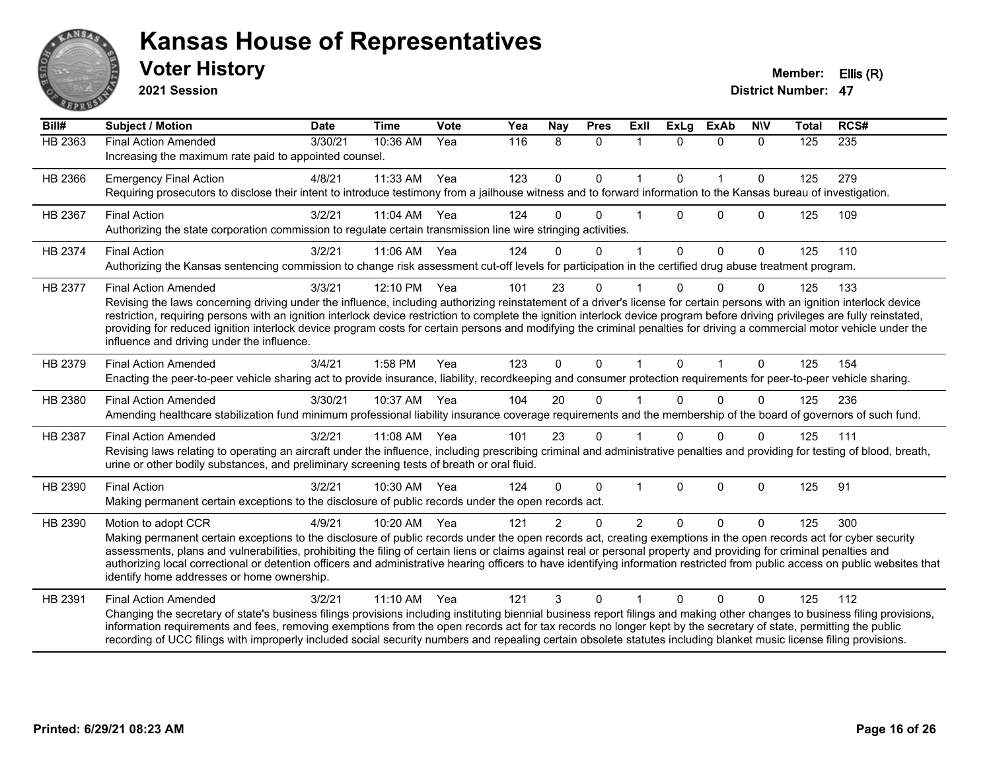

#### **Voter History Member: Ellis (R) Kansas House of Representatives**

**2021 Session**

| Bill#   | <b>Subject / Motion</b>                                                                                                                                                                                                                                                                                                                                                                                                                                                                                                                                                                                             | <b>Date</b> | <b>Time</b> | Vote | Yea | Nay           | <b>Pres</b>  | ExIl           | <b>ExLg</b> | <b>ExAb</b>    | <b>NIV</b>   | <b>Total</b> | RCS# |
|---------|---------------------------------------------------------------------------------------------------------------------------------------------------------------------------------------------------------------------------------------------------------------------------------------------------------------------------------------------------------------------------------------------------------------------------------------------------------------------------------------------------------------------------------------------------------------------------------------------------------------------|-------------|-------------|------|-----|---------------|--------------|----------------|-------------|----------------|--------------|--------------|------|
| HB 2363 | <b>Final Action Amended</b><br>Increasing the maximum rate paid to appointed counsel.                                                                                                                                                                                                                                                                                                                                                                                                                                                                                                                               | 3/30/21     | 10:36 AM    | Yea  | 116 | 8             | $\mathbf{0}$ | $\mathbf 1$    | $\Omega$    | $\mathbf{0}$   | $\mathbf{0}$ | 125          | 235  |
| HB 2366 | <b>Emergency Final Action</b><br>Requiring prosecutors to disclose their intent to introduce testimony from a jailhouse witness and to forward information to the Kansas bureau of investigation.                                                                                                                                                                                                                                                                                                                                                                                                                   | 4/8/21      | 11:33 AM    | Yea  | 123 | $\mathbf{0}$  | $\mathbf{0}$ | 1              | $\Omega$    | $\overline{1}$ | $\mathbf{0}$ | 125          | 279  |
| HB 2367 | <b>Final Action</b><br>Authorizing the state corporation commission to regulate certain transmission line wire stringing activities.                                                                                                                                                                                                                                                                                                                                                                                                                                                                                | 3/2/21      | 11:04 AM    | Yea  | 124 | $\Omega$      | $\Omega$     |                | $\Omega$    | $\Omega$       | $\Omega$     | 125          | 109  |
| HB 2374 | <b>Final Action</b><br>Authorizing the Kansas sentencing commission to change risk assessment cut-off levels for participation in the certified drug abuse treatment program.                                                                                                                                                                                                                                                                                                                                                                                                                                       | 3/2/21      | 11:06 AM    | Yea  | 124 | 0             | $\mathbf{0}$ | 1              | $\Omega$    | $\mathbf{0}$   | $\mathbf{0}$ | 125          | 110  |
| HB 2377 | <b>Final Action Amended</b><br>Revising the laws concerning driving under the influence, including authorizing reinstatement of a driver's license for certain persons with an ignition interlock device<br>restriction, requiring persons with an ignition interlock device restriction to complete the ignition interlock device program before driving privileges are fully reinstated,<br>providing for reduced ignition interlock device program costs for certain persons and modifying the criminal penalties for driving a commercial motor vehicle under the<br>influence and driving under the influence. | 3/3/21      | 12:10 PM    | Yea  | 101 | 23            | $\mathbf 0$  |                | U           | $\Omega$       | 0            | 125          | 133  |
| HB 2379 | <b>Final Action Amended</b><br>Enacting the peer-to-peer vehicle sharing act to provide insurance, liability, recordkeeping and consumer protection requirements for peer-to-peer vehicle sharing.                                                                                                                                                                                                                                                                                                                                                                                                                  | 3/4/21      | 1:58 PM     | Yea  | 123 | $\Omega$      | $\Omega$     | $\mathbf{1}$   | $\Omega$    | $\mathbf{1}$   | $\Omega$     | 125          | 154  |
| HB 2380 | <b>Final Action Amended</b><br>Amending healthcare stabilization fund minimum professional liability insurance coverage requirements and the membership of the board of governors of such fund.                                                                                                                                                                                                                                                                                                                                                                                                                     | 3/30/21     | 10:37 AM    | Yea  | 104 | 20            | $\Omega$     |                |             | $\Omega$       | $\Omega$     | 125          | 236  |
| HB 2387 | <b>Final Action Amended</b><br>Revising laws relating to operating an aircraft under the influence, including prescribing criminal and administrative penalties and providing for testing of blood, breath,<br>urine or other bodily substances, and preliminary screening tests of breath or oral fluid.                                                                                                                                                                                                                                                                                                           | 3/2/21      | 11:08 AM    | Yea  | 101 | 23            | $\mathbf{0}$ |                | $\Omega$    | $\Omega$       | $\Omega$     | 125          | 111  |
| HB 2390 | <b>Final Action</b><br>Making permanent certain exceptions to the disclosure of public records under the open records act.                                                                                                                                                                                                                                                                                                                                                                                                                                                                                          | 3/2/21      | 10:30 AM    | Yea  | 124 | $\Omega$      | $\Omega$     | $\mathbf 1$    | $\Omega$    | $\mathbf 0$    | $\mathbf{0}$ | 125          | 91   |
| HB 2390 | Motion to adopt CCR<br>Making permanent certain exceptions to the disclosure of public records under the open records act, creating exemptions in the open records act for cyber security<br>assessments, plans and vulnerabilities, prohibiting the filing of certain liens or claims against real or personal property and providing for criminal penalties and<br>authorizing local correctional or detention officers and administrative hearing officers to have identifying information restricted from public access on public websites that<br>identify home addresses or home ownership.                   | 4/9/21      | 10:20 AM    | Yea  | 121 | $\mathcal{P}$ | $\Omega$     | $\overline{2}$ | $\Omega$    | $\Omega$       | $\Omega$     | 125          | 300  |
| HB 2391 | <b>Final Action Amended</b><br>Changing the secretary of state's business filings provisions including instituting biennial business report filings and making other changes to business filing provisions,<br>information requirements and fees, removing exemptions from the open records act for tax records no longer kept by the secretary of state, permitting the public<br>recording of UCC filings with improperly included social security numbers and repealing certain obsolete statutes including blanket music license filing provisions.                                                             | 3/2/21      | 11:10 AM    | Yea  | 121 | 3             | 0            |                | U           | $\Omega$       | 0            | 125          | 112  |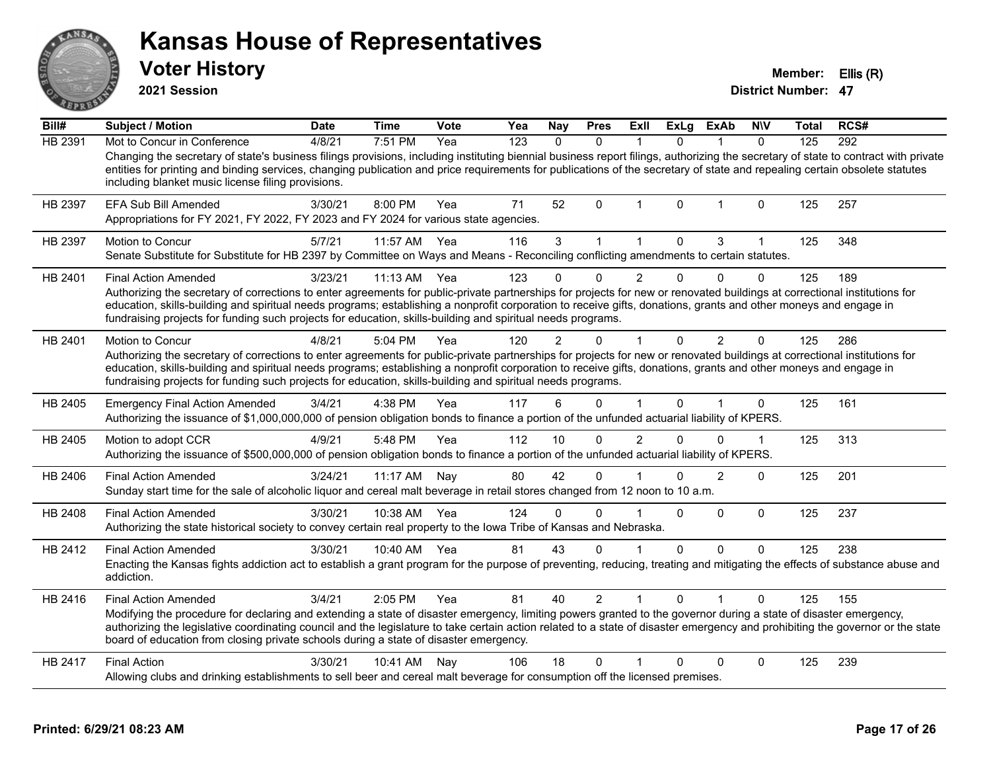**2021 Session**

**Voter History Member: Ellis (R)** 

| Bill#          | <b>Subject / Motion</b>                                                                                                                                                                                                                                                                                                                                                                                                                                      | <b>Date</b> | <b>Time</b>  | <b>Vote</b> | Yea | <b>Nay</b> | <b>Pres</b>    | ExII           | ExLg        | <b>ExAb</b>  | <b>NIV</b>  | Total | RCS# |
|----------------|--------------------------------------------------------------------------------------------------------------------------------------------------------------------------------------------------------------------------------------------------------------------------------------------------------------------------------------------------------------------------------------------------------------------------------------------------------------|-------------|--------------|-------------|-----|------------|----------------|----------------|-------------|--------------|-------------|-------|------|
| <b>HB 2391</b> | Mot to Concur in Conference                                                                                                                                                                                                                                                                                                                                                                                                                                  | 4/8/21      | 7:51 PM      | Yea         | 123 | $\Omega$   | $\mathbf{0}$   |                | 0           |              | $\Omega$    | 125   | 292  |
|                | Changing the secretary of state's business filings provisions, including instituting biennial business report filings, authorizing the secretary of state to contract with private<br>entities for printing and binding services, changing publication and price requirements for publications of the secretary of state and repealing certain obsolete statutes<br>including blanket music license filing provisions.                                       |             |              |             |     |            |                |                |             |              |             |       |      |
| HB 2397        | <b>EFA Sub Bill Amended</b><br>Appropriations for FY 2021, FY 2022, FY 2023 and FY 2024 for various state agencies.                                                                                                                                                                                                                                                                                                                                          | 3/30/21     | 8:00 PM      | Yea         | 71  | 52         | $\mathbf{0}$   | -1             | $\Omega$    | $\mathbf{1}$ | $\Omega$    | 125   | 257  |
| HB 2397        | Motion to Concur<br>Senate Substitute for Substitute for HB 2397 by Committee on Ways and Means - Reconciling conflicting amendments to certain statutes.                                                                                                                                                                                                                                                                                                    | 5/7/21      | 11:57 AM     | Yea         | 116 | 3          |                |                | $\Omega$    | 3            |             | 125   | 348  |
| HB 2401        | <b>Final Action Amended</b>                                                                                                                                                                                                                                                                                                                                                                                                                                  | 3/23/21     | 11:13 AM     | Yea         | 123 |            | $\Omega$       | $\overline{2}$ | $\Omega$    | $\Omega$     | $\Omega$    | 125   | 189  |
|                | Authorizing the secretary of corrections to enter agreements for public-private partnerships for projects for new or renovated buildings at correctional institutions for<br>education, skills-building and spiritual needs programs; establishing a nonprofit corporation to receive gifts, donations, grants and other moneys and engage in<br>fundraising projects for funding such projects for education, skills-building and spiritual needs programs. |             |              |             |     |            |                |                |             |              |             |       |      |
| HB 2401        | Motion to Concur                                                                                                                                                                                                                                                                                                                                                                                                                                             | 4/8/21      | 5:04 PM      | Yea         | 120 |            | U              |                | 0           | 2            | 0           | 125   | 286  |
|                | Authorizing the secretary of corrections to enter agreements for public-private partnerships for projects for new or renovated buildings at correctional institutions for<br>education, skills-building and spiritual needs programs; establishing a nonprofit corporation to receive gifts, donations, grants and other moneys and engage in<br>fundraising projects for funding such projects for education, skills-building and spiritual needs programs. |             |              |             |     |            |                |                |             |              |             |       |      |
| HB 2405        | <b>Emergency Final Action Amended</b><br>Authorizing the issuance of \$1,000,000,000 of pension obligation bonds to finance a portion of the unfunded actuarial liability of KPERS.                                                                                                                                                                                                                                                                          | 3/4/21      | 4:38 PM      | Yea         | 117 | 6          | $\Omega$       |                | 0           | $\mathbf 1$  | $\mathbf 0$ | 125   | 161  |
| HB 2405        | Motion to adopt CCR<br>Authorizing the issuance of \$500,000,000 of pension obligation bonds to finance a portion of the unfunded actuarial liability of KPERS.                                                                                                                                                                                                                                                                                              | 4/9/21      | 5:48 PM      | Yea         | 112 | 10         | $\Omega$       | $\overline{2}$ | 0           | $\mathbf{0}$ | 1           | 125   | 313  |
| HB 2406        | <b>Final Action Amended</b><br>Sunday start time for the sale of alcoholic liquor and cereal malt beverage in retail stores changed from 12 noon to 10 a.m.                                                                                                                                                                                                                                                                                                  | 3/24/21     | 11:17 AM     | Nay         | 80  | 42         | $\mathbf{0}$   |                | $\Omega$    | 2            | $\Omega$    | 125   | 201  |
| HB 2408        | <b>Final Action Amended</b><br>Authorizing the state historical society to convey certain real property to the Iowa Tribe of Kansas and Nebraska.                                                                                                                                                                                                                                                                                                            | 3/30/21     | 10:38 AM     | Yea         | 124 | $\Omega$   | $\Omega$       |                | $\mathbf 0$ | 0            | 0           | 125   | 237  |
| HB 2412        | <b>Final Action Amended</b><br>Enacting the Kansas fights addiction act to establish a grant program for the purpose of preventing, reducing, treating and mitigating the effects of substance abuse and<br>addiction.                                                                                                                                                                                                                                       | 3/30/21     | 10:40 AM Yea |             | 81  | 43         | $\Omega$       |                | $\Omega$    | $\Omega$     | $\mathbf 0$ | 125   | 238  |
| HB 2416        | <b>Final Action Amended</b>                                                                                                                                                                                                                                                                                                                                                                                                                                  | 3/4/21      | $2:05$ PM    | Yea         | 81  | 40         | $\overline{2}$ |                | 0           |              | 0           | 125   | 155  |
|                | Modifying the procedure for declaring and extending a state of disaster emergency, limiting powers granted to the governor during a state of disaster emergency,<br>authorizing the legislative coordinating council and the legislature to take certain action related to a state of disaster emergency and prohibiting the governor or the state<br>board of education from closing private schools during a state of disaster emergency.                  |             |              |             |     |            |                |                |             |              |             |       |      |
| HB 2417        | <b>Final Action</b><br>Allowing clubs and drinking establishments to sell beer and cereal malt beverage for consumption off the licensed premises.                                                                                                                                                                                                                                                                                                           | 3/30/21     | 10:41 AM     | Nay         | 106 | 18         | $\mathbf{0}$   |                | 0           | $\Omega$     | $\mathbf 0$ | 125   | 239  |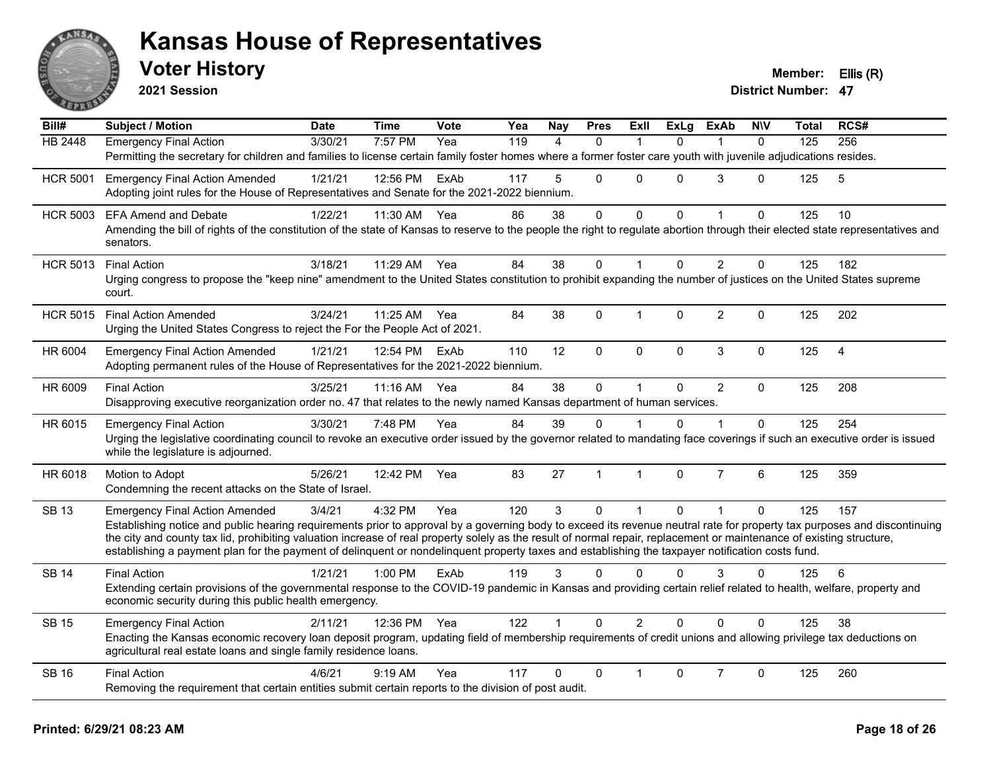

**2021 Session**

| Bill#           | Subject / Motion                                                                                                                                                                                                                     | <b>Date</b> | <b>Time</b> | Vote | Yea | <b>Nay</b> | <b>Pres</b>    | Exll           | <b>ExLg</b>  | <b>ExAb</b>    | <b>NIV</b>   | <b>Total</b> | RCS# |
|-----------------|--------------------------------------------------------------------------------------------------------------------------------------------------------------------------------------------------------------------------------------|-------------|-------------|------|-----|------------|----------------|----------------|--------------|----------------|--------------|--------------|------|
| <b>HB 2448</b>  | <b>Emergency Final Action</b>                                                                                                                                                                                                        | 3/30/21     | 7:57 PM     | Yea  | 119 | 4          | $\Omega$       | -1             | $\Omega$     | 1              | $\mathbf{0}$ | 125          | 256  |
|                 | Permitting the secretary for children and families to license certain family foster homes where a former foster care youth with juvenile adjudications resides.                                                                      |             |             |      |     |            |                |                |              |                |              |              |      |
| <b>HCR 5001</b> | <b>Emergency Final Action Amended</b>                                                                                                                                                                                                | 1/21/21     | 12:56 PM    | ExAb | 117 | 5          | $\mathbf{0}$   | $\Omega$       | $\Omega$     | 3              | $\Omega$     | 125          | 5    |
|                 | Adopting joint rules for the House of Representatives and Senate for the 2021-2022 biennium.                                                                                                                                         |             |             |      |     |            |                |                |              |                |              |              |      |
| <b>HCR 5003</b> | <b>EFA Amend and Debate</b>                                                                                                                                                                                                          | 1/22/21     | 11:30 AM    | Yea  | 86  | 38         | $\mathbf 0$    | $\mathsf 0$    | $\mathbf 0$  |                | 0            | 125          | 10   |
|                 | Amending the bill of rights of the constitution of the state of Kansas to reserve to the people the right to regulate abortion through their elected state representatives and<br>senators.                                          |             |             |      |     |            |                |                |              |                |              |              |      |
| <b>HCR 5013</b> | <b>Final Action</b>                                                                                                                                                                                                                  | 3/18/21     | 11:29 AM    | Yea  | 84  | 38         | $\Omega$       | 1              | $\Omega$     | $\overline{2}$ | $\Omega$     | 125          | 182  |
|                 | Urging congress to propose the "keep nine" amendment to the United States constitution to prohibit expanding the number of justices on the United States supreme<br>court.                                                           |             |             |      |     |            |                |                |              |                |              |              |      |
| <b>HCR 5015</b> | <b>Final Action Amended</b>                                                                                                                                                                                                          | 3/24/21     | 11:25 AM    | Yea  | 84  | 38         | $\Omega$       | 1              | $\Omega$     | $\overline{2}$ | $\Omega$     | 125          | 202  |
|                 | Urging the United States Congress to reject the For the People Act of 2021.                                                                                                                                                          |             |             |      |     |            |                |                |              |                |              |              |      |
| HR 6004         | <b>Emergency Final Action Amended</b>                                                                                                                                                                                                | 1/21/21     | 12:54 PM    | ExAb | 110 | 12         | $\mathbf 0$    | 0              | $\mathbf 0$  | $\mathfrak{S}$ | $\mathbf{0}$ | 125          | 4    |
|                 | Adopting permanent rules of the House of Representatives for the 2021-2022 biennium.                                                                                                                                                 |             |             |      |     |            |                |                |              |                |              |              |      |
| HR 6009         | <b>Final Action</b>                                                                                                                                                                                                                  | 3/25/21     | 11:16 AM    | Yea  | 84  | 38         | $\mathbf 0$    | $\mathbf{1}$   | $\Omega$     | $\overline{2}$ | $\mathbf 0$  | 125          | 208  |
|                 | Disapproving executive reorganization order no. 47 that relates to the newly named Kansas department of human services.                                                                                                              |             |             |      |     |            |                |                |              |                |              |              |      |
| HR 6015         | <b>Emergency Final Action</b>                                                                                                                                                                                                        | 3/30/21     | 7:48 PM     | Yea  | 84  | 39         | $\Omega$       |                | $\Omega$     |                | $\Omega$     | 125          | 254  |
|                 | Urging the legislative coordinating council to revoke an executive order issued by the governor related to mandating face coverings if such an executive order is issued                                                             |             |             |      |     |            |                |                |              |                |              |              |      |
|                 | while the legislature is adjourned.                                                                                                                                                                                                  |             |             |      |     |            |                |                |              |                |              |              |      |
| HR 6018         | Motion to Adopt                                                                                                                                                                                                                      | 5/26/21     | 12:42 PM    | Yea  | 83  | 27         | $\overline{1}$ | $\mathbf{1}$   | $\mathbf{0}$ | $\overline{7}$ | 6            | 125          | 359  |
|                 | Condemning the recent attacks on the State of Israel.                                                                                                                                                                                |             |             |      |     |            |                |                |              |                |              |              |      |
| <b>SB 13</b>    | <b>Emergency Final Action Amended</b>                                                                                                                                                                                                | 3/4/21      | 4:32 PM     | Yea  | 120 | 3          | $\mathbf 0$    | $\mathbf{1}$   | $\Omega$     | $\mathbf{1}$   | $\mathbf 0$  | 125          | 157  |
|                 | Establishing notice and public hearing requirements prior to approval by a governing body to exceed its revenue neutral rate for property tax purposes and discontinuing                                                             |             |             |      |     |            |                |                |              |                |              |              |      |
|                 | the city and county tax lid, prohibiting valuation increase of real property solely as the result of normal repair, replacement or maintenance of existing structure,                                                                |             |             |      |     |            |                |                |              |                |              |              |      |
|                 | establishing a payment plan for the payment of delinquent or nondelinquent property taxes and establishing the taxpayer notification costs fund.                                                                                     |             |             |      |     |            |                |                |              |                |              |              |      |
| <b>SB 14</b>    | <b>Final Action</b>                                                                                                                                                                                                                  | 1/21/21     | $1:00$ PM   | ExAb | 119 | 3          | $\Omega$       | $\mathbf{0}$   | $\Omega$     | 3              | 0            | 125          | 6    |
|                 | Extending certain provisions of the governmental response to the COVID-19 pandemic in Kansas and providing certain relief related to health, welfare, property and                                                                   |             |             |      |     |            |                |                |              |                |              |              |      |
|                 | economic security during this public health emergency.                                                                                                                                                                               |             |             |      |     |            |                |                |              |                |              |              |      |
| <b>SB 15</b>    | <b>Emergency Final Action</b>                                                                                                                                                                                                        | 2/11/21     | 12:36 PM    | Yea  | 122 |            | $\Omega$       | $\overline{2}$ | $\Omega$     | $\Omega$       | $\Omega$     | 125          | 38   |
|                 | Enacting the Kansas economic recovery loan deposit program, updating field of membership requirements of credit unions and allowing privilege tax deductions on<br>agricultural real estate loans and single family residence loans. |             |             |      |     |            |                |                |              |                |              |              |      |
| <b>SB 16</b>    | <b>Final Action</b>                                                                                                                                                                                                                  | 4/6/21      | $9:19$ AM   | Yea  | 117 | 0          | $\Omega$       | 1              | $\Omega$     | $\overline{7}$ | 0            | 125          | 260  |
|                 | Removing the requirement that certain entities submit certain reports to the division of post audit.                                                                                                                                 |             |             |      |     |            |                |                |              |                |              |              |      |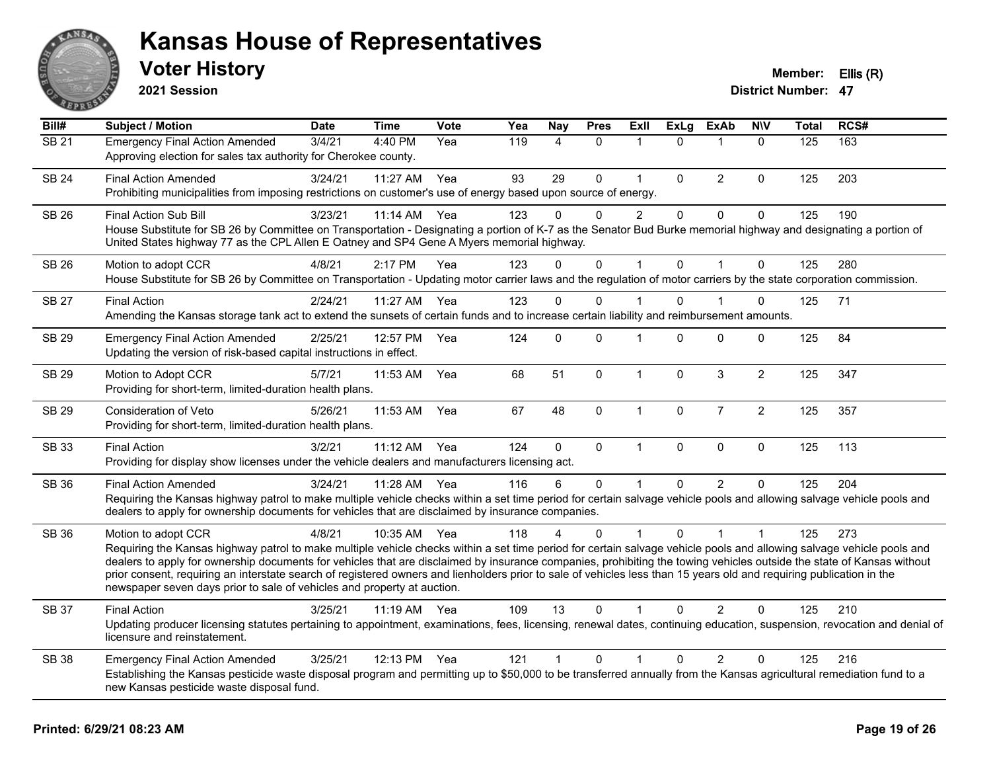

**2021 Session**

| Bill#        | Subject / Motion                                                                                                                                                                                                                                                                                                                                                                                                                                                                                                                                                                                                         | <b>Date</b> | <b>Time</b> | <b>Vote</b> | Yea | <b>Nay</b>  | <b>Pres</b> | ExIl           | <b>ExLg</b>  | <b>ExAb</b>    | <b>NIV</b>     | <b>Total</b> | RCS# |
|--------------|--------------------------------------------------------------------------------------------------------------------------------------------------------------------------------------------------------------------------------------------------------------------------------------------------------------------------------------------------------------------------------------------------------------------------------------------------------------------------------------------------------------------------------------------------------------------------------------------------------------------------|-------------|-------------|-------------|-----|-------------|-------------|----------------|--------------|----------------|----------------|--------------|------|
| <b>SB 21</b> | <b>Emergency Final Action Amended</b><br>Approving election for sales tax authority for Cherokee county.                                                                                                                                                                                                                                                                                                                                                                                                                                                                                                                 | 3/4/21      | 4:40 PM     | Yea         | 119 | 4           | $\Omega$    | $\mathbf 1$    | $\Omega$     | $\mathbf{1}$   | $\mathbf{0}$   | 125          | 163  |
| <b>SB 24</b> | <b>Final Action Amended</b><br>Prohibiting municipalities from imposing restrictions on customer's use of energy based upon source of energy.                                                                                                                                                                                                                                                                                                                                                                                                                                                                            | 3/24/21     | 11:27 AM    | Yea         | 93  | 29          | 0           | $\mathbf{1}$   | $\mathbf 0$  | 2              | $\mathbf 0$    | 125          | 203  |
| SB 26        | <b>Final Action Sub Bill</b><br>House Substitute for SB 26 by Committee on Transportation - Designating a portion of K-7 as the Senator Bud Burke memorial highway and designating a portion of<br>United States highway 77 as the CPL Allen E Oatney and SP4 Gene A Myers memorial highway.                                                                                                                                                                                                                                                                                                                             | 3/23/21     | 11:14 AM    | Yea         | 123 | 0           | 0           | $\overline{2}$ | $\mathbf 0$  | $\mathbf 0$    | $\pmb{0}$      | 125          | 190  |
| <b>SB 26</b> | Motion to adopt CCR<br>House Substitute for SB 26 by Committee on Transportation - Updating motor carrier laws and the regulation of motor carriers by the state corporation commission.                                                                                                                                                                                                                                                                                                                                                                                                                                 | 4/8/21      | 2:17 PM     | Yea         | 123 | $\Omega$    | $\mathbf 0$ | 1              | $\mathbf{0}$ | $\overline{1}$ | $\mathbf 0$    | 125          | 280  |
| <b>SB 27</b> | <b>Final Action</b><br>Amending the Kansas storage tank act to extend the sunsets of certain funds and to increase certain liability and reimbursement amounts.                                                                                                                                                                                                                                                                                                                                                                                                                                                          | 2/24/21     | 11:27 AM    | Yea         | 123 | $\Omega$    | $\Omega$    |                | $\Omega$     | 1              | $\Omega$       | 125          | 71   |
| SB 29        | <b>Emergency Final Action Amended</b><br>Updating the version of risk-based capital instructions in effect.                                                                                                                                                                                                                                                                                                                                                                                                                                                                                                              | 2/25/21     | 12:57 PM    | Yea         | 124 | $\Omega$    | $\Omega$    | 1              | $\Omega$     | $\Omega$       | $\Omega$       | 125          | 84   |
| <b>SB 29</b> | Motion to Adopt CCR<br>Providing for short-term, limited-duration health plans.                                                                                                                                                                                                                                                                                                                                                                                                                                                                                                                                          | 5/7/21      | 11:53 AM    | Yea         | 68  | 51          | $\mathbf 0$ | $\mathbf{1}$   | $\mathbf{0}$ | $\mathbf{3}$   | $\overline{2}$ | 125          | 347  |
| <b>SB 29</b> | Consideration of Veto<br>Providing for short-term, limited-duration health plans.                                                                                                                                                                                                                                                                                                                                                                                                                                                                                                                                        | 5/26/21     | 11:53 AM    | Yea         | 67  | 48          | $\mathbf 0$ | $\mathbf{1}$   | $\mathbf 0$  | $\overline{7}$ | $\overline{2}$ | 125          | 357  |
| <b>SB 33</b> | <b>Final Action</b><br>Providing for display show licenses under the vehicle dealers and manufacturers licensing act.                                                                                                                                                                                                                                                                                                                                                                                                                                                                                                    | 3/2/21      | 11:12 AM    | Yea         | 124 | $\mathbf 0$ | 0           | $\mathbf{1}$   | $\mathbf 0$  | $\mathbf 0$    | $\mathbf 0$    | 125          | 113  |
| SB 36        | <b>Final Action Amended</b><br>Requiring the Kansas highway patrol to make multiple vehicle checks within a set time period for certain salvage vehicle pools and allowing salvage vehicle pools and<br>dealers to apply for ownership documents for vehicles that are disclaimed by insurance companies.                                                                                                                                                                                                                                                                                                                | 3/24/21     | 11:28 AM    | Yea         | 116 | 6           | 0           | 1              | $\Omega$     | 2              | $\mathbf{0}$   | 125          | 204  |
| SB 36        | Motion to adopt CCR<br>Requiring the Kansas highway patrol to make multiple vehicle checks within a set time period for certain salvage vehicle pools and allowing salvage vehicle pools and<br>dealers to apply for ownership documents for vehicles that are disclaimed by insurance companies, prohibiting the towing vehicles outside the state of Kansas without<br>prior consent, requiring an interstate search of registered owners and lienholders prior to sale of vehicles less than 15 years old and requiring publication in the<br>newspaper seven days prior to sale of vehicles and property at auction. | 4/8/21      | 10:35 AM    | Yea         | 118 |             | $\Omega$    |                | $\Omega$     |                |                | 125          | 273  |
| <b>SB 37</b> | <b>Final Action</b><br>Updating producer licensing statutes pertaining to appointment, examinations, fees, licensing, renewal dates, continuing education, suspension, revocation and denial of<br>licensure and reinstatement.                                                                                                                                                                                                                                                                                                                                                                                          | 3/25/21     | 11:19 AM    | Yea         | 109 | 13          | $\Omega$    | 1              | $\Omega$     | 2              | $\Omega$       | 125          | 210  |
| <b>SB 38</b> | <b>Emergency Final Action Amended</b><br>Establishing the Kansas pesticide waste disposal program and permitting up to \$50,000 to be transferred annually from the Kansas agricultural remediation fund to a<br>new Kansas pesticide waste disposal fund.                                                                                                                                                                                                                                                                                                                                                               | 3/25/21     | 12:13 PM    | Yea         | 121 | $\mathbf 1$ | 0           | 1              | 0            | $\overline{2}$ | 0              | 125          | 216  |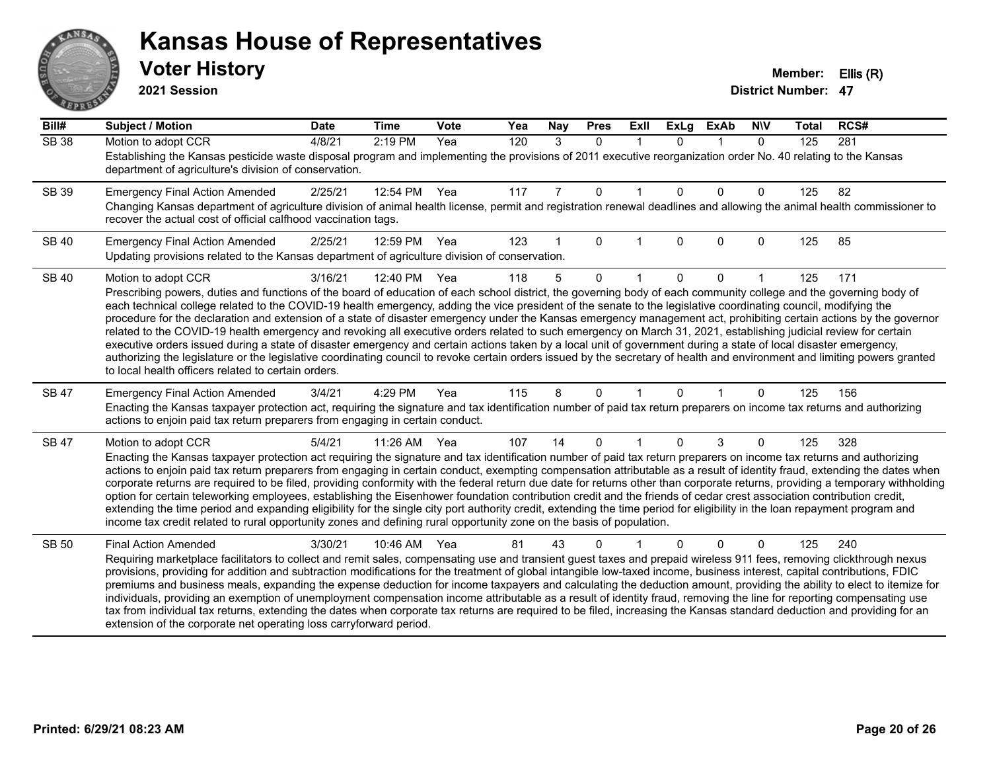# AN. **PARTIE**

#### **Kansas House of Representatives**

**2021 Session**

| Bill#        | <b>Subject / Motion</b>                                                                                                                                                                                                                                                                                                                                    | <b>Date</b> | <b>Time</b> | Vote | Yea | Nay | <b>Pres</b>  | ExII        | <b>ExLg</b> | <b>ExAb</b> | <b>NIV</b>   | <b>Total</b> | RCS# |
|--------------|------------------------------------------------------------------------------------------------------------------------------------------------------------------------------------------------------------------------------------------------------------------------------------------------------------------------------------------------------------|-------------|-------------|------|-----|-----|--------------|-------------|-------------|-------------|--------------|--------------|------|
| <b>SB 38</b> | Motion to adopt CCR                                                                                                                                                                                                                                                                                                                                        | 4/8/21      | 2:19 PM     | Yea  | 120 | 3   | $\mathbf{0}$ | $\mathbf 1$ | $\Omega$    |             | $\mathbf{0}$ | 125          | 281  |
|              | Establishing the Kansas pesticide waste disposal program and implementing the provisions of 2011 executive reorganization order No. 40 relating to the Kansas<br>department of agriculture's division of conservation.                                                                                                                                     |             |             |      |     |     |              |             |             |             |              |              |      |
| <b>SB 39</b> | <b>Emergency Final Action Amended</b>                                                                                                                                                                                                                                                                                                                      | 2/25/21     | 12:54 PM    | Yea  | 117 |     | 0            |             | $\Omega$    | $\Omega$    | 0            | 125          | 82   |
|              | Changing Kansas department of agriculture division of animal health license, permit and registration renewal deadlines and allowing the animal health commissioner to<br>recover the actual cost of official calfhood vaccination tags.                                                                                                                    |             |             |      |     |     |              |             |             |             |              |              |      |
| <b>SB 40</b> | <b>Emergency Final Action Amended</b>                                                                                                                                                                                                                                                                                                                      | 2/25/21     | 12:59 PM    | Yea  | 123 |     | $\Omega$     |             | $\Omega$    | $\Omega$    | 0            | 125          | 85   |
|              | Updating provisions related to the Kansas department of agriculture division of conservation.                                                                                                                                                                                                                                                              |             |             |      |     |     |              |             |             |             |              |              |      |
| <b>SB 40</b> | Motion to adopt CCR                                                                                                                                                                                                                                                                                                                                        | 3/16/21     | 12:40 PM    | Yea  | 118 | 5   | $\Omega$     |             | $\Omega$    | $\Omega$    |              | 125          | 171  |
|              | Prescribing powers, duties and functions of the board of education of each school district, the governing body of each community college and the governing body of                                                                                                                                                                                         |             |             |      |     |     |              |             |             |             |              |              |      |
|              | each technical college related to the COVID-19 health emergency, adding the vice president of the senate to the legislative coordinating council, modifying the<br>procedure for the declaration and extension of a state of disaster emergency under the Kansas emergency management act, prohibiting certain actions by the governor                     |             |             |      |     |     |              |             |             |             |              |              |      |
|              | related to the COVID-19 health emergency and revoking all executive orders related to such emergency on March 31, 2021, establishing judicial review for certain                                                                                                                                                                                           |             |             |      |     |     |              |             |             |             |              |              |      |
|              | executive orders issued during a state of disaster emergency and certain actions taken by a local unit of government during a state of local disaster emergency,                                                                                                                                                                                           |             |             |      |     |     |              |             |             |             |              |              |      |
|              | authorizing the legislature or the legislative coordinating council to revoke certain orders issued by the secretary of health and environment and limiting powers granted<br>to local health officers related to certain orders.                                                                                                                          |             |             |      |     |     |              |             |             |             |              |              |      |
| SB 47        | <b>Emergency Final Action Amended</b>                                                                                                                                                                                                                                                                                                                      | 3/4/21      | 4:29 PM     | Yea  | 115 | 8   | $\Omega$     |             | $\Omega$    |             | 0            | 125          | 156  |
|              | Enacting the Kansas taxpayer protection act, requiring the signature and tax identification number of paid tax return preparers on income tax returns and authorizing<br>actions to enjoin paid tax return preparers from engaging in certain conduct.                                                                                                     |             |             |      |     |     |              |             |             |             |              |              |      |
| SB 47        | Motion to adopt CCR                                                                                                                                                                                                                                                                                                                                        | 5/4/21      | 11:26 AM    | Yea  | 107 | 14  | 0            |             | $\Omega$    | 3           | 0            | 125          | 328  |
|              | Enacting the Kansas taxpayer protection act requiring the signature and tax identification number of paid tax return preparers on income tax returns and authorizing                                                                                                                                                                                       |             |             |      |     |     |              |             |             |             |              |              |      |
|              | actions to enjoin paid tax return preparers from engaging in certain conduct, exempting compensation attributable as a result of identity fraud, extending the dates when<br>corporate returns are required to be filed, providing conformity with the federal return due date for returns other than corporate returns, providing a temporary withholding |             |             |      |     |     |              |             |             |             |              |              |      |
|              | option for certain teleworking employees, establishing the Eisenhower foundation contribution credit and the friends of cedar crest association contribution credit,                                                                                                                                                                                       |             |             |      |     |     |              |             |             |             |              |              |      |
|              | extending the time period and expanding eligibility for the single city port authority credit, extending the time period for eligibility in the loan repayment program and                                                                                                                                                                                 |             |             |      |     |     |              |             |             |             |              |              |      |
|              | income tax credit related to rural opportunity zones and defining rural opportunity zone on the basis of population.                                                                                                                                                                                                                                       |             |             |      |     |     |              |             |             |             |              |              |      |
| SB 50        | <b>Final Action Amended</b>                                                                                                                                                                                                                                                                                                                                | 3/30/21     | 10:46 AM    | Yea  | 81  | 43  | 0            |             |             | $\Omega$    | 0            | 125          | 240  |
|              | Requiring marketplace facilitators to collect and remit sales, compensating use and transient guest taxes and prepaid wireless 911 fees, removing clickthrough nexus                                                                                                                                                                                       |             |             |      |     |     |              |             |             |             |              |              |      |
|              | provisions, providing for addition and subtraction modifications for the treatment of global intangible low-taxed income, business interest, capital contributions, FDIC<br>premiums and business meals, expanding the expense deduction for income taxpayers and calculating the deduction amount, providing the ability to elect to itemize for          |             |             |      |     |     |              |             |             |             |              |              |      |
|              | individuals, providing an exemption of unemployment compensation income attributable as a result of identity fraud, removing the line for reporting compensating use                                                                                                                                                                                       |             |             |      |     |     |              |             |             |             |              |              |      |
|              | tax from individual tax returns, extending the dates when corporate tax returns are required to be filed, increasing the Kansas standard deduction and providing for an                                                                                                                                                                                    |             |             |      |     |     |              |             |             |             |              |              |      |
|              | extension of the corporate net operating loss carryforward period.                                                                                                                                                                                                                                                                                         |             |             |      |     |     |              |             |             |             |              |              |      |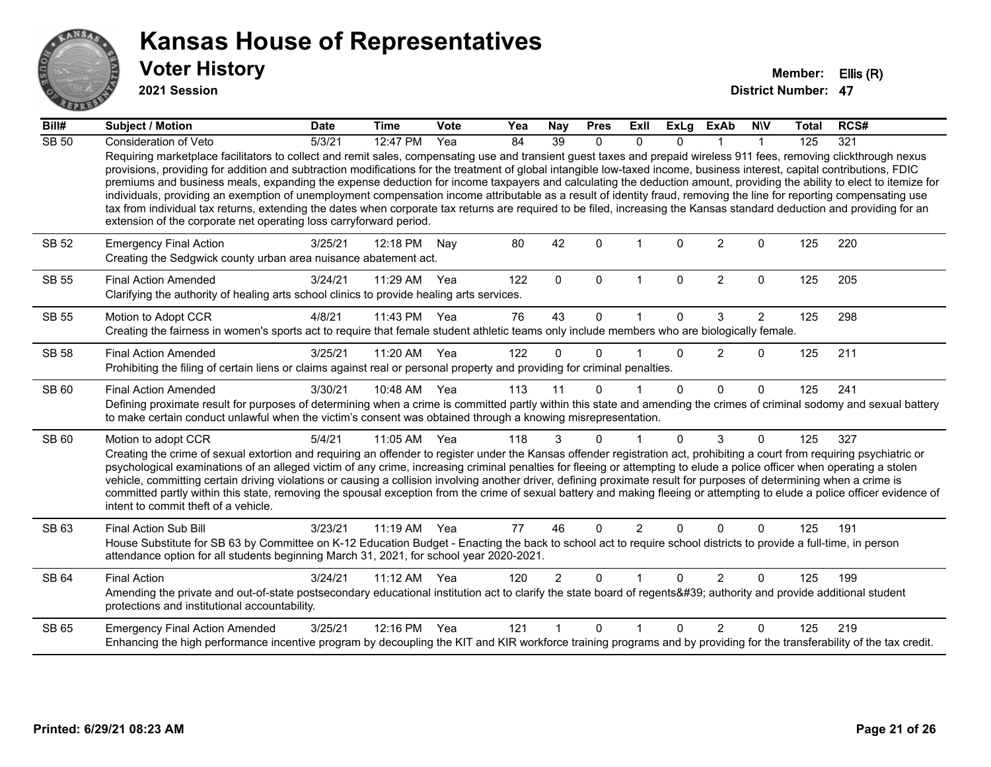

**2021 Session**

| Bill#        | <b>Subject / Motion</b>                                                                                                                                                                                                                                                                                                                                                                                                                                                                                                                                                                                                                                                                                                                                                                                                                                                                                                                            | <b>Date</b> | <b>Time</b>  | <b>Vote</b> | Yea | Nay            | <b>Pres</b>  | Exll           | <b>ExLg</b>  | <b>ExAb</b>    | <b>NIV</b>     | <b>Total</b> | RCS# |
|--------------|----------------------------------------------------------------------------------------------------------------------------------------------------------------------------------------------------------------------------------------------------------------------------------------------------------------------------------------------------------------------------------------------------------------------------------------------------------------------------------------------------------------------------------------------------------------------------------------------------------------------------------------------------------------------------------------------------------------------------------------------------------------------------------------------------------------------------------------------------------------------------------------------------------------------------------------------------|-------------|--------------|-------------|-----|----------------|--------------|----------------|--------------|----------------|----------------|--------------|------|
| <b>SB 50</b> | Consideration of Veto                                                                                                                                                                                                                                                                                                                                                                                                                                                                                                                                                                                                                                                                                                                                                                                                                                                                                                                              | 5/3/21      | 12:47 PM     | Yea         | 84  | 39             | $\Omega$     | $\Omega$       | $\Omega$     |                |                | 125          | 321  |
|              | Requiring marketplace facilitators to collect and remit sales, compensating use and transient guest taxes and prepaid wireless 911 fees, removing clickthrough nexus<br>provisions, providing for addition and subtraction modifications for the treatment of global intangible low-taxed income, business interest, capital contributions, FDIC<br>premiums and business meals, expanding the expense deduction for income taxpayers and calculating the deduction amount, providing the ability to elect to itemize for<br>individuals, providing an exemption of unemployment compensation income attributable as a result of identity fraud, removing the line for reporting compensating use<br>tax from individual tax returns, extending the dates when corporate tax returns are required to be filed, increasing the Kansas standard deduction and providing for an<br>extension of the corporate net operating loss carryforward period. |             |              |             |     |                |              |                |              |                |                |              |      |
| <b>SB 52</b> | <b>Emergency Final Action</b><br>Creating the Sedgwick county urban area nuisance abatement act.                                                                                                                                                                                                                                                                                                                                                                                                                                                                                                                                                                                                                                                                                                                                                                                                                                                   | 3/25/21     | 12:18 PM     | Nav         | 80  | 42             | $\Omega$     |                | $\Omega$     | $\overline{2}$ | $\Omega$       | 125          | 220  |
| <b>SB 55</b> | <b>Final Action Amended</b><br>Clarifying the authority of healing arts school clinics to provide healing arts services.                                                                                                                                                                                                                                                                                                                                                                                                                                                                                                                                                                                                                                                                                                                                                                                                                           | 3/24/21     | 11:29 AM     | Yea         | 122 | $\Omega$       | $\mathbf{0}$ | 1              | $\Omega$     | $\overline{2}$ | $\mathbf{0}$   | 125          | 205  |
| <b>SB 55</b> | Motion to Adopt CCR                                                                                                                                                                                                                                                                                                                                                                                                                                                                                                                                                                                                                                                                                                                                                                                                                                                                                                                                | 4/8/21      | 11:43 PM     | Yea         | 76  | 43             | $\Omega$     |                | $\Omega$     | 3              | $\overline{2}$ | 125          | 298  |
|              | Creating the fairness in women's sports act to require that female student athletic teams only include members who are biologically female.                                                                                                                                                                                                                                                                                                                                                                                                                                                                                                                                                                                                                                                                                                                                                                                                        |             |              |             |     |                |              |                |              |                |                |              |      |
| <b>SB 58</b> | <b>Final Action Amended</b>                                                                                                                                                                                                                                                                                                                                                                                                                                                                                                                                                                                                                                                                                                                                                                                                                                                                                                                        | 3/25/21     | 11:20 AM     | Yea         | 122 | $\Omega$       | $\Omega$     |                | $\Omega$     | $\overline{2}$ | 0              | 125          | 211  |
|              | Prohibiting the filing of certain liens or claims against real or personal property and providing for criminal penalties.                                                                                                                                                                                                                                                                                                                                                                                                                                                                                                                                                                                                                                                                                                                                                                                                                          |             |              |             |     |                |              |                |              |                |                |              |      |
| SB 60        | <b>Final Action Amended</b><br>Defining proximate result for purposes of determining when a crime is committed partly within this state and amending the crimes of criminal sodomy and sexual battery<br>to make certain conduct unlawful when the victim's consent was obtained through a knowing misrepresentation.                                                                                                                                                                                                                                                                                                                                                                                                                                                                                                                                                                                                                              | 3/30/21     | 10:48 AM Yea |             | 113 | 11             | $\Omega$     |                | $\Omega$     | $\Omega$       | $\Omega$       | 125          | 241  |
| SB 60        | Motion to adopt CCR                                                                                                                                                                                                                                                                                                                                                                                                                                                                                                                                                                                                                                                                                                                                                                                                                                                                                                                                | 5/4/21      | 11:05 AM Yea |             | 118 | 3              | $\mathbf{0}$ |                | $\Omega$     | 3              | $\Omega$       | 125          | 327  |
|              | Creating the crime of sexual extortion and requiring an offender to register under the Kansas offender registration act, prohibiting a court from requiring psychiatric or<br>psychological examinations of an alleged victim of any crime, increasing criminal penalties for fleeing or attempting to elude a police officer when operating a stolen<br>vehicle, committing certain driving violations or causing a collision involving another driver, defining proximate result for purposes of determining when a crime is<br>committed partly within this state, removing the spousal exception from the crime of sexual battery and making fleeing or attempting to elude a police officer evidence of<br>intent to commit theft of a vehicle.                                                                                                                                                                                               |             |              |             |     |                |              |                |              |                |                |              |      |
| SB 63        | Final Action Sub Bill                                                                                                                                                                                                                                                                                                                                                                                                                                                                                                                                                                                                                                                                                                                                                                                                                                                                                                                              | 3/23/21     | 11:19 AM Yea |             | 77  | 46             | $\Omega$     | $\overline{2}$ | $\Omega$     | $\Omega$       | $\Omega$       | 125          | 191  |
|              | House Substitute for SB 63 by Committee on K-12 Education Budget - Enacting the back to school act to require school districts to provide a full-time, in person<br>attendance option for all students beginning March 31, 2021, for school year 2020-2021.                                                                                                                                                                                                                                                                                                                                                                                                                                                                                                                                                                                                                                                                                        |             |              |             |     |                |              |                |              |                |                |              |      |
| <b>SB 64</b> | <b>Final Action</b>                                                                                                                                                                                                                                                                                                                                                                                                                                                                                                                                                                                                                                                                                                                                                                                                                                                                                                                                | 3/24/21     | 11:12 AM     | Yea         | 120 | $\overline{2}$ | $\Omega$     |                | $\Omega$     | 2              | $\Omega$       | 125          | 199  |
|              | Amending the private and out-of-state postsecondary educational institution act to clarify the state board of regents ' authority and provide additional student<br>protections and institutional accountability.                                                                                                                                                                                                                                                                                                                                                                                                                                                                                                                                                                                                                                                                                                                                  |             |              |             |     |                |              |                |              |                |                |              |      |
| SB 65        | <b>Emergency Final Action Amended</b>                                                                                                                                                                                                                                                                                                                                                                                                                                                                                                                                                                                                                                                                                                                                                                                                                                                                                                              | 3/25/21     | 12:16 PM     | Yea         | 121 |                | $\Omega$     | 1              | <sup>0</sup> | $\mathcal{P}$  | $\Omega$       | 125          | 219  |
|              | Enhancing the high performance incentive program by decoupling the KIT and KIR workforce training programs and by providing for the transferability of the tax credit.                                                                                                                                                                                                                                                                                                                                                                                                                                                                                                                                                                                                                                                                                                                                                                             |             |              |             |     |                |              |                |              |                |                |              |      |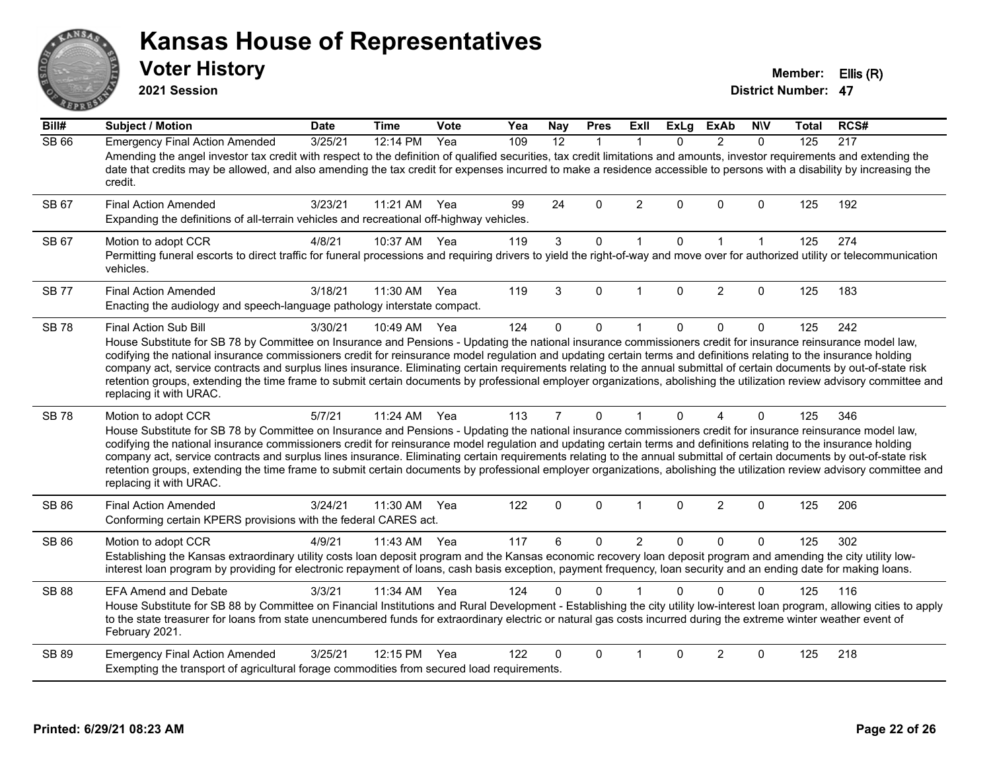# $ANS$ **BALLE**

#### **Kansas House of Representatives**

**2021 Session**

**Voter History Member: Ellis (R)** 

| Bill#        | Subject / Motion                                                                                                                                                                                                                                                                                                                                                                                                                                                                                                                                                                                                                                                                                                                               | <b>Date</b> | <b>Time</b> | Vote | Yea | Nay            | <b>Pres</b>  | ExII           | <b>ExLg</b> | <b>ExAb</b>            | <b>NIV</b>   | <b>Total</b> | RCS# |
|--------------|------------------------------------------------------------------------------------------------------------------------------------------------------------------------------------------------------------------------------------------------------------------------------------------------------------------------------------------------------------------------------------------------------------------------------------------------------------------------------------------------------------------------------------------------------------------------------------------------------------------------------------------------------------------------------------------------------------------------------------------------|-------------|-------------|------|-----|----------------|--------------|----------------|-------------|------------------------|--------------|--------------|------|
| <b>SB 66</b> | <b>Emergency Final Action Amended</b><br>Amending the angel investor tax credit with respect to the definition of qualified securities, tax credit limitations and amounts, investor requirements and extending the<br>date that credits may be allowed, and also amending the tax credit for expenses incurred to make a residence accessible to persons with a disability by increasing the<br>credit.                                                                                                                                                                                                                                                                                                                                       | 3/25/21     | 12:14 PM    | Yea  | 109 | 12             | $\mathbf{1}$ | $\mathbf 1$    | $\Omega$    | $\overline{2}$         | $\mathbf{0}$ | 125          | 217  |
| SB 67        | <b>Final Action Amended</b><br>Expanding the definitions of all-terrain vehicles and recreational off-highway vehicles.                                                                                                                                                                                                                                                                                                                                                                                                                                                                                                                                                                                                                        | 3/23/21     | 11:21 AM    | Yea  | 99  | 24             | 0            | $\overline{2}$ | $\Omega$    | $\Omega$               | $\Omega$     | 125          | 192  |
| SB 67        | Motion to adopt CCR<br>Permitting funeral escorts to direct traffic for funeral processions and requiring drivers to yield the right-of-way and move over for authorized utility or telecommunication<br>vehicles.                                                                                                                                                                                                                                                                                                                                                                                                                                                                                                                             | 4/8/21      | 10:37 AM    | Yea  | 119 | 3 <sup>1</sup> | 0            | $\mathbf{1}$   | 0           | $\mathbf{1}$           | $\mathbf{1}$ | 125          | 274  |
| <b>SB 77</b> | <b>Final Action Amended</b><br>Enacting the audiology and speech-language pathology interstate compact.                                                                                                                                                                                                                                                                                                                                                                                                                                                                                                                                                                                                                                        | 3/18/21     | 11:30 AM    | Yea  | 119 | 3              | $\Omega$     | $\overline{1}$ | $\Omega$    | $\overline{2}$         | $\Omega$     | 125          | 183  |
| <b>SB78</b>  | Final Action Sub Bill<br>House Substitute for SB 78 by Committee on Insurance and Pensions - Updating the national insurance commissioners credit for insurance reinsurance model law,<br>codifying the national insurance commissioners credit for reinsurance model regulation and updating certain terms and definitions relating to the insurance holding<br>company act, service contracts and surplus lines insurance. Eliminating certain requirements relating to the annual submittal of certain documents by out-of-state risk<br>retention groups, extending the time frame to submit certain documents by professional employer organizations, abolishing the utilization review advisory committee and<br>replacing it with URAC. | 3/30/21     | 10:49 AM    | Yea  | 124 | $\Omega$       | 0            | $\mathbf{1}$   | $\Omega$    | 0                      | $\mathbf 0$  | 125          | 242  |
| <b>SB 78</b> | Motion to adopt CCR<br>House Substitute for SB 78 by Committee on Insurance and Pensions - Updating the national insurance commissioners credit for insurance reinsurance model law,<br>codifying the national insurance commissioners credit for reinsurance model regulation and updating certain terms and definitions relating to the insurance holding<br>company act, service contracts and surplus lines insurance. Eliminating certain requirements relating to the annual submittal of certain documents by out-of-state risk<br>retention groups, extending the time frame to submit certain documents by professional employer organizations, abolishing the utilization review advisory committee and<br>replacing it with URAC.   | 5/7/21      | 11:24 AM    | Yea  | 113 | $\overline{7}$ | $\Omega$     | $\mathbf{1}$   | $\Omega$    | $\boldsymbol{\Lambda}$ | $\mathbf{0}$ | 125          | 346  |
| SB 86        | <b>Final Action Amended</b><br>Conforming certain KPERS provisions with the federal CARES act.                                                                                                                                                                                                                                                                                                                                                                                                                                                                                                                                                                                                                                                 | 3/24/21     | 11:30 AM    | Yea  | 122 | 0              | 0            | $\mathbf{1}$   | 0           | $\overline{2}$         | $\mathbf 0$  | 125          | 206  |
| SB 86        | Motion to adopt CCR<br>Establishing the Kansas extraordinary utility costs loan deposit program and the Kansas economic recovery loan deposit program and amending the city utility low-<br>interest loan program by providing for electronic repayment of loans, cash basis exception, payment frequency, loan security and an ending date for making loans.                                                                                                                                                                                                                                                                                                                                                                                  | 4/9/21      | 11:43 AM    | Yea  | 117 | 6              | 0            | $\overline{2}$ | $\Omega$    | 0                      | $\mathbf{0}$ | 125          | 302  |
| <b>SB 88</b> | <b>EFA Amend and Debate</b><br>House Substitute for SB 88 by Committee on Financial Institutions and Rural Development - Establishing the city utility low-interest loan program, allowing cities to apply<br>to the state treasurer for loans from state unencumbered funds for extraordinary electric or natural gas costs incurred during the extreme winter weather event of<br>February 2021.                                                                                                                                                                                                                                                                                                                                             | 3/3/21      | 11:34 AM    | Yea  | 124 | 0              | $\Omega$     |                | $\Omega$    | $\Omega$               | $\Omega$     | 125          | 116  |
| <b>SB 89</b> | <b>Emergency Final Action Amended</b><br>Exempting the transport of agricultural forage commodities from secured load requirements.                                                                                                                                                                                                                                                                                                                                                                                                                                                                                                                                                                                                            | 3/25/21     | 12:15 PM    | Yea  | 122 | $\Omega$       | $\Omega$     | 1              | $\Omega$    | $\overline{2}$         | $\mathbf{0}$ | 125          | 218  |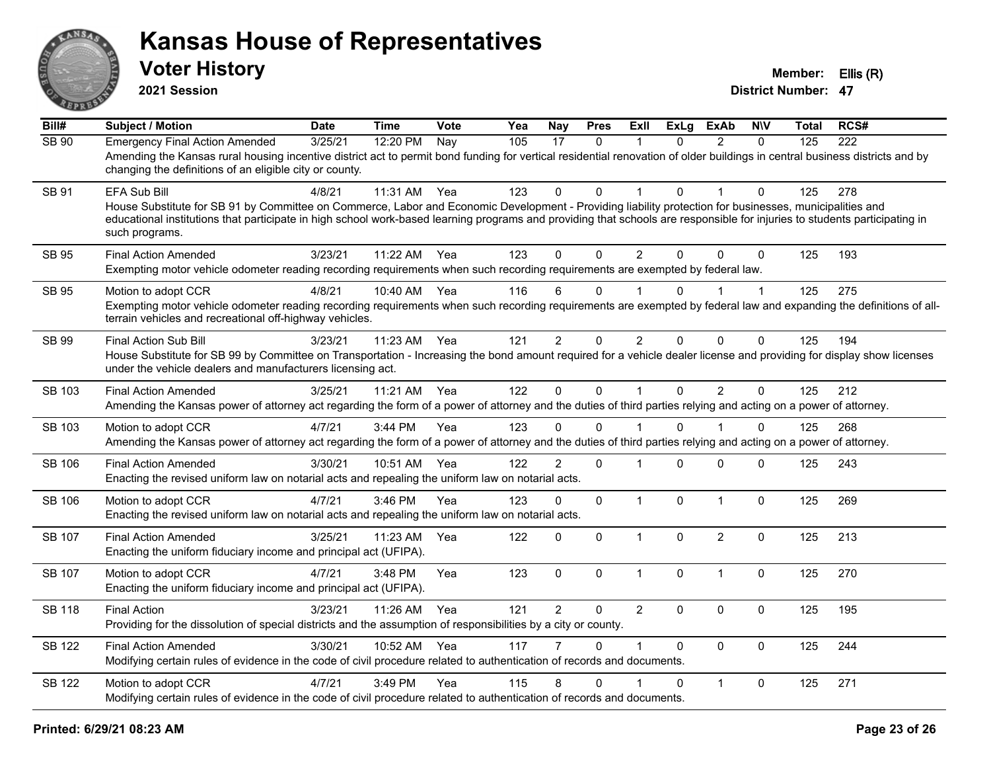

**2021 Session**

| Bill#         | <b>Subject / Motion</b>                                                                                                                                                                                                                                                                                                                                                        | <b>Date</b> | <b>Time</b> | Vote | Yea | <b>Nay</b>     | <b>Pres</b> | ExIl           | <b>ExLg</b>  | <b>ExAb</b>    | <b>NIV</b>   | <b>Total</b> | RCS# |
|---------------|--------------------------------------------------------------------------------------------------------------------------------------------------------------------------------------------------------------------------------------------------------------------------------------------------------------------------------------------------------------------------------|-------------|-------------|------|-----|----------------|-------------|----------------|--------------|----------------|--------------|--------------|------|
| SB 90         | <b>Emergency Final Action Amended</b><br>Amending the Kansas rural housing incentive district act to permit bond funding for vertical residential renovation of older buildings in central business districts and by<br>changing the definitions of an eligible city or county.                                                                                                | 3/25/21     | 12:20 PM    | Nay  | 105 | 17             | $\mathbf 0$ | 1              | $\mathbf{0}$ | $\overline{2}$ | $\Omega$     | 125          | 222  |
| SB 91         | <b>EFA Sub Bill</b><br>House Substitute for SB 91 by Committee on Commerce, Labor and Economic Development - Providing liability protection for businesses, municipalities and<br>educational institutions that participate in high school work-based learning programs and providing that schools are responsible for injuries to students participating in<br>such programs. | 4/8/21      | 11:31 AM    | Yea  | 123 | 0              | $\Omega$    |                | $\Omega$     |                | $\Omega$     | 125          | 278  |
| <b>SB 95</b>  | <b>Final Action Amended</b><br>Exempting motor vehicle odometer reading recording requirements when such recording requirements are exempted by federal law.                                                                                                                                                                                                                   | 3/23/21     | 11:22 AM    | Yea  | 123 | $\Omega$       | $\Omega$    | $\overline{2}$ | $\Omega$     | $\Omega$       | $\Omega$     | 125          | 193  |
| SB 95         | Motion to adopt CCR<br>Exempting motor vehicle odometer reading recording requirements when such recording requirements are exempted by federal law and expanding the definitions of all-<br>terrain vehicles and recreational off-highway vehicles.                                                                                                                           | 4/8/21      | 10:40 AM    | Yea  | 116 | 6              | $\mathbf 0$ |                | 0            |                | $\mathbf{1}$ | 125          | 275  |
| SB 99         | <b>Final Action Sub Bill</b><br>House Substitute for SB 99 by Committee on Transportation - Increasing the bond amount required for a vehicle dealer license and providing for display show licenses<br>under the vehicle dealers and manufacturers licensing act.                                                                                                             | 3/23/21     | 11:23 AM    | Yea  | 121 | $\overline{2}$ | $\Omega$    | $\overline{2}$ | $\Omega$     | $\Omega$       | $\Omega$     | 125          | 194  |
| <b>SB 103</b> | <b>Final Action Amended</b><br>Amending the Kansas power of attorney act regarding the form of a power of attorney and the duties of third parties relying and acting on a power of attorney.                                                                                                                                                                                  | 3/25/21     | 11:21 AM    | Yea  | 122 | $\mathbf 0$    | $\mathbf 0$ | $\mathbf{1}$   | $\mathbf 0$  | $\overline{2}$ | $\mathbf 0$  | 125          | 212  |
| SB 103        | Motion to adopt CCR<br>Amending the Kansas power of attorney act regarding the form of a power of attorney and the duties of third parties relying and acting on a power of attorney.                                                                                                                                                                                          | 4/7/21      | 3:44 PM     | Yea  | 123 | 0              | $\Omega$    |                | 0            |                | 0            | 125          | 268  |
| <b>SB 106</b> | <b>Final Action Amended</b><br>Enacting the revised uniform law on notarial acts and repealing the uniform law on notarial acts.                                                                                                                                                                                                                                               | 3/30/21     | 10:51 AM    | Yea  | 122 | $\overline{2}$ | $\mathbf 0$ | 1              | $\Omega$     | 0              | $\mathbf 0$  | 125          | 243  |
| <b>SB 106</b> | Motion to adopt CCR<br>Enacting the revised uniform law on notarial acts and repealing the uniform law on notarial acts.                                                                                                                                                                                                                                                       | 4/7/21      | 3:46 PM     | Yea  | 123 | 0              | $\mathbf 0$ | $\mathbf{1}$   | $\mathbf 0$  | $\mathbf{1}$   | $\mathbf 0$  | 125          | 269  |
| <b>SB 107</b> | <b>Final Action Amended</b><br>Enacting the uniform fiduciary income and principal act (UFIPA).                                                                                                                                                                                                                                                                                | 3/25/21     | 11:23 AM    | Yea  | 122 | 0              | $\Omega$    | $\mathbf{1}$   | $\Omega$     | $\overline{2}$ | $\Omega$     | 125          | 213  |
| <b>SB 107</b> | Motion to adopt CCR<br>Enacting the uniform fiduciary income and principal act (UFIPA).                                                                                                                                                                                                                                                                                        | 4/7/21      | 3:48 PM     | Yea  | 123 | 0              | $\mathbf 0$ | $\mathbf{1}$   | $\mathbf 0$  | $\mathbf{1}$   | $\mathbf 0$  | 125          | 270  |
| <b>SB 118</b> | <b>Final Action</b><br>Providing for the dissolution of special districts and the assumption of responsibilities by a city or county.                                                                                                                                                                                                                                          | 3/23/21     | 11:26 AM    | Yea  | 121 | $\overline{2}$ | $\Omega$    | $\overline{2}$ | $\mathbf{0}$ | $\Omega$       | $\mathbf 0$  | 125          | 195  |
| SB 122        | <b>Final Action Amended</b><br>Modifying certain rules of evidence in the code of civil procedure related to authentication of records and documents.                                                                                                                                                                                                                          | 3/30/21     | 10:52 AM    | Yea  | 117 |                | $\Omega$    | $\mathbf 1$    | $\Omega$     | $\Omega$       | $\mathbf 0$  | 125          | 244  |
| <b>SB 122</b> | Motion to adopt CCR<br>Modifying certain rules of evidence in the code of civil procedure related to authentication of records and documents.                                                                                                                                                                                                                                  | 4/7/21      | 3:49 PM     | Yea  | 115 | 8              | $\Omega$    |                | $\Omega$     | $\mathbf{1}$   | $\mathbf 0$  | 125          | 271  |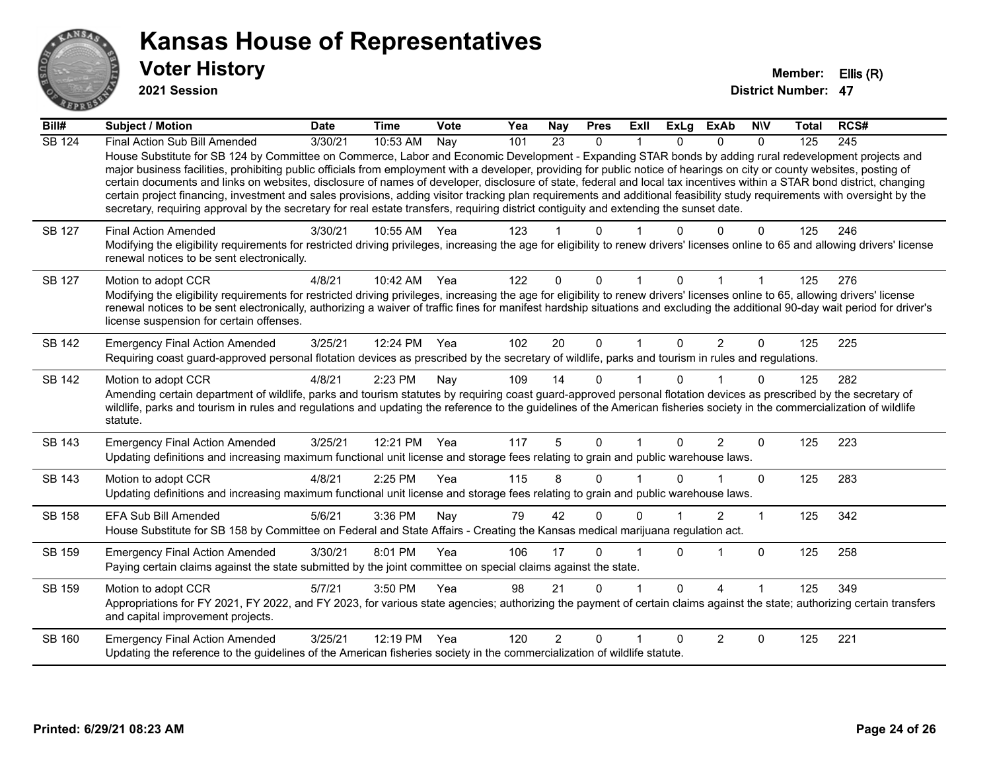

**2021 Session**

| Bill#         | <b>Subject / Motion</b>                                                                                                                                                                                                                                                                                                                                                                                                                                                                                                                                                                                                                                                                                                                                                                                                                                              | <b>Date</b> | <b>Time</b>  | <b>Vote</b> | Yea | Nay            | <b>Pres</b> | <b>Exll</b>  | <b>ExLg</b> | <b>ExAb</b> | <b>NIV</b> | Total | RCS# |
|---------------|----------------------------------------------------------------------------------------------------------------------------------------------------------------------------------------------------------------------------------------------------------------------------------------------------------------------------------------------------------------------------------------------------------------------------------------------------------------------------------------------------------------------------------------------------------------------------------------------------------------------------------------------------------------------------------------------------------------------------------------------------------------------------------------------------------------------------------------------------------------------|-------------|--------------|-------------|-----|----------------|-------------|--------------|-------------|-------------|------------|-------|------|
| <b>SB 124</b> | Final Action Sub Bill Amended<br>House Substitute for SB 124 by Committee on Commerce, Labor and Economic Development - Expanding STAR bonds by adding rural redevelopment projects and<br>major business facilities, prohibiting public officials from employment with a developer, providing for public notice of hearings on city or county websites, posting of<br>certain documents and links on websites, disclosure of names of developer, disclosure of state, federal and local tax incentives within a STAR bond district, changing<br>certain project financing, investment and sales provisions, adding visitor tracking plan requirements and additional feasibility study requirements with oversight by the<br>secretary, requiring approval by the secretary for real estate transfers, requiring district contiguity and extending the sunset date. | 3/30/21     | 10:53 AM     | Nay         | 101 | 23             | $\Omega$    | $\mathbf{1}$ | $\Omega$    | $\Omega$    | $\Omega$   | 125   | 245  |
| <b>SB 127</b> | <b>Final Action Amended</b><br>Modifying the eligibility requirements for restricted driving privileges, increasing the age for eligibility to renew drivers' licenses online to 65 and allowing drivers' license<br>renewal notices to be sent electronically.                                                                                                                                                                                                                                                                                                                                                                                                                                                                                                                                                                                                      | 3/30/21     | 10:55 AM Yea |             | 123 |                | O           |              |             |             | 0          | 125   | 246  |
| <b>SB 127</b> | Motion to adopt CCR<br>Modifying the eligibility requirements for restricted driving privileges, increasing the age for eligibility to renew drivers' licenses online to 65, allowing drivers' license<br>renewal notices to be sent electronically, authorizing a waiver of traffic fines for manifest hardship situations and excluding the additional 90-day wait period for driver's<br>license suspension for certain offenses.                                                                                                                                                                                                                                                                                                                                                                                                                                 | 4/8/21      | 10:42 AM     | Yea         | 122 | $\Omega$       | $\mathbf 0$ |              | $\Omega$    |             |            | 125   | 276  |
| <b>SB 142</b> | <b>Emergency Final Action Amended</b><br>Requiring coast guard-approved personal flotation devices as prescribed by the secretary of wildlife, parks and tourism in rules and regulations.                                                                                                                                                                                                                                                                                                                                                                                                                                                                                                                                                                                                                                                                           | 3/25/21     | 12:24 PM     | Yea         | 102 | 20             | $\mathbf 0$ | $\mathbf 1$  | $\Omega$    | 2           | $\Omega$   | 125   | 225  |
| <b>SB 142</b> | Motion to adopt CCR<br>Amending certain department of wildlife, parks and tourism statutes by requiring coast guard-approved personal flotation devices as prescribed by the secretary of<br>wildlife, parks and tourism in rules and regulations and updating the reference to the guidelines of the American fisheries society in the commercialization of wildlife<br>statute.                                                                                                                                                                                                                                                                                                                                                                                                                                                                                    | 4/8/21      | 2:23 PM      | Nay         | 109 | 14             | $\Omega$    |              | $\Omega$    |             | 0          | 125   | 282  |
| SB 143        | <b>Emergency Final Action Amended</b><br>Updating definitions and increasing maximum functional unit license and storage fees relating to grain and public warehouse laws.                                                                                                                                                                                                                                                                                                                                                                                                                                                                                                                                                                                                                                                                                           | 3/25/21     | 12:21 PM     | Yea         | 117 | 5              | $\Omega$    |              | $\Omega$    | 2           | $\Omega$   | 125   | 223  |
| <b>SB 143</b> | Motion to adopt CCR<br>Updating definitions and increasing maximum functional unit license and storage fees relating to grain and public warehouse laws.                                                                                                                                                                                                                                                                                                                                                                                                                                                                                                                                                                                                                                                                                                             | 4/8/21      | 2:25 PM      | Yea         | 115 | 8              | 0           |              |             |             | $\Omega$   | 125   | 283  |
| <b>SB 158</b> | <b>EFA Sub Bill Amended</b><br>House Substitute for SB 158 by Committee on Federal and State Affairs - Creating the Kansas medical marijuana regulation act.                                                                                                                                                                                                                                                                                                                                                                                                                                                                                                                                                                                                                                                                                                         | 5/6/21      | 3:36 PM      | Nay         | 79  | 42             | $\Omega$    | $\Omega$     |             | 2           | 1          | 125   | 342  |
| <b>SB 159</b> | <b>Emergency Final Action Amended</b><br>Paying certain claims against the state submitted by the joint committee on special claims against the state.                                                                                                                                                                                                                                                                                                                                                                                                                                                                                                                                                                                                                                                                                                               | 3/30/21     | 8:01 PM      | Yea         | 106 | 17             | 0           |              | $\Omega$    |             | $\Omega$   | 125   | 258  |
| SB 159        | Motion to adopt CCR<br>Appropriations for FY 2021, FY 2022, and FY 2023, for various state agencies; authorizing the payment of certain claims against the state; authorizing certain transfers<br>and capital improvement projects.                                                                                                                                                                                                                                                                                                                                                                                                                                                                                                                                                                                                                                 | 5/7/21      | 3:50 PM      | Yea         | 98  | 21             | 0           |              | $\Omega$    | 4           |            | 125   | 349  |
| SB 160        | <b>Emergency Final Action Amended</b><br>Updating the reference to the guidelines of the American fisheries society in the commercialization of wildlife statute.                                                                                                                                                                                                                                                                                                                                                                                                                                                                                                                                                                                                                                                                                                    | 3/25/21     | 12:19 PM     | Yea         | 120 | $\overline{2}$ | $\Omega$    |              |             | 2           | $\Omega$   | 125   | 221  |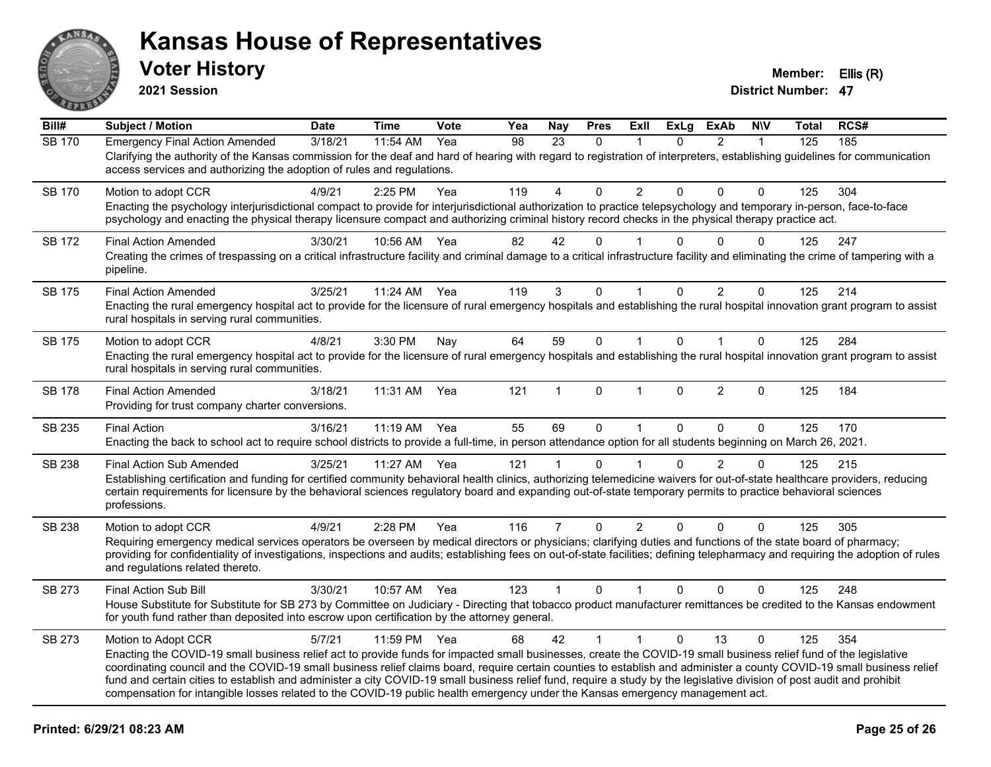

**2021 Session**

| Bill#         | <b>Subject / Motion</b>                                                                                                                                                                                                                                                                                                                                                                                                                                                                                                                                                                                                                                                       | <b>Date</b> | <b>Time</b>  | Vote | Yea | <b>Nay</b>     | <b>Pres</b>  | ExII           | <b>ExLg</b> | <b>ExAb</b>    | <b>NIV</b>   | Total | RCS# |
|---------------|-------------------------------------------------------------------------------------------------------------------------------------------------------------------------------------------------------------------------------------------------------------------------------------------------------------------------------------------------------------------------------------------------------------------------------------------------------------------------------------------------------------------------------------------------------------------------------------------------------------------------------------------------------------------------------|-------------|--------------|------|-----|----------------|--------------|----------------|-------------|----------------|--------------|-------|------|
| <b>SB 170</b> | <b>Emergency Final Action Amended</b><br>Clarifying the authority of the Kansas commission for the deaf and hard of hearing with regard to registration of interpreters, establishing guidelines for communication<br>access services and authorizing the adoption of rules and regulations.                                                                                                                                                                                                                                                                                                                                                                                  | 3/18/21     | $11:54$ AM   | Yea  | 98  | 23             | $\Omega$     |                | 0           | $\overline{2}$ | $\mathbf{1}$ | 125   | 185  |
| SB 170        | Motion to adopt CCR<br>Enacting the psychology interjurisdictional compact to provide for interjurisdictional authorization to practice telepsychology and temporary in-person, face-to-face<br>psychology and enacting the physical therapy licensure compact and authorizing criminal history record checks in the physical therapy practice act.                                                                                                                                                                                                                                                                                                                           | 4/9/21      | 2:25 PM      | Yea  | 119 | 4              | $\Omega$     | 2              | 0           | 0              | $\Omega$     | 125   | 304  |
| <b>SB 172</b> | <b>Final Action Amended</b><br>Creating the crimes of trespassing on a critical infrastructure facility and criminal damage to a critical infrastructure facility and eliminating the crime of tampering with a<br>pipeline.                                                                                                                                                                                                                                                                                                                                                                                                                                                  | 3/30/21     | 10:56 AM     | Yea  | 82  | 42             | $\Omega$     |                | U           | $\Omega$       | $\Omega$     | 125   | 247  |
| <b>SB 175</b> | <b>Final Action Amended</b><br>Enacting the rural emergency hospital act to provide for the licensure of rural emergency hospitals and establishing the rural hospital innovation grant program to assist<br>rural hospitals in serving rural communities.                                                                                                                                                                                                                                                                                                                                                                                                                    | 3/25/21     | 11:24 AM     | Yea  | 119 | 3              | $\Omega$     |                | $\Omega$    | $\overline{2}$ | $\mathbf 0$  | 125   | 214  |
| <b>SB 175</b> | Motion to adopt CCR<br>Enacting the rural emergency hospital act to provide for the licensure of rural emergency hospitals and establishing the rural hospital innovation grant program to assist<br>rural hospitals in serving rural communities.                                                                                                                                                                                                                                                                                                                                                                                                                            | 4/8/21      | 3:30 PM      | Nay  | 64  | 59             | $\mathbf 0$  | $\overline{1}$ | $\Omega$    | $\mathbf{1}$   | $\Omega$     | 125   | 284  |
| <b>SB 178</b> | <b>Final Action Amended</b><br>Providing for trust company charter conversions.                                                                                                                                                                                                                                                                                                                                                                                                                                                                                                                                                                                               | 3/18/21     | 11:31 AM     | Yea  | 121 |                | $\Omega$     |                | 0           | $\overline{2}$ | $\Omega$     | 125   | 184  |
| SB 235        | <b>Final Action</b><br>Enacting the back to school act to require school districts to provide a full-time, in person attendance option for all students beginning on March 26, 2021.                                                                                                                                                                                                                                                                                                                                                                                                                                                                                          | 3/16/21     | 11:19 AM     | Yea  | 55  | 69             | $\Omega$     | $\mathbf{1}$   | $\Omega$    | $\Omega$       | $\mathbf 0$  | 125   | 170  |
| SB 238        | <b>Final Action Sub Amended</b><br>Establishing certification and funding for certified community behavioral health clinics, authorizing telemedicine waivers for out-of-state healthcare providers, reducing<br>certain requirements for licensure by the behavioral sciences regulatory board and expanding out-of-state temporary permits to practice behavioral sciences<br>professions.                                                                                                                                                                                                                                                                                  | 3/25/21     | 11:27 AM     | Yea  | 121 |                | $\Omega$     |                | 0           | $\overline{2}$ | $\mathbf{0}$ | 125   | 215  |
| SB 238        | Motion to adopt CCR<br>Requiring emergency medical services operators be overseen by medical directors or physicians; clarifying duties and functions of the state board of pharmacy;<br>providing for confidentiality of investigations, inspections and audits; establishing fees on out-of-state facilities; defining telepharmacy and requiring the adoption of rules<br>and regulations related thereto.                                                                                                                                                                                                                                                                 | 4/9/21      | 2:28 PM      | Yea  | 116 | $\overline{7}$ | $\mathbf 0$  | $\overline{2}$ | 0           | $\mathbf 0$    | $\mathbf 0$  | 125   | 305  |
| SB 273        | <b>Final Action Sub Bill</b><br>House Substitute for Substitute for SB 273 by Committee on Judiciary - Directing that tobacco product manufacturer remittances be credited to the Kansas endowment<br>for youth fund rather than deposited into escrow upon certification by the attorney general.                                                                                                                                                                                                                                                                                                                                                                            | 3/30/21     | 10:57 AM Yea |      | 123 | $\mathbf{1}$   | $\mathbf{0}$ |                | $\Omega$    | $\Omega$       | $\Omega$     | 125   | 248  |
| SB 273        | Motion to Adopt CCR<br>Enacting the COVID-19 small business relief act to provide funds for impacted small businesses, create the COVID-19 small business relief fund of the legislative<br>coordinating council and the COVID-19 small business relief claims board, require certain counties to establish and administer a county COVID-19 small business relief<br>fund and certain cities to establish and administer a city COVID-19 small business relief fund, require a study by the legislative division of post audit and prohibit<br>compensation for intangible losses related to the COVID-19 public health emergency under the Kansas emergency management act. | 5/7/21      | 11:59 PM     | Yea  | 68  | 42             | $\mathbf{1}$ | $\mathbf{1}$   | $\Omega$    | 13             | $\Omega$     | 125   | 354  |